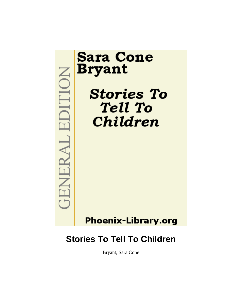

# **Stories To Tell To Children**

Bryant, Sara Cone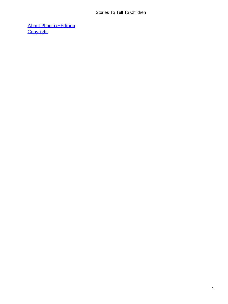# Stories To Tell To Children

[About Phoenix−Edition](#page-118-0) **[Copyright](#page-119-0)**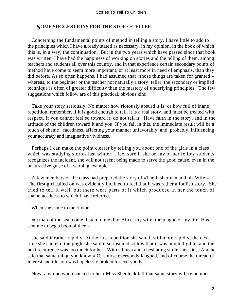# *S*OME **SUGGESTIONS FOR THE** STORY−TELLER

 Concerning the fundamental points of method in telling a story, I have little to add to the principles which I have already stated as necessary, in my opinion, in the book of which this is, in a way, the continuation. But in the two years which have passed since that book was written, I have had the happiness of working on stories and the telling of them, among teachers and students all over this country, and in that experience certain secondary points of method have come to seem more important, or at least more in need of emphasis, than they did before. As so often happens, I had assumed that «those things are taken for granted;» whereas, to the beginner or the teacher not naturally a story−teller, the secondary or implied technique is often of greater difficulty than the mastery of underlying principles. The few suggestions which follow are of this practical, obvious kind.

 Take your story seriously. No matter how riotously absurd it is, or how full of inane repetition, remember, if it is good enough to tell, it is a real story, and must be treated with respect. If you cannot feel so toward it, do not tell it. Have faith in the story, and in the attitude of the children toward it and you. If you fail in this, the immediate result will be a touch of shame− facedness, affecting your manner unfavorably, and, probably, influencing your accuracy and imaginative vividness.

 Perhaps I can make the point clearer by telling you about one of the girls in a class which was studying stories last winter; I feel sure if she or any of her fellow students recognizes the incident, she will not resent being made to serve the good cause, even in the unattractive guise of a warning example.

 A few members of the class had prepared the story of «The Fisherman and his Wife.» The first girl called on was evidently inclined to feel that it was rather a foolish story. She tried to tell it well, but there were parts of it which produced in her the touch of shamefacedness to which I have referred.

When she came to the rhyme, –

 «O man of the sea, come, listen to me, For Alice, my wife, the plague of my life, Has sent me to beg a boon of thee,»

 she said it rather rapidly. At the first repetition she said it still more rapidly; the next time she came to the jingle she said it so fast and so low that it was unintelligible; and the next recurrence was too much for her. With a blush and a hesitating smile she said, «And he said that same thing, you know!» Of course everybody laughed, and of course the thread of interest and illusion was hopelessly broken for everybody.

Now, any one who chanced to hear Miss Shedlock tell that same story will remember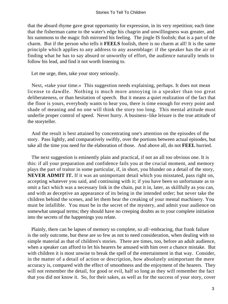that the absurd rhyme gave great opportunity for expression, in its very repetition; each time that the fisherman came to the water's edge his chagrin and unwillingness was greater, and his summons to the magic fish mirrored his feeling. The jingle IS foolish; that is a part of the charm. But if the person who tells it **FEELS** foolish, there is no charm at all! It is the same principle which applies to any address to any assemblage: if the speaker has the air of finding what he has to say absurd or unworthy of effort, the audience naturally tends to follow his lead, and find it not worth listening to.

Let me urge, then, take your story seriously.

 Next, «take your time.» This suggestion needs explaining, perhaps. It does not mean license to dawdle. Nothing is much more annoying in a speaker than too great deliberateness, or than hesitation of speech. But it means a quiet realization of the fact that the floor is yours, everybody wants to hear you, there is time enough for every point and shade of meaning and no one will think the story too long. This mental attitude must underlie proper control of speed. Never hurry. A business−like leisure is the true attitude of the storyteller.

 And the result is best attained by concentrating one's attention on the episodes of the story. Pass lightly, and comparatively swiftly, over the portions between actual episodes, but take all the time you need for the elaboration of those. And above all, do not **FEEL** hurried.

 The next suggestion is eminently plain and practical, if not an all too obvious one. It is this: if all your preparation and confidence fails you at the crucial moment, and memory plays the part of traitor in some particular, if, in short, you blunder on a detail of the story, **NEVER ADMIT IT.** If it was an unimportant detail which you misstated, pass right on, accepting whatever you said, and continuing with it; if you have been so unfortunate as to omit a fact which was a necessary link in the chain, put it in, later, as skillfully as you can, and with as deceptive an appearance of its being in the intended order; but never take the children behind the scenes, and let them hear the creaking of your mental machinery. You must be infallible. You must be in the secret of the mystery, and admit your audience on somewhat unequal terms; they should have no creeping doubts as to your complete initiation into the secrets of the happenings you relate.

 Plainly, there can be lapses of memory so complete, so all−embracing, that frank failure is the only outcome, but these are so few as not to need consideration, when dealing with so simple material as that of children's stories. There are times, too, before an adult audience, when a speaker can afford to let his hearers be amused with him over a chance mistake. But with children it is most unwise to break the spell of the entertainment in that way. Consider, in the matter of a detail of action or description, how absolutely unimportant the mere accuracy is, compared with the effect of smoothness and the enjoyment of the hearers. They will not remember the detail, for good or evil, half so long as they will remember the fact that you did not know it. So, for their sakes, as well as for the success of your story, cover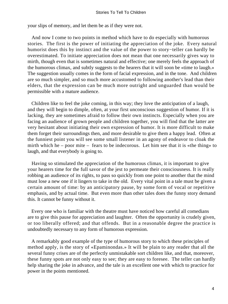your slips of memory, and let them be as if they were not.

 And now I come to two points in method which have to do especially with humorous stories. The first is the power of initiating the appreciation of the joke. Every natural humorist does this by instinct and the value of the power to story−teller can hardly be overestimated. To initiate appreciation does not mean that one necessarily gives way to mirth, though even that is sometimes natural and effective; one merely feels the approach of the humorous climax, and subtly suggests to the hearers that it will soon be «time to laugh.» The suggestion usually comes in the form of facial expression, and in the tone. And children are so much simpler, and so much more accustomed to following another's lead than their elders, that the expression can be much more outright and unguarded than would be permissible with a mature audience.

 Children like to feel the joke coming, in this way; they love the anticipation of a laugh, and they will begin to dimple, often, at your first unconscious suggestion of humor. If it is lacking, they are sometimes afraid to follow their own instincts. Especially when you are facing an audience of grown people and children together, you will find that the latter are very hesitant about initiating their own expression of humor. It is more difficult to make them forget their surroundings then, and more desirable to give them a happy lead. Often at the funniest point you will see some small listener in an agony of endeavor to cloak the mirth which he – poor mite – fears to be indecorous. Let him see that it is «the thing» to laugh, and that everybody is going to.

 Having so stimulated the appreciation of the humorous climax, it is important to give your hearers time for the full savor of the jest to permeate their consciousness. It is really robbing an audience of its rights, to pass so quickly from one point to another that the mind must lose a new one if it lingers to take in the old. Every vital point in a tale must be given a certain amount of time: by an anticipatory pause, by some form of vocal or repetitive emphasis, and by actual time. But even more than other tales does the funny story demand this. It cannot be funny without it.

 Every one who is familiar with the theatre must have noticed how careful all comedians are to give this pause for appreciation and laughter. Often the opportunity is crudely given, or too liberally offered; and that offends. But in a reasonable degree the practice is undoubtedly necessary to any form of humorous expression.

 A remarkably good example of the type of humorous story to which these principles of method apply, is the story of «Epaminondas.» It will be plain to any reader that all the several funny crises are of the perfectly unmistakable sort children like, and that, moreover, these funny spots are not only easy to see; they are easy to foresee. The teller can hardly help sharing the joke in advance, and the tale is an excellent one with which to practice for power in the points mentioned.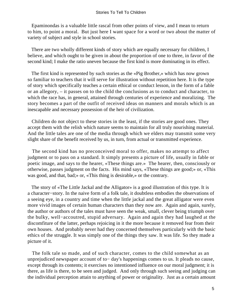Epaminondas is a valuable little rascal from other points of view, and I mean to return to him, to point a moral. But just here I want space for a word or two about the matter of variety of subject and style in school stories.

 There are two wholly different kinds of story which are equally necessary for children, I believe, and which ought to be given in about the proportion of one to three, in favor of the second kind; I make the ratio uneven because the first kind is more dominating in its effect.

 The first kind is represented by such stories as the «Pig Brother,» which has now grown so familiar to teachers that it will serve for illustration without repetition here. It is the type of story which specifically teaches a certain ethical or conduct lesson, in the form of a fable or an allegory, – it passes on to the child the conclusions as to conduct and character, to which the race has, in general, attained through centuries of experience and moralizing. The story becomes a part of the outfit of received ideas on manners and morals which is an inescapable and necessary possession of the heir of civilization.

 Children do not object to these stories in the least, if the stories are good ones. They accept them with the relish which nature seems to maintain for all truly nourishing material. And the little tales are one of the media through which we elders may transmit some very slight share of the benefit received by us, in turn, from actual or transmitted experience.

 The second kind has no preconceived moral to offer, makes no attempt to affect judgment or to pass on a standard. It simply presents a picture of life, usually in fable or poetic image, and says to the hearer, «These things are.» The hearer, then, consciously or otherwise, passes judgment on the facts. His mind says, «These things are good;» or, «This was good, and that, bad;» or, «This thing is desirable,» or the contrary.

 The story of «The Little Jackal and the Alligator» is a good illustration of this type. It is a character−story. In the naive form of a folk tale, it doubtless embodies the observations of a seeing eye, in a country and time when the little jackal and the great alligator were even more vivid images of certain human characters than they now are. Again and again, surely, the author or authors of the tales must have seen the weak, small, clever being triumph over the bulky, well−accoutred, stupid adversary. Again and again they had laughed at the discomfiture of the latter, perhaps rejoicing in it the more because it removed fear from their own houses. And probably never had they concerned themselves particularly with the basic ethics of the struggle. It was simply one of the things they saw. It was life. So they made a picture of it.

 The folk tale so made, and of such character, comes to the child somewhat as an unprejudiced newspaper account of to− day's happenings comes to us. It pleads no cause, except through its contents; it exercises no intentioned influence on our moral judgment; it is there, as life is there, to be seen and judged. And only through such seeing and judging can the individual perception attain to anything of power or originality. Just as a certain amount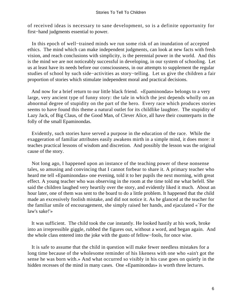of received ideas is necessary to sane development, so is a definite opportunity for first−hand judgments essential to power.

 In this epoch of well−trained minds we run some risk of an inundation of accepted ethics. The mind which can make independent judgments, can look at new facts with fresh vision, and reach conclusions with simplicity, is the perennial power in the world. And this is the mind we are not noticeably successful in developing, in our system of schooling. Let us at least have its needs before our consciousness, in our attempts to supplement the regular studies of school by such side−activities as story−telling. Let us give the children a fair proportion of stories which stimulate independent moral and practical decisions.

 And now for a brief return to our little black friend. «Epaminondas» belongs to a very large, very ancient type of funny story: the tale in which the jest depends wholly on an abnormal degree of stupidity on the part of the hero. Every race which produces stories seems to have found this theme a natural outlet for its childlike laughter. The stupidity of Lazy Jack, of Big Claus, of the Good Man, of Clever Alice, all have their counterparts in the folly of the small Epaminondas.

 Evidently, such stories have served a purpose in the education of the race. While the exaggeration of familiar attributes easily awakens mirth in a simple mind, it does more: it teaches practical lessons of wisdom and discretion. And possibly the lesson was the original cause of the story.

 Not long ago, I happened upon an instance of the teaching power of these nonsense tales, so amusing and convincing that I cannot forbear to share it. A primary teacher who heard me tell «Epaminondas» one evening, told it to her pupils the next morning, with great effect. A young teacher who was observing in the room at the time told me what befell. She said the children laughed very heartily over the story, and evidently liked it much. About an hour later, one of them was sent to the board to do a little problem. It happened that the child made an excessively foolish mistake, and did not notice it. As he glanced at the teacher for the familiar smile of encouragement, she simply raised her hands, and ejaculated «`For the law's sake!'»

 It was sufficient. The child took the cue instantly. He looked hastily at his work, broke into an irrepressible giggle, rubbed the figures out, without a word, and began again. And the whole class entered into the joke with the gusto of fellow−fools, for once wise.

 It is safe to assume that the child in question will make fewer needless mistakes for a long time because of the wholesome reminder of his likeness with one who «ain't got the sense he was born with.» And what occurred so visibly in his case goes on quietly in the hidden recesses of the mind in many cases. One «Epaminondas» is worth three lectures.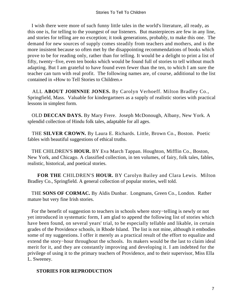I wish there were more of such funny little tales in the world's literature, all ready, as this one is, for telling to the youngest of our listeners. But masterpieces are few in any line, and stories for telling are no exception; it took generations, probably, to make this one. The demand for new sources of supply comes steadily from teachers and mothers, and is the more insistent because so often met by the disappointing recommendations of books which prove to be for reading only, rather than for telling. It would be a delight to print a list of fifty, twenty−five, even ten books which would be found full of stories to tell without much adapting. But I am grateful to have found even fewer than the ten, to which I am sure the teacher can turn with real profit. The following names are, of course, additional to the list contained in «How to Tell Stories to Children.»

 ALL **ABOUT JOHNNIE JONES.** By Carolyn Verhoeff. Milton Bradley Co., Springfield, Mass. Valuable for kindergartners as a supply of realistic stories with practical lessons in simplest form.

 OLD **DECCAN DAYS.** By Mary Frere. Joseph McDonough, Albany, New York. A splendid collection of Hindu folk tales, adaptable for all ages.

 THE **SILVER CROWN.** By Laura E. Richards. Little, Brown Co., Boston. Poetic fables with beautiful suggestions of ethical truths.

 THE CHILDREN'S **HOUR.** BY Eva March Tappan. Houghton, Mifflin Co., Boston, New York, and Chicago. A classified collection, in ten volumes, of fairy, folk tales, fables, realistic, historical, and poetical stories.

**FOR THE** CHILDREN'S **HOUR.** BY Carolyn Bailey and Clara Lewis. Milton Bradley Co., Springfield. A general collection of popular stories, well told.

 THE **SONS OF CORMAC.** By Aldis Dunbar. Longmans, Green Co., London. Rather mature but very fine Irish stories.

 For the benefit of suggestion to teachers in schools where story−telling is newly or not yet introduced in systematic form, I am glad to append the following list of stories which have been found, on several years' trial, to be especially tellable and likable, in certain grades of the Providence schools, in Rhode Island. The list is not mine, although it embodies some of my suggestions. I offer it merely as a practical result of the effort to equalize and extend the story−hour throughout the schools. Its makers would be the last to claim ideal merit for it, and they are constantly improving and developing it. I am indebted for the privilege of using it to the primary teachers of Providence, and to their supervisor, Miss Ella L. Sweeney.

# **STORIES FOR REPRODUCTION**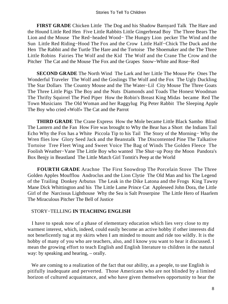**FIRST GRADE** Chicken Little The Dog and his Shadow Barnyard Talk The Hare and the Hound Little Red Hen Five Little Rabbits Little Gingerbread Boy The Three Bears The Lion and the Mouse The Red−headed Wood− The Hungry Lion pecker The Wind and the Sun Little Red Riding−Hood The Fox and the Crow Little Half−Chick The Duck and the Hen The Rabbit and the Turtle The Hare and the Tortoise The Shoemaker and the The Three Little Robins Fairies The Wolf and the Kid The Wolf and the Crane The Crow and the Pitcher The Cat and the Mouse The Fox and the Grapes Snow−White and Rose−Red

**SECOND GRADE** The North Wind The Lark and her Little The Mouse Pie Ones The Wonderful Traveler The Wolf and the Goslings The Wolf and the Fox The Ugly Duckling The Star Dollars The Country Mouse and the The Water−Lil City Mouse The Three Goats The Three Little Pigs The Boy and the Nuts Diamonds and Toads The Honest Woodman The Thrifty Squirrel The Pied Piper How the Robin's Breast King Midas became Red The Town Musicians The Old Woman and her Raggylug Pig Peter Rabbit The Sleeping Apple The Boy who cried «Wolf» The Cat and the Parrot

**THIRD GRADE** The Crane Express How the Mole became Little Black Sambo Blind The Lantern and the Fan How Fire was brought to Why the Bear has a Short the Indians Tail Echo Why the Fox has a White Piccola Tip to his Tail The Story of the Morning− Why the Wren flies low Glory Seed Jack and the Beanstalk The Discontented Pine The Talkative Tortoise Tree Fleet Wing and Sweet Voice The Bag of Winds The Golden Fleece The Foolish Weather−Vane The Little Boy who wanted The Shut−up Posy the Moon Pandora's Box Benjy in Beastland The Little Match Girl Tomtit's Peep at the World

**FOURTH GRADE** Arachne The First Snowdrop The Porcelain Stove The Three Golden Apples Moufflou Androclus and the Lion Clytie The Old Man and his The Legend of the Trailing Donkey Arbutus The Leak in the Dike Latona and the Frogs King Tawny Mane Dick Whittington and his The Little Lame Prince Cat Appleseed John Dora, the Little Girl of the Narcissus Lighthouse Why the Sea is Salt Proserpine The Little Hero of Haarlem The Miraculous Pitcher The Bell of Justice

#### STORY−TELLING **IN TEACHING ENGLISH**

 I have to speak now of a phase of elementary education which lies very close to my warmest interest, which, indeed, could easily become an active hobby if other interests did not beneficently tug at my skirts when I am minded to mount and ride too wildly. It is the hobby of many of you who are teachers, also, and I know you want to hear it discussed. I mean the growing effort to teach English and English literature to children in the natural way: by speaking and hearing, – orally.

 We are coming to a realization of the fact that our ability, as a people, to use English is pitifully inadequate and perverted. Those Americans who are not blinded by a limited horizon of cultured acquaintance, and who have given themselves opportunity to hear the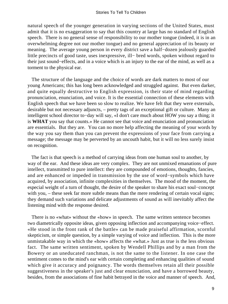natural speech of the younger generation in varying sections of the United States, must admit that it is no exaggeration to say that this country at large has no standard of English speech. There is no general sense of responsibility to our mother tongue (indeed, it is in an overwhelming degree not our mother tongue) and no general appreciation of its beauty or meaning. The average young person in every district save a half−dozen jealously guarded little precincts of good taste, uses inexpressive, ill− bred words, spoken without regard to their just sound−effects, and in a voice which is an injury to the ear of the mind, as well as a torment to the physical ear.

 The structure of the language and the choice of words are dark matters to most of our young Americans; this has long been acknowledged and struggled against. But even darker, and quite equally destructive to English expression, is their state of mind regarding pronunciation, enunciation, and voice. It is the essential connection of these elements with English speech that we have been so slow to realize. We have felt that they were externals, desirable but not necessary adjuncts, – pretty tags of an exceptional gift or culture. Many an intelligent school director to−day will say, «I don't care much about HOW you say a thing; it is **WHAT** you say that counts.» He cannot see that voice and enunciation and pronunciation are essentials. But they are. You can no more help affecting the meaning of your words by the way you say them than you can prevent the expressions of your face from carrying a message; the message may be perverted by an uncouth habit, but it will no less surely insist on recognition.

 The fact is that speech is a method of carrying ideas from one human soul to another, by way of the ear. And these ideas are very complex. They are not unmixed emanations of pure intellect, transmitted to pure intellect: they are compounded of emotions, thoughts, fancies, and are enhanced or impeded in transmission by the use of word−symbols which have acquired, by association, infinite complexities in themselves. The mood of the moment, the especial weight of a turn of thought, the desire of the speaker to share his exact soul−concept with you, – these seek far more subtle means than the mere rendering of certain vocal signs; they demand such variations and delicate adjustments of sound as will inevitably affect the listening mind with the response desired.

 There is no «what» without the «how» in speech. The same written sentence becomes two diametrically opposite ideas, given opposing inflection and accompanying voice−effect. «He stood in the front rank of the battle» can be made praiseful affirmation, scornful skepticism, or simple question, by a simple varying of voice and inflection. This is the more unmistakable way in which the «how» affects the «what.» Just as true is the less obvious fact. The same written sentiment, spoken by Wendell Phillips and by a man from the Bowery or an uneducated ranchman, is not the same to the listener. In one case the sentiment comes to the mind's ear with certain completing and enhancing qualities of sound which give it accuracy and poignancy. The words themselves retain all their possible suggestiveness in the speaker's just and clear enunciation, and have a borrowed beauty, besides, from the associations of fine habit betrayed in the voice and manner of speech. And,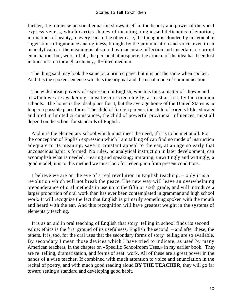further, the immense personal equation shows itself in the beauty and power of the vocal expressiveness, which carries shades of meaning, unguessed delicacies of emotion, intimations of beauty, to every ear. In the other case, the thought is clouded by unavoidable suggestions of ignorance and ugliness, brought by the pronunciation and voice, even to an unanalytical ear; the meaning is obscured by inaccurate inflection and uncertain or corrupt enunciation; but, worst of all, the personal atmosphere, the aroma, of the idea has been lost in transmission through a clumsy, ill−fitted medium.

 The thing said may look the same on a printed page, but it is not the same when spoken. And it is the spoken sentence which is the original and the usual mode of communication.

 The widespread poverty of expression in English, which is thus a matter of «how,» and to which we are awakening, must be corrected chiefly, at least at first, by the common schools. The home is the ideal place for it, but the average home of the United States is no longer a possible place for it. The child of foreign parents, the child of parents little educated and bred in limited circumstances, the child of powerful provincial influences, must all depend on the school for standards of English.

 And it is the elementary school which must meet the need, if it is to be met at all. For the conception of English expression which I am talking of can find no mode of instruction adequate to its meaning, save in constant appeal to the ear, at an age so early that unconscious habit is formed. No rules, no analytical instruction in later development, can accomplish what is needed. Hearing and speaking; imitating, unwittingly and wittingly, a good model; it is to this method we must look for redemption from present conditions.

 I believe we are on the eve of a real revolution in English teaching, – only it is a revolution which will not break the peace. The new way will leave an overwhelming preponderance of oral methods in use up to the fifth or sixth grade, and will introduce a larger proportion of oral work than has ever been contemplated in grammar and high school work. It will recognize the fact that English is primarily something spoken with the mouth and heard with the ear. And this recognition will have greatest weight in the systems of elementary teaching.

 It is as an aid in oral teaching of English that story−telling in school finds its second value; ethics is the first ground of its usefulness, English the second, – and after these, the others. It is, too, for the oral uses that the secondary forms of story−telling are so available. By secondary I mean those devices which I have tried to indicate, as used by many American teachers, in the chapter on «Specific Schoolroom Uses,» in my earlier book. They are re−telling, dramatization, and forms of seat−work. All of these are a great power in the hands of a wise teacher. If combined with much attention to voice and enunciation in the recital of poetry, and with much good reading aloud **BY THE TEACHER,** they will go far toward setting a standard and developing good habit.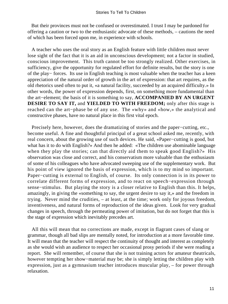But their provinces must not be confused or overestimated. I trust I may be pardoned for offering a caution or two to the enthusiastic advocate of these methods, – cautions the need of which has been forced upon me, in experience with schools.

 A teacher who uses the oral story as an English feature with little children must never lose sight of the fact that it is an aid in unconscious development; not a factor in studied, conscious improvement. This truth cannot be too strongly realized. Other exercises, in sufficiency, give the opportunity for regulated effort for definite results, but the story is one of the play− forces. Its use in English teaching is most valuable when the teacher has a keen appreciation of the natural order of growth in the art of expression: that art requires, as the old rhetorics used often to put it, «a natural facility, succeeded by an acquired difficulty.» In other words, the power of expression depends, first, on something more fundamental than the art−element; the basis of it is something to say, **ACCOMPANIED BY AN URGENT DESIRE TO SAY IT,** and **YIELDED TO WITH FREEDOM;** only after this stage is reached can the art−phase be of any use. The «why» and «how,» the analytical and constructive phases, have no natural place in this first vital epoch.

 Precisely here, however, does the dramatizing of stories and the paper−cutting, etc., become useful. A fine and thoughtful principal of a great school asked me, recently, with real concern, about the growing use of such devices. He said, «Paper−cutting is good, but what has it to do with English?» And then he added: «The children use abominable language when they play the stories; can that directly aid them to speak good English?» His observation was close and correct, and his conservatism more valuable than the enthusiasm of some of his colleagues who have advocated sweeping use of the supplementary work. But his point of view ignored the basis of expression, which is to my mind so important. Paper−cutting is external to English, of course. Its only connection is in its power to correlate different forms of expression, and to react on speech−expression through sense−stimulus. But playing the story is a closer relative to English than this. It helps, amazingly, in giving the «something to say, the urgent desire to say it,» and the freedom in trying. Never mind the crudities, – at least, at the time; work only for joyous freedom, inventiveness, and natural forms of reproduction of the ideas given. Look for very gradual changes in speech, through the permeating power of imitation, but do not forget that this is the stage of expression which inevitably precedes art.

 All this will mean that no corrections are made, except in flagrant cases of slang or grammar, though all bad slips are mentally noted, for introduction at a more favorable time. It will mean that the teacher will respect the continuity of thought and interest as completely as she would wish an audience to respect her occasional prosy periods if she were reading a report. She will remember, of course that she is not training actors for amateur theatricals, however tempting her show−material may be; she is simply letting the children play with expression, just as a gymnasium teacher introduces muscular play, – for power through relaxation.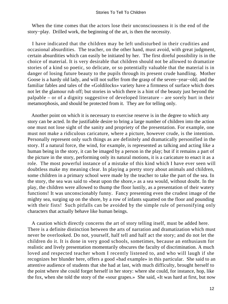When the time comes that the actors lose their unconsciousness it is the end of the story−play. Drilled work, the beginning of the art, is then the necessity.

 I have indicated that the children may be left undisturbed in their crudities and occasional absurdities. The teacher, on the other hand, must avoid, with great judgment, certain absurdities which can easily be initiated by her. The first direful possibility is in the choice of material. It is very desirable that children should not be allowed to dramatize stories of a kind so poetic, so delicate, or so potentially valuable that the material is in danger of losing future beauty to the pupils through its present crude handling. Mother Goose is a hardy old lady, and will not suffer from the grasp of the seven−year−old; and the familiar fables and tales of the «Goldilocks» variety have a firmness of surface which does not let the glamour rub off; but stories in which there is a hint of the beauty just beyond the palpable – or of a dignity suggestive of developed literature – are sorely hurt in their metamorphosis, and should be protected from it. They are for telling only.

 Another point on which it is necessary to exercise reserve is in the degree to which any story can be acted. In the justifiable desire to bring a large number of children into the action one must not lose sight of the sanity and propriety of the presentation. For example, one must not make a ridiculous caricature, where a picture, however crude, is the intention. Personally represent only such things as are definitely and dramatically personified in the story. If a natural force, the wind, for example, is represented as talking and acting like a human being in the story, it can be imaged by a person in the play; but if it remains a part of the picture in the story, performing only its natural motions, it is a caricature to enact it as a role. The most powerful instance of a mistake of this kind which I have ever seen will doubtless make my meaning clear. In playing a pretty story about animals and children, some children in a primary school were made by the teacher to take the part of the sea. In the story, the sea was said to «beat upon the shore,» as a sea would, without doubt. In the play, the children were allowed to thump the floor lustily, as a presentation of their watery functions! It was unconscionably funny. Fancy presenting even the crudest image of the mighty sea, surging up on the shore, by a row of infants squatted on the floor and pounding with their fists! Such pitfalls can be avoided by the simple rule of personifying only characters that actually behave like human beings.

 A caution which directly concerns the art of story telling itself, must be added here. There is a definite distinction between the arts of narration and dramatization which must never be overlooked. Do not, yourself, half tell and half act the story; and do not let the children do it. It is done in very good schools, sometimes, because an enthusiasm for realistic and lively presentation momentarily obscures the faculty of discrimination. A much loved and respected teacher whom I recently listened to, and who will laugh if she recognizes her blunder here, offers a good «bad example» in this particular. She said to an attentive audience of students that she had at last, with much difficulty, brought herself to the point where she could forget herself in her story: where she could, for instance, hop, like the fox, when she told the story of the «sour grapes.» She said, «It was hard at first, but now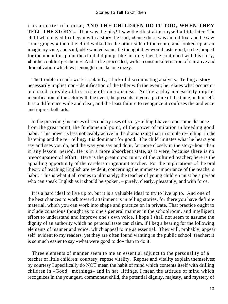it is a matter of course; **AND THE CHILDREN DO IT TOO, WHEN THEY TELL THE** STORY.» That was the pity! I saw the illustration myself a little later. The child who played fox began with a story: he said, «Once there was an old fox, and he saw some grapes;» then the child walked to the other side of the room, and looked up at an imaginary vine, and said, «He wanted some; he thought they would taste good, so he jumped for them;» at this point the child did jump, like his role; then he continued with his story, «but he couldn't get them.» And so he proceeded, with a constant alternation of narrative and dramatization which was enough to make one dizzy.

 The trouble in such work is, plainly, a lack of discriminating analysis. Telling a story necessarily implies non−identification of the teller with the event; he relates what occurs or occurred, outside of his circle of conciousness. Acting a play necessarily implies identification of the actor with the event; he presents to you a picture of the thing, in himself. It is a difference wide and clear, and the least failure to recognize it confuses the audience and injures both arts.

 In the preceding instances of secondary uses of story−telling I have come some distance from the great point, the fundamental point, of the power of imitation in breeding good habit. This power is less noticeably active in the dramatizing than in simple re−telling; in the listening and the re− telling, it is dominant for good. The child imitates what he hears you say and sees you do, and the way you say and do it, far more closely in the story−hour than in any lesson−period. He is in a more absorbent state, as it were, because there is no preoccupation of effort. Here is the great opportunity of the cultured teacher; here is the appalling opportunity of the careless or ignorant teacher. For the implications of the oral theory of teaching English are evident, concerning the immense importance of the teacher's habit. This is what it all comes to ultimately; the teacher of young children must be a person who can speak English as it should be spoken, – purely, clearly, pleasantly, and with force.

 It is a hard ideal to live up to, but it is a valuable ideal to try to live up to. And one of the best chances to work toward attainment is in telling stories, for there you have definite material, which you can work into shape and practice on in private. That practice ought to include conscious thought as to one's general manner in the schoolroom, and intelligent effort to understand and improve one's own voice. I hope I shall not seem to assume the dignity of an authority which no personal taste can claim, if I beg a hearing for the following elements of manner and voice, which appeal to me as essential. They will, probably, appear self−evident to my readers, yet they are often found wanting in the public school−teacher; it is so much easier to say «what were good to do» than to do it!

 Three elements of manner seem to me an essential adjunct to the personality of a teacher of little children: courtesy, repose vitality. Repose and vitality explain themselves; by courtesy I specifically do NOT mean the habit of mind which contents itself with drilling children in «Good− mornings» and in hat−liftings. I mean the attitude of mind which recognizes in the youngest, commonest child, the potential dignity, majesty, and mystery of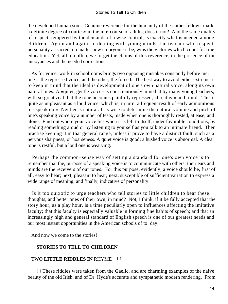the developed human soul. Genuine reverence for the humanity of the «other fellow» marks a definite degree of courtesy in the intercourse of adults, does it not? And the same quality of respect, tempered by the demands of a wise control, is exactly what is needed among children. Again and again, in dealing with young minds, the teacher who respects personality as sacred, no matter how embryonic it be, wins the victories which count for true education. Yet, all too often, we forget the claims of this reverence, in the presence of the annoyances and the needed corrections.

 As for voice: work in schoolrooms brings two opposing mistakes constantly before me: one is the repressed voice, and the other, the forced. The best way to avoid either extreme, is to keep in mind that the ideal is development of one's own natural voice, along its own natural lines. A «quiet, gentle voice» is conscientiously aimed at by many young teachers, with so great zeal that the tone becomes painfully repressed, «breathy,» and timid. This is quite as unpleasant as a loud voice, which is, in turn, a frequent result of early admonitions to «speak up.» Neither is natural. It is wise to determine the natural volume and pitch of one's speaking voice by a number of tests, made when one is thoroughly rested, at ease, and alone. Find out where your voice lies when it is left to itself, under favorable conditions, by reading something aloud or by listening to yourself as you talk to an intimate friend. Then practise keeping it in that general range, unless it prove to have a distinct fault, such as a nervous sharpness, or hoarseness. A quiet voice is good; a hushed voice is abnormal. A clear tone is restful, but a loud one is wearying.

 Perhaps the common−sense way of setting a standard for one's own voice is to remember that the, purpose of a speaking voice is to communicate with others; their ears and minds are the receivers of our tones. For this purpose, evidently, a voice should be, first of all, easy to hear; next, pleasant to hear; next, susceptible of sufficient variation to express a wide range of meaning; and finally, indicative of personality.

 Is it too quixotic to urge teachers who tell stories to little children to bear these thoughts, and better ones of their own, in mind? Not, I think, if it be fully accepted that the story hour, as a play hour, is a time peculiarly open to influences affecting the imitative faculty; that this faculty is especially valuable in forming fine habits of speech; and that an increasingly high and general standard of English speech is one of our greatest needs and our most instant opportunities in the American schools of to−day.

And now we come to the stories!

# **STORIES TO TELL TO CHILDREN**

## TWO **LITTLE RIDDLES IN** RHYME [1]

[1] These riddles were taken from the Gaelic, and are charming examples of the naive beauty of the old Irish, and of Dr. Hyde's accurate and sympathetic modern rendering. From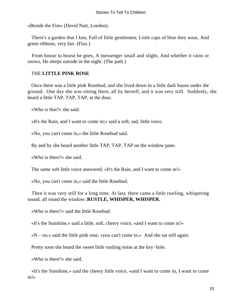«Beside the Fire» (David Nutt, London).

 There's a garden that I ken, Full of little gentlemen; Little caps of blue they wear, And green ribbons, very fair. (Flax.)

 From house to house he goes, A messenger small and slight, And whether it rains or snows, He sleeps outside in the night. (The path.)

## THE **LITTLE PINK ROSE**

 Once there was a little pink Rosebud, and she lived down in a little dark house under the ground. One day she was sitting there, all by herself, and it was very still. Suddenly, she heard a little TAP, TAP, TAP, at the door.

«Who is that?» she said.

«It's the Rain, and I want to come in;» said a soft, sad, little voice.

«No, you can't come in,» the little Rosebud said.

By and by she heard another little TAP, TAP, TAP on the window pane.

«Who is there?» she said.

The same soft little voice answered, «It's the Rain, and I want to come in!»

«No, you can't come in,» said the little Rosebud.

 Then it was very still for a long time. At last, there came a little rustling, whispering sound, all round the window: **RUSTLE, WHISPER, WHISPER.**

«Who is there?» said the little Rosebud.

«It's the Sunshine,» said a little, soft, cheery voice, «and I want to come in!»

«N – no,» said the little pink rose, «you can't come in.» And she sat still again.

Pretty soon she heard the sweet little rustling noise at the key−hole.

«Who is there?» she said.

 «It's the Sunshine,» said the cheery little voice, «and I want to come in, I want to come in!»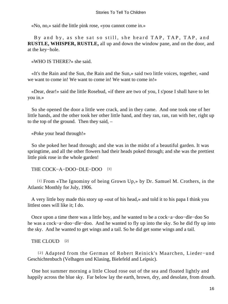«No, no,» said the little pink rose, «you cannot come in.»

 By and by, as she sat so still, she heard TAP, TAP, TAP, and **RUSTLE, WHISPER, RUSTLE,** all up and down the window pane, and on the door, and at the key−hole.

«WHO IS THERE?» she said.

 «It's the Rain and the Sun, the Rain and the Sun,» said two little voices, together, «and we want to come in! We want to come in! We want to come in!»

 «Dear, dear!» said the little Rosebud, «if there are two of you, I s'pose I shall have to let you in.»

 So she opened the door a little wee crack, and in they came. And one took one of her little hands, and the other took her other little hand, and they ran, ran, ran with her, right up to the top of the ground. Then they said, –

«Poke your head through!»

 So she poked her head through; and she was in the midst of a beautiful garden. It was springtime, and all the other flowers had their heads poked through; and she was the prettiest little pink rose in the whole garden!

THE COCK−A–DOO–DLE–DOO [1]

[1] From «The Ignominy of being Grown Up,» by Dr. Samuel M. Crothers, in the Atlantic Monthly for July, 1906.

 A very little boy made this story up «out of his head,» and told it to his papa I think you littlest ones will like it; I do.

 Once upon a time there was a little boy, and he wanted to be a cock−a−doo−dle−doo So he was a cock−a−doo−dle−doo. And he wanted to fly up into the sky. So he did fly up into the sky. And he wanted to get wings and a tail. So he did get some wings and a tail.

THE CLOUD [2]

[2] Adapted from the German of Robert Reinick's Maarchen, Lieder−und Geschichtenbuch (Velhagen und Klasing, Bielefeld and Leipsic).

 One hot summer morning a little Cloud rose out of the sea and floated lightly and happily across the blue sky. Far below lay the earth, brown, dry, and desolate, from drouth.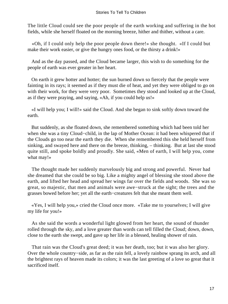The little Cloud could see the poor people of the earth working and suffering in the hot fields, while she herself floated on the morning breeze, hither and thither, without a care.

 «Oh, if I could only help the poor people down there!» she thought. «If I could but make their work easier, or give the hungry ones food, or the thirsty a drink!»

 And as the day passed, and the Cloud became larger, this wish to do something for the people of earth was ever greater in her heart.

 On earth it grew hotter and hotter; the sun burned down so fiercely that the people were fainting in its rays; it seemed as if they must die of heat, and yet they were obliged to go on with their work, for they were very poor. Sometimes they stood and looked up at the Cloud, as if they were praying, and saying, «Ah, if you could help us!»

 «I will help you; I will!» said the Cloud. And she began to sink softly down toward the earth.

 But suddenly, as she floated down, she remembered something which had been told her when she was a tiny Cloud−child, in the lap of Mother Ocean: it had been whispered that if the Clouds go too near the earth they die. When she remembered this she held herself from sinking, and swayed here and there on the breeze, thinking, – thinking. But at last she stood quite still, and spoke boldly and proudly. She said, «Men of earth, I will help you, come what may!»

 The thought made her suddenly marvelously big and strong and powerful. Never had she dreamed that she could be so big. Like a mighty angel of blessing she stood above the earth, and lifted her head and spread her wings far over the fields and woods. She was so great, so majestic, that men and animals were awe−struck at the sight; the trees and the grasses bowed before her; yet all the earth−creatures felt that she meant them well.

 «Yes, I will help you,» cried the Cloud once more. «Take me to yourselves; I will give my life for you!»

 As she said the words a wonderful light glowed from her heart, the sound of thunder rolled through the sky, and a love greater than words can tell filled the Cloud; down, down, close to the earth she swept, and gave up her life in a blessed, healing shower of rain.

 That rain was the Cloud's great deed; it was her death, too; but it was also her glory. Over the whole country−side, as far as the rain fell, a lovely rainbow sprang its arch, and all the brightest rays of heaven made its colors; it was the last greeting of a love so great that it sacrificed itself.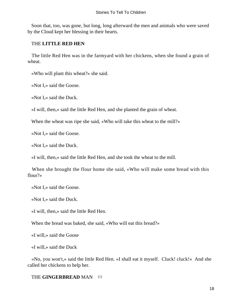Soon that, too, was gone, but long, long afterward the men and animals who were saved by the Cloud kept her blessing in their hearts.

# THE **LITTLE RED HEN**

 The little Red Hen was in the farmyard with her chickens, when she found a grain of wheat.

«Who will plant this wheat?» she said.

«Not I,» said the Goose.

«Not I,» said the Duck.

«I will, then,» said the little Red Hen, and she planted the grain of wheat.

When the wheat was ripe she said, «Who will take this wheat to the mill?»

«Not I,» said the Goose.

«Not I,» said the Duck.

«I will, then,» said the little Red Hen, and she took the wheat to the mill.

 When she brought the flour home she said, «Who will make some bread with this flour?»

«Not I,» said the Goose.

«Not I,» said the Duck.

«I will, then,» said the little Red Hen.

When the bread was baked, she said, «Who will eat this bread?»

«I will,» said the Goose

«I will,» said the Duck

 «No, you won't,» said the little Red Hen. «I shall eat it myself. Cluck! cluck!» And she called her chickens to help her.

## THE **GINGERBREAD** MAN [1]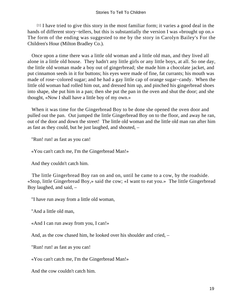[1] I have tried to give this story in the most familiar form; it varies a good deal in the hands of different story−tellers, but this is substantially the version I was «brought up on.» The form of the ending was suggested to me by the story in Carolyn Bailey's For the Children's Hour (Milton Bradley Co.).

 Once upon a time there was a little old woman and a little old man, and they lived all alone in a little old house. They hadn't any little girls or any little boys, at all. So one day, the little old woman made a boy out of gingerbread; she made him a chocolate jacket, and put cinnamon seeds in it for buttons; his eyes were made of fine, fat currants; his mouth was made of rose−colored sugar; and he had a gay little cap of orange sugar−candy. When the little old woman had rolled him out, and dressed him up, and pinched his gingerbread shoes into shape, she put him in a pan; then she put the pan in the oven and shut the door; and she thought, «Now I shall have a little boy of my own.»

 When it was time for the Gingerbread Boy to be done she opened the oven door and pulled out the pan. Out jumped the little Gingerbread Boy on to the floor, and away he ran, out of the door and down the street! The little old woman and the little old man ran after him as fast as they could, but he just laughed, and shouted, –

"Run! run! as fast as you can!

«You can't catch me, I'm the Gingerbread Man!»

And they couldn't catch him.

 The little Gingerbread Boy ran on and on, until he came to a cow, by the roadside. «Stop, little Gingerbread Boy,» said the cow; «I want to eat you.» The little Gingerbread Boy laughed, and said, –

"I have run away from a little old woman,

"And a little old man,

«And I can run away from you, I can!»

And, as the cow chased him, he looked over his shoulder and cried, –

"Run! run! as fast as you can!

«You can't catch me, I'm the Gingerbread Man!»

And the cow couldn't catch him.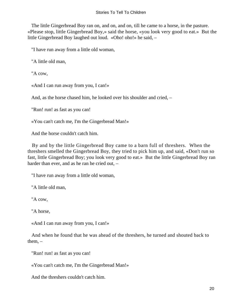The little Gingerbread Boy ran on, and on, and on, till he came to a horse, in the pasture. «Please stop, little Gingerbread Boy,» said the horse, «you look very good to eat.» But the little Gingerbread Boy laughed out loud. «Oho! oho!» he said, –

"I have run away from a little old woman,

"A little old man,

"A cow,

«And I can run away from you, I can!»

And, as the horse chased him, he looked over his shoulder and cried, –

"Run! run! as fast as you can!

«You can't catch me, I'm the Gingerbread Man!»

And the horse couldn't catch him.

 By and by the little Gingerbread Boy came to a barn full of threshers. When the threshers smelled the Gingerbread Boy, they tried to pick him up, and said, «Don't run so fast, little Gingerbread Boy; you look very good to eat.» But the little Gingerbread Boy ran harder than ever, and as he ran he cried out. –

"I have run away from a little old woman,

"A little old man,

"A cow,

"A horse,

«And I can run away from you, I can!»

 And when he found that he was ahead of the threshers, he turned and shouted back to them.  $-$ 

"Run! run! as fast as you can!

«You can't catch me, I'm the Gingerbread Man!»

And the threshers couldn't catch him.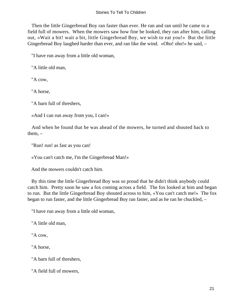#### Stories To Tell To Children

 Then the little Gingerbread Boy ran faster than ever. He ran and ran until he came to a field full of mowers. When the mowers saw how fine he looked, they ran after him, calling out, «Wait a bit! wait a bit, little Gingerbread Boy, we wish to eat you!» But the little Gingerbread Boy laughed harder than ever, and ran like the wind. «Oho! oho!» he said, –

"I have run away from a little old woman,

"A little old man,

"A cow,

"A horse,

"A barn full of threshers,

«And I can run away from you, I can!»

 And when he found that he was ahead of the mowers, he turned and shouted back to them.  $-$ 

"Run! run! as fast as you can!

«You can't catch me, I'm the Gingerbread Man!»

And the mowers couldn't catch him.

 By this time the little Gingerbread Boy was so proud that he didn't think anybody could catch him. Pretty soon he saw a fox coming across a field. The fox looked at him and began to run. But the little Gingerbread Boy shouted across to him, «You can't catch me!» The fox began to run faster, and the little Gingerbread Boy ran faster, and as he ran he chuckled, –

"I have run away from a little old woman,

"A little old man,

"A cow,

"A horse,

"A barn full of threshers,

"A field full of mowers,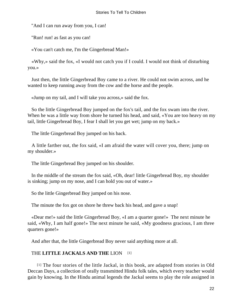"And I can run away from you, I can!

"Run! run! as fast as you can!

«You can't catch me, I'm the Gingerbread Man!»

 «Why,» said the fox, «I would not catch you if I could. I would not think of disturbing you.»

 Just then, the little Gingerbread Boy came to a river. He could not swim across, and he wanted to keep running away from the cow and the horse and the people.

«Jump on my tail, and I will take you across,» said the fox.

 So the little Gingerbread Boy jumped on the fox's tail, and the fox swam into the river. When he was a little way from shore he turned his head, and said, «You are too heavy on my tail, little Gingerbread Boy, I fear I shall let you get wet; jump on my back.»

The little Gingerbread Boy jumped on his back.

 A little farther out, the fox said, «I am afraid the water will cover you, there; jump on my shoulder.»

The little Gingerbread Boy jumped on his shoulder.

 In the middle of the stream the fox said, «Oh, dear! little Gingerbread Boy, my shoulder is sinking; jump on my nose, and I can hold you out of water.»

So the little Gingerbread Boy jumped on his nose.

The minute the fox got on shore he threw back his head, and gave a snap!

 «Dear me!» said the little Gingerbread Boy, «I am a quarter gone!» The next minute he said, «Why, I am half gone!» The next minute he said, «My goodness gracious, I am three quarters gone!»

And after that, the little Gingerbread Boy never said anything more at all.

# THE **LITTLE JACKALS AND THE** LION [1]

[1] The four stories of the little Jackal, in this book, are adapted from stories in Old Deccan Days, a collection of orally transmitted Hindu folk tales, which every teacher would gain by knowing. In the Hindu animal legends the Jackal seems to play the role assigned in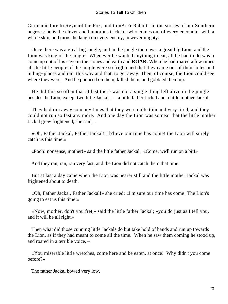Germanic lore to Reynard the Fox, and to «Bre'r Rabbit» in the stories of our Southern negroes: he is the clever and humorous trickster who comes out of every encounter with a whole skin, and turns the laugh on every enemy, however mighty.

 Once there was a great big jungle; and in the jungle there was a great big Lion; and the Lion was king of the jungle. Whenever he wanted anything to eat, all he had to do was to come up out of his cave in the stones and earth and **ROAR.** When he had roared a few times all the little people of the jungle were so frightened that they came out of their holes and hiding−places and ran, this way and that, to get away. Then, of course, the Lion could see where they were. And he pounced on them, killed them, and gobbled them up.

 He did this so often that at last there was not a single thing left alive in the jungle besides the Lion, except two little Jackals, – a little father Jackal and a little mother Jackal.

 They had run away so many times that they were quite thin and very tired, and they could not run so fast any more. And one day the Lion was so near that the little mother Jackal grew frightened; she said, –

 «Oh, Father Jackal, Father Jackal! I b'lieve our time has come! the Lion will surely catch us this time!»

«Pooh! nonsense, mother!» said the little father Jackal. «Come, we'll run on a bit!»

And they ran, ran, ran very fast, and the Lion did not catch them that time.

 But at last a day came when the Lion was nearer still and the little mother Jackal was frightened about to death.

 «Oh, Father Jackal, Father Jackal!» she cried; «I'm sure our time has come! The Lion's going to eat us this time!»

 «Now, mother, don't you fret,» said the little father Jackal; «you do just as I tell you, and it will be all right.»

 Then what did those cunning little Jackals do but take hold of hands and run up towards the Lion, as if they had meant to come all the time. When he saw them coming he stood up, and roared in a terrible voice, –

 «You miserable little wretches, come here and be eaten, at once! Why didn't you come before?»

The father Jackal bowed very low.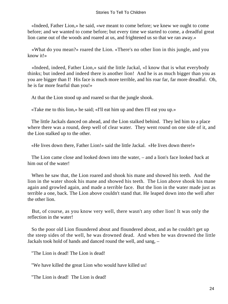«Indeed, Father Lion,» he said, «we meant to come before; we knew we ought to come before; and we wanted to come before; but every time we started to come, a dreadful great lion came out of the woods and roared at us, and frightened us so that we ran away.»

 «What do you mean?» roared the Lion. «There's no other lion in this jungle, and you know it!»

 «Indeed, indeed, Father Lion,» said the little Jackal, «I know that is what everybody thinks; but indeed and indeed there is another lion! And he is as much bigger than you as you are bigger than I! His face is much more terrible, and his roar far, far more dreadful. Oh, he is far more fearful than you!»

At that the Lion stood up and roared so that the jungle shook.

«Take me to this lion,» he said; «I'll eat him up and then I'll eat you up.»

 The little Jackals danced on ahead, and the Lion stalked behind. They led him to a place where there was a round, deep well of clear water. They went round on one side of it, and the Lion stalked up to the other.

«He lives down there, Father Lion!» said the little Jackal. «He lives down there!»

 The Lion came close and looked down into the water, – and a lion's face looked back at him out of the water!

 When he saw that, the Lion roared and shook his mane and showed his teeth. And the lion in the water shook his mane and showed his teeth. The Lion above shook his mane again and growled again, and made a terrible face. But the lion in the water made just as terrible a one, back. The Lion above couldn't stand that. He leaped down into the well after the other lion.

 But, of course, as you know very well, there wasn't any other lion! It was only the reflection in the water!

 So the poor old Lion floundered about and floundered about, and as he couldn't get up the steep sides of the well, he was drowned dead. And when he was drowned the little Jackals took hold of hands and danced round the well, and sang, –

"The Lion is dead! The Lion is dead!

"We have killed the great Lion who would have killed us!

"The Lion is dead! The Lion is dead!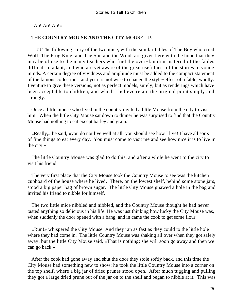«Ao! Ao! Ao!»

# THE **COUNTRY MOUSE AND THE CITY** MOUSE [1]

[1] The following story of the two mice, with the similar fables of The Boy who cried Wolf, The Frog King, and The Sun and the Wind, are given here with the hope that they may be of use to the many teachers who find the over−familiar material of the fables difficult to adapt, and who are yet aware of the great usefulness of the stories to young minds. A certain degree of vividness and amplitude must be added to the compact statement of the famous collections, and yet it is not wise to change the style−effect of a fable, wholly. I venture to give these versions, not as perfect models, surely, but as renderings which have been acceptable to children, and which I believe retain the original point simply and strongly.

 Once a little mouse who lived in the country invited a little Mouse from the city to visit him. When the little City Mouse sat down to dinner he was surprised to find that the Country Mouse had nothing to eat except barley and grain.

 «Really,» he said, «you do not live well at all; you should see how I live! I have all sorts of fine things to eat every day. You must come to visit me and see how nice it is to live in the city.»

 The little Country Mouse was glad to do this, and after a while he went to the city to visit his friend.

 The very first place that the City Mouse took the Country Mouse to see was the kitchen cupboard of the house where he lived. There, on the lowest shelf, behind some stone jars, stood a big paper bag of brown sugar. The little City Mouse gnawed a hole in the bag and invited his friend to nibble for himself.

 The two little mice nibbled and nibbled, and the Country Mouse thought he had never tasted anything so delicious in his life. He was just thinking how lucky the City Mouse was, when suddenly the door opened with a bang, and in came the cook to get some flour.

 «Run!» whispered the City Mouse. And they ran as fast as they could to the little hole where they had come in. The little Country Mouse was shaking all over when they got safely away, but the little City Mouse said, «That is nothing; she will soon go away and then we can go back.»

 After the cook had gone away and shut the door they stole softly back, and this time the City Mouse had something new to show: he took the little Country Mouse into a corner on the top shelf, where a big jar of dried prunes stood open. After much tugging and pulling they got a large dried prune out of the jar on to the shelf and began to nibble at it. This was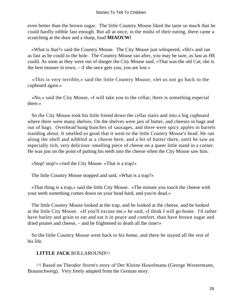even better than the brown sugar. The little Country Mouse liked the taste so much that he could hardly nibble fast enough. But all at once, in the midst of their eating, there came a scratching at the door and a sharp, loud **MIAOUW!**

 «What is that?» said the Country Mouse. The City Mouse just whispered, «Sh!» and ran as fast as he could to the hole. The Country Mouse ran after, you may be sure, as fast as HE could. As soon as they were out of danger the City Mouse said, «That was the old Cat; she is the best mouser in town, – if she once gets you, you are lost.»

 «This is very terrible,» said the little Country Mouse; «let us not go back to the cupboard again.»

 «No,» said the City Mouse, «I will take you to the cellar; there is something especial there.»

 So the City Mouse took his little friend down the cellar stairs and into a big cupboard where there were many shelves. On the shelves were jars of butter, and cheeses in bags and out of bags. Overhead hung bunches of sausages, and there were spicy apples in barrels standing about. It smelled so good that it went to the little Country Mouse's head. He ran along the shelf and nibbled at a cheese here, and a bit of butter there, until he saw an especially rich, very delicious−smelling piece of cheese on a queer little stand in a corner. He was just on the point of putting his teeth into the cheese when the City Mouse saw him.

«Stop! stop!» cried the City Mouse. «That is a trap!»

The little Country Mouse stopped and said, «What is a trap?»

 «That thing is a trap,» said the little City Mouse. «The minute you touch the cheese with your teeth something comes down on your head hard, and you're dead.»

 The little Country Mouse looked at the trap, and he looked at the cheese, and he looked at the little City Mouse. «If you'll excuse me,» he said, «I think I will go home. I'd rather have barley and grain to eat and eat it in peace and comfort, than have brown sugar and dried prunes and cheese, – and be frightened to death all the time!»

 So the little Country Mouse went back to his home, and there he stayed all the rest of his life.

## **LITTLE JACK** ROLLAROUND[1]

[1] Based on Theodor Storm's story of Der Kleine Hawelmanu (George Westermann, Braunschweig). Very freely adapted from the German story.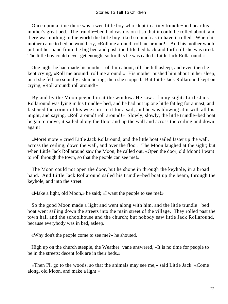Once upon a time there was a wee little boy who slept in a tiny trundle−bed near his mother's great bed. The trundle−bed had castors on it so that it could be rolled about, and there was nothing in the world the little boy liked so much as to have it rolled. When his mother came to bed he would cry, «Roll me around! roll me around!» And his mother would put out her hand from the big bed and push the little bed back and forth till she was tired. The little boy could never get enough; so for this he was called «Little Jack Rollaround.»

 One night he had made his mother roll him about, till she fell asleep, and even then he kept crying, «Roll me around! roll me around!» His mother pushed him about in her sleep, until she fell too soundly aslumbering; then she stopped. But Little Jack Rollaround kept on crying, «Roll around! roll around!»

 By and by the Moon peeped in at the window. He saw a funny sight: Little Jack Rollaround was lying in his trundle− bed, and he had put up one little fat leg for a mast, and fastened the corner of his wee shirt to it for a sail, and he was blowing at it with all his might, and saying, «Roll around! roll around!» Slowly, slowly, the little trundle−bed boat began to move; it sailed along the floor and up the wall and across the ceiling and down again!

 «More! more!» cried Little Jack Rollaround; and the little boat sailed faster up the wall, across the ceiling, down the wall, and over the floor. The Moon laughed at the sight; but when Little Jack Rollaround saw the Moon, he called out, «Open the door, old Moon! I want to roll through the town, so that the people can see me!»

 The Moon could not open the door, but he shone in through the keyhole, in a broad band. And Little Jack Rollaround sailed his trundle−bed boat up the beam, through the keyhole, and into the street.

«Make a light, old Moon,» he said; «I want the people to see me!»

 So the good Moon made a light and went along with him, and the little trundle− bed boat went sailing down the streets into the main street of the village. They rolled past the town hall and the schoolhouse and the church; but nobody saw little Jack Rollaround, because everybody was in bed, asleep.

«Why don't the people come to see me?» he shouted.

 High up on the church steeple, the Weather−vane answered, «It is no time for people to be in the streets; decent folk are in their beds.»

 «Then I'll go to the woods, so that the animals may see me,» said Little Jack. «Come along, old Moon, and make a light!»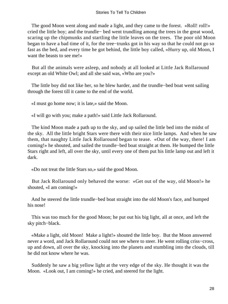#### Stories To Tell To Children

The good Moon went along and made a light, and they came to the forest. «Roll! roll!» cried the little boy; and the trundle− bed went trundling among the trees in the great wood, scaring up the chipmunks and startling the little leaves on the trees. The poor old Moon began to have a bad time of it, for the tree−trunks got in his way so that he could not go so fast as the bed, and every time he got behind, the little boy called, «Hurry up, old Moon, I want the beasts to see me!»

 But all the animals were asleep, and nobody at all looked at Little Jack Rollaround except an old White Owl; and all she said was, «Who are you?»

 The little boy did not like her, so he blew harder, and the trundle−bed boat went sailing through the forest till it came to the end of the world.

«I must go home now; it is late,» said the Moon.

«I will go with you; make a path!» said Little Jack Rollaround.

 The kind Moon made a path up to the sky, and up sailed the little bed into the midst of the sky. All the little bright Stars were there with their nice little lamps. And when he saw them, that naughty Little Jack Rollaround began to tease. «Out of the way, there! I am coming!» he shouted, and sailed the trundle−bed boat straight at them. He bumped the little Stars right and left, all over the sky, until every one of them put his little lamp out and left it dark.

«Do not treat the little Stars so,» said the good Moon.

 But Jack Rollaround only behaved the worse: «Get out of the way, old Moon!» he shouted, «I am coming!»

 And he steered the little trundle−bed boat straight into the old Moon's face, and bumped his nose!

 This was too much for the good Moon; he put out his big light, all at once, and left the sky pitch−black.

 «Make a light, old Moon! Make a light!» shouted the little boy. But the Moon answered never a word, and Jack Rollaround could not see where to steer. He went rolling criss−cross, up and down, all over the sky, knocking into the planets and stumbling into the clouds, till he did not know where he was.

 Suddenly he saw a big yellow light at the very edge of the sky. He thought it was the Moon. «Look out, I am coming!» he cried, and steered for the light.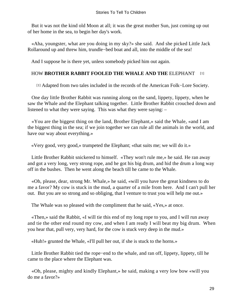But it was not the kind old Moon at all; it was the great mother Sun, just coming up out of her home in the sea, to begin her day's work.

 «Aha, youngster, what are you doing in my sky?» she said. And she picked Little Jack Rollaround up and threw him, trundle−bed boat and all, into the middle of the sea!

And I suppose he is there yet, unless somebody picked him out again.

# HOW **BROTHER RABBIT FOOLED THE WHALE AND THE** ELEPHANT [1]

[1] Adapted from two tales included in the records of the American Folk−Lore Society.

 One day little Brother Rabbit was running along on the sand, lippety, lippety, when he saw the Whale and the Elephant talking together. Little Brother Rabbit crouched down and listened to what they were saying. This was what they were saying: –

 «You are the biggest thing on the land, Brother Elephant,» said the Whale, «and I am the biggest thing in the sea; if we join together we can rule all the animals in the world, and have our way about everything.»

«Very good, very good,» trumpeted the Elephant; «that suits me; we will do it.»

 Little Brother Rabbit snickered to himself. «They won't rule me,» he said. He ran away and got a very long, very strong rope, and he got his big drum, and hid the drum a long way off in the bushes. Then he went along the beach till he came to the Whale.

 «Oh, please, dear, strong Mr. Whale,» he said, «will you have the great kindness to do me a favor? My cow is stuck in the mud, a quarter of a mile from here. And I can't pull her out. But you are so strong and so obliging, that I venture to trust you will help me out.»

The Whale was so pleased with the compliment that he said, «Yes,» at once.

 «Then,» said the Rabbit, «I will tie this end of my long rope to you, and I will run away and tie the other end round my cow, and when I am ready I will beat my big drum. When you hear that, pull very, very hard, for the cow is stuck very deep in the mud.»

«Huh!» grunted the Whale, «I'll pull her out, if she is stuck to the horns.»

 Little Brother Rabbit tied the rope−end to the whale, and ran off, lippety, lippety, till he came to the place where the Elephant was.

 «Oh, please, mighty and kindly Elephant,» he said, making a very low bow «will you do me a favor?»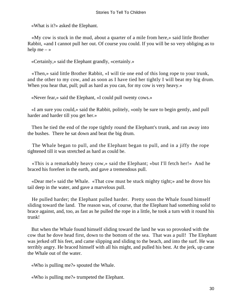«What is it?» asked the Elephant.

 «My cow is stuck in the mud, about a quarter of a mile from here,» said little Brother Rabbit, «and I cannot pull her out. Of course you could. If you will be so very obliging as to help me  $-$  »

«Certainly,» said the Elephant grandly, «certainly.»

 «Then,» said little Brother Rabbit, «I will tie one end of this long rope to your trunk, and the other to my cow, and as soon as I have tied her tightly I will beat my big drum. When you hear that, pull; pull as hard as you can, for my cow is very heavy.»

«Never fear,» said the Elephant, «I could pull twenty cows.»

 «I am sure you could,» said the Rabbit, politely, «only be sure to begin gently, and pull harder and harder till you get her.»

 Then he tied the end of the rope tightly round the Elephant's trunk, and ran away into the bushes. There he sat down and beat the big drum.

 The Whale began to pull, and the Elephant began to pull, and in a jiffy the rope tightened till it was stretched as hard as could be.

 «This is a remarkably heavy cow,» said the Elephant; «but I'll fetch her!» And he braced his forefeet in the earth, and gave a tremendous pull.

 «Dear me!» said the Whale. «That cow must be stuck mighty tight;» and he drove his tail deep in the water, and gave a marvelous pull.

 He pulled harder; the Elephant pulled harder. Pretty soon the Whale found himself sliding toward the land. The reason was, of course, that the Elephant had something solid to brace against, and, too, as fast as he pulled the rope in a little, he took a turn with it round his trunk!

 But when the Whale found himself sliding toward the land he was so provoked with the cow that he dove head first, down to the bottom of the sea. That was a pull! The Elephant was jerked off his feet, and came slipping and sliding to the beach, and into the surf. He was terribly angry. He braced himself with all his might, and pulled his best. At the jerk, up came the Whale out of the water.

«Who is pulling me?» spouted the Whale.

«Who is pulling me?» trumpeted the Elephant.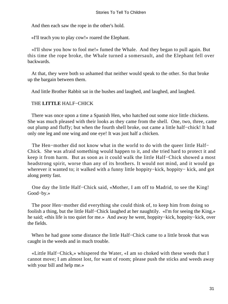And then each saw the rope in the other's hold.

«I'll teach you to play cow!» roared the Elephant.

 «I'll show you how to fool me!» fumed the Whale. And they began to pull again. But this time the rope broke, the Whale turned a somersault, and the Elephant fell over backwards.

 At that, they were both so ashamed that neither would speak to the other. So that broke up the bargain between them.

And little Brother Rabbit sat in the bushes and laughed, and laughed, and laughed.

## THE **LITTLE** HALF−CHICK

 There was once upon a time a Spanish Hen, who hatched out some nice little chickens. She was much pleased with their looks as they came from the shell. One, two, three, came out plump and fluffy; but when the fourth shell broke, out came a little half−chick! It had only one leg and one wing and one eye! It was just half a chicken.

The Hen–mother did not know what in the world to do with the queer little Half– Chick. She was afraid something would happen to it, and she tried hard to protect it and keep it from harm. But as soon as it could walk the little Half−Chick showed a most headstrong spirit, worse than any of its brothers. It would not mind, and it would go wherever it wanted to; it walked with a funny little hoppity−kick, hoppity− kick, and got along pretty fast.

 One day the little Half−Chick said, «Mother, I am off to Madrid, to see the King! Good−by.»

 The poor Hen−mother did everything she could think of, to keep him from doing so foolish a thing, but the little Half−Chick laughed at her naughtily. «I'm for seeing the King,» he said; «this life is too quiet for me.» And away he went, hoppity−kick, hoppity−kick, over the fields.

 When he had gone some distance the little Half−Chick came to a little brook that was caught in the weeds and in much trouble.

 «Little Half−Chick,» whispered the Water, «I am so choked with these weeds that I cannot move; I am almost lost, for want of room; please push the sticks and weeds away with your bill and help me.»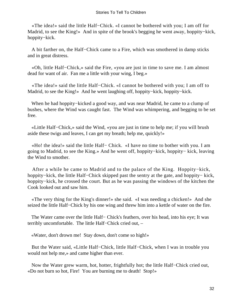#### Stories To Tell To Children

 «The idea!» said the little Half−Chick. «I cannot be bothered with you; I am off for Madrid, to see the King!» And in spite of the brook's begging he went away, hoppity−kick, hoppity−kick.

 A bit farther on, the Half−Chick came to a Fire, which was smothered in damp sticks and in great distress.

 «Oh, little Half−Chick,» said the Fire, «you are just in time to save me. I am almost dead for want of air. Fan me a little with your wing, I beg.»

 «The idea!» said the little Half−Chick. «I cannot be bothered with you; I am off to Madrid, to see the King!» And he went laughing off, hoppity−kick, hoppity−kick.

 When he had hoppity−kicked a good way, and was near Madrid, he came to a clump of bushes, where the Wind was caught fast. The Wind was whimpering, and begging to be set free.

 «Little Half−Chick,» said the Wind, «you are just in time to help me; if you will brush aside these twigs and leaves, I can get my breath; help me, quickly!»

 «Ho! the idea!» said the little Half− Chick. «I have no time to bother with you. I am going to Madrid, to see the King.» And he went off, hoppity−kick, hoppity− kick, leaving the Wind to smother.

 After a while he came to Madrid and to the palace of the King. Hoppity−kick, hoppity−kick, the little Half−Chick skipped past the sentry at the gate, and hoppity− kick, hoppity−kick, he crossed the court. But as he was passing the windows of the kitchen the Cook looked out and saw him.

 «The very thing for the King's dinner!» she said. «I was needing a chicken!» And she seized the little Half−Chick by his one wing and threw him into a kettle of water on the fire.

The Water came over the little Half– Chick's feathers, over his head, into his eye; It was terribly uncomfortable. The little Half−Chick cried out, –

«Water, don't drown me! Stay down, don't come so high!»

 But the Water said, «Little Half−Chick, little Half−Chick, when I was in trouble you would not help me,» and came higher than ever.

 Now the Water grew warm, hot, hotter, frightfully hot; the little Half−Chick cried out, «Do not burn so hot, Fire! You are burning me to death! Stop!»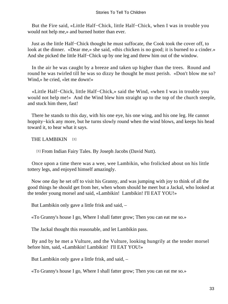#### Stories To Tell To Children

 But the Fire said, «Little Half−Chick, little Half−Chick, when I was in trouble you would not help me,» and burned hotter than ever.

 Just as the little Half−Chick thought he must suffocate, the Cook took the cover off, to look at the dinner. «Dear me,» she said, «this chicken is no good; it is burned to a cinder.» And she picked the little Half−Chick up by one leg and threw him out of the window.

 In the air he was caught by a breeze and taken up higher than the trees. Round and round he was twirled till he was so dizzy he thought he must perish. «Don't blow me so? Wind,» he cried, «let me down!»

 «Little Half−Chick, little Half−Chick,» said the Wind, «when I was in trouble you would not help me!» And the Wind blew him straight up to the top of the church steeple, and stuck him there, fast!

 There he stands to this day, with his one eye, his one wing, and his one leg. He cannot hoppity−kick any more, but he turns slowly round when the wind blows, and keeps his head toward it, to hear what it says.

THE LAMBIKIN [1]

[1] From Indian Fairy Tales. By Joseph Jacobs (David Nutt).

 Once upon a time there was a wee, wee Lambikin, who frolicked about on his little tottery legs, and enjoyed himself amazingly.

 Now one day he set off to visit his Granny, and was jumping with joy to think of all the good things he should get from her, when whom should he meet but a Jackal, who looked at the tender young morsel and said, «Lambikin! Lambikin! I'll EAT YOU!»

But Lambikin only gave a little frisk and said, –

«To Granny's house I go, Where I shall fatter grow; Then you can eat me so.»

The Jackal thought this reasonable, and let Lambikin pass.

 By and by he met a Vulture, and the Vulture, looking hungrily at the tender morsel before him, said, «Lambikin! Lambikin! I'll EAT YOU!»

But Lambikin only gave a little frisk, and said, –

«To Granny's house I go, Where I shall fatter grow; Then you can eat me so.»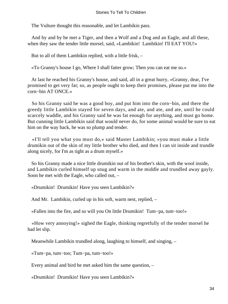The Vulture thought this reasonable, and let Lambikin pass.

 And by and by he met a Tiger, and then a Wolf and a Dog and an Eagle, and all these, when they saw the tender little morsel, said, «Lambikin! Lambikin! I'll EAT YOU!»

But to all of them Lambikin replied, with a little frisk, –

«To Granny's house I go, Where I shall fatter grow; Then you can eat me so.»

 At last he reached his Granny's house, and said, all in a great hurry, «Granny, dear, I've promised to get very fat; so, as people ought to keep their promises, please put me into the corn−bin AT ONCE.»

 So his Granny said he was a good boy, and put him into the corn−bin, and there the greedy little Lambikin stayed for seven days, and ate, and ate, and ate, until he could scarcely waddle, and his Granny said he was fat enough for anything, and must go home. But cunning little Lambikin said that would never do, for some animal would be sure to eat him on the way back, he was so plump and tender.

 «I'll tell you what you must do,» said Master Lambikin; «you must make a little drumikin out of the skin of my little brother who died, and then I can sit inside and trundle along nicely, for I'm as tight as a drum myself.»

 So his Granny made a nice little drumikin out of his brother's skin, with the wool inside, and Lambikin curled himself up snug and warm in the middle and trundled away gayly. Soon he met with the Eagle, who called out, –

«Drumikin! Drumikin! Have you seen Lambikin?»

And Mr. Lambikin, curled up in his soft, warm nest, replied, –

«Fallen into the fire, and so will you On little Drumikin! Tum−pa, tum−too!»

 «How very annoying!» sighed the Eagle, thinking regretfully of the tender morsel he had let slip.

Meanwhile Lambikin trundled along, laughing to himself, and singing, –

«Tum−pa, tum−too; Tum−pa, tum−too!»

Every animal and bird he met asked him the same question, –

«Drumikin! Drumikin! Have you seen Lambikin?»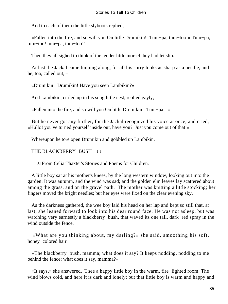And to each of them the little slyboots replied, –

 «Fallen into the fire, and so will you On little Drumikin! Tum−pa, tum−too!» Tum−pa, tum−too! tum−pa, tum−too!"

Then they all sighed to think of the tender little morsel they had let slip.

 At last the Jackal came limping along, for all his sorry looks as sharp as a needle, and he, too, called out, –

«Drumikin! Drumikin! Have you seen Lambikin?»

And Lambikin, curled up in his snug little nest, replied gayly, –

«Fallen into the fire, and so will you On little Drumikin! Tum−pa – »

 But he never got any further, for the Jackal recognized his voice at once, and cried, «Hullo! you've turned yourself inside out, have you? Just you come out of that!»

Whereupon he tore open Drumikin and gobbled up Lambikin.

THE BLACKBERRY-BUSH [1]

[1] From Celia Thaxter's Stories and Poems for Children.

 A little boy sat at his mother's knees, by the long western window, looking out into the garden. It was autumn, and the wind was sad; and the golden elm leaves lay scattered about among the grass, and on the gravel path. The mother was knitting a little stocking; her fingers moved the bright needles; but her eyes were fixed on the clear evening sky.

 As the darkness gathered, the wee boy laid his head on her lap and kept so still that, at last, she leaned forward to look into his dear round face. He was not asleep, but was watching very earnestly a blackberry−bush, that waved its one tall, dark−red spray in the wind outside the fence.

 «What are you thinking about, my darling?» she said, smoothing his soft, honey−colored hair.

 «The blackberry−bush, mamma; what does it say? It keeps nodding, nodding to me behind the fence; what does it say, mamma?»

 «It says,» she answered, `I see a happy little boy in the warm, fire−lighted room. The wind blows cold, and here it is dark and lonely; but that little boy is warm and happy and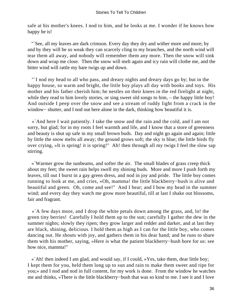safe at his mother's knees. I nod to him, and he looks at me. I wonder if he knows how happy he is!

"See, all my leaves are dark crimson. Every day they dry and wither more and more; by and by they will be so weak they can scarcely cling to my branches, and the north wind will tear them all away, and nobody will remember them any more. Then the snow will sink down and wrap me close. Then the snow will melt again and icy rain will clothe me, and the bitter wind will rattle my bare twigs up and down.

 "`I nod my head to all who pass, and dreary nights and dreary days go by; but in the happy house, so warm and bright, the little boy plays all day with books and toys. His mother and his father cherish him; he nestles on their knees in the red firelight at night, while they read to him lovely stories, or sing sweet old songs to him, – the happy little boy! And outside I peep over the snow and see a stream of ruddy light from a crack in the window− shutter, and I nod out here alone in the dark, thinking how beautiful it is.

 «`And here I wait patiently. I take the snow and the rain and the cold, and I am not sorry, but glad; for in my roots I feel warmth and life, and I know that a store of greenness and beauty is shut up safe in my small brown buds. Day and night go again and again; little by little the snow melts all away; the ground grows soft; the sky is blue; the little birds fly over crying, »It is spring! it is spring!" Ah! then through all my twigs I feel the slow sap stirring.

 «`Warmer grow the sunbeams, and softer the air. The small blades of grass creep thick about my feet; the sweet rain helps swell my shining buds. More and more I push forth my leaves, till out I burst in a gay green dress, and nod in joy and pride. The little boy comes running to look at me, and cries, »Oh, mamma! the little blackberry−bush is alive and beautiful and green. Oh, come and see!" And I hear; and I bow my head in the summer wind; and every day they watch me grow more beautiful, till at last I shake out blossoms, fair and fragrant.

 «`A few days more, and I drop the white petals down among the grass, and, lo! the green tiny berries! Carefully I hold them up to the sun; carefully I gather the dew in the summer nights; slowly they ripen; they grow larger and redder and darker, and at last they are black, shining, delicious. I hold them as high as I can for the little boy, who comes dancing out. He shouts with joy, and gathers them in his dear hand; and he runs to share them with his mother, saying, »Here is what the patient blackberry−bush bore for us: see how nice, mamma!"

 «`Ah! then indeed I am glad, and would say, if I could, »Yes, take them, dear little boy; I kept them for you, held them long up to sun and rain to make them sweet and ripe for you;« and I nod and nod in full content, for my work is done. From the window he watches me and thinks, »There is the little blackberry−bush that was so kind to me. I see it and I love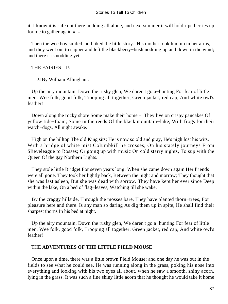it. I know it is safe out there nodding all alone, and next summer it will hold ripe berries up for me to gather again.« '»

 Then the wee boy smiled, and liked the little story. His mother took him up in her arms, and they went out to supper and left the blackberry−bush nodding up and down in the wind; and there it is nodding yet.

THE FAIRIES [1]

[1] By William Allingham.

 Up the airy mountain, Down the rushy glen, We daren't go a−hunting For fear of little men. Wee folk, good folk, Trooping all together; Green jacket, red cap, And white owl's feather!

 Down along the rocky shore Some make their home – They live on crispy pancakes Of yellow tide−foam; Some in the reeds Of the black mountain−lake, With frogs for their watch−dogs, All night awake.

 High on the hilltop The old King sits; He is now so old and gray, He's nigh lost his wits. With a bridge of white mist Columbkill he crosses, On his stately journeys From Slieveleague to Rosses; Or going up with music On cold starry nights, To sup with the Queen Of the gay Northern Lights.

 They stole little Bridget For seven years long; When she came down again Her friends were all gone. They took her lightly back, Between the night and morrow; They thought that she was fast asleep, But she was dead with sorrow. They have kept her ever since Deep within the lake, On a bed of flag−leaves, Watching till she wake.

 By the craggy hillside, Through the mosses bare, They have planted thorn−trees, For pleasure here and there. Is any man so daring As dig them up in spite, He shall find their sharpest thorns In his bed at night.

 Up the airy mountain, Down the rushy glen, We daren't go a−hunting For fear of little men. Wee folk, good folk, Trooping all together; Green jacket, red cap, And white owl's feather!

# THE **ADVENTURES OF THE LITTLE FIELD MOUSE**

 Once upon a time, there was a little brown Field Mouse; and one day he was out in the fields to see what he could see. He was running along in the grass, poking his nose into everything and looking with his two eyes all about, when he saw a smooth, shiny acorn, lying in the grass. It was such a fine shiny little acorn that he thought he would take it home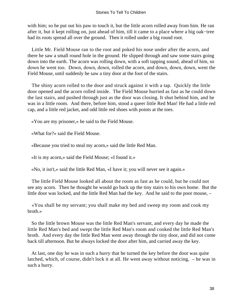#### Stories To Tell To Children

with him; so he put out his paw to touch it, but the little acorn rolled away from him. He ran after it, but it kept rolling on, just ahead of him, till it came to a place where a big oak−tree had its roots spread all over the ground. Then it rolled under a big round root.

 Little Mr. Field Mouse ran to the root and poked his nose under after the acorn, and there he saw a small round hole in the ground. He slipped through and saw some stairs going down into the earth. The acorn was rolling down, with a soft tapping sound, ahead of him, so down he went too. Down, down, down, rolled the acorn, and down, down, down, went the Field Mouse, until suddenly he saw a tiny door at the foot of the stairs.

 The shiny acorn rolled to the door and struck against it with a tap. Quickly the little door opened and the acorn rolled inside. The Field Mouse hurried as fast as he could down the last stairs, and pushed through just as the door was closing. It shut behind him, and he was in a little room. And there, before him, stood a queer little Red Man! He had a little red cap, and a little red jacket, and odd little red shoes with points at the toes.

«You are my prisoner,» he said to the Field Mouse.

«What for?» said the Field Mouse.

«Because you tried to steal my acorn,» said the little Red Man.

«It is my acorn,» said the Field Mouse; «I found it.»

«No, it isn't,» said the little Red Man, «I have it; you will never see it again.»

 The little Field Mouse looked all about the room as fast as he could, but he could not see any acorn. Then he thought he would go back up the tiny stairs to his own home. But the little door was locked, and the little Red Man had the key. And he said to the poor mouse, –

 «You shall be my servant; you shall make my bed and sweep my room and cook my broth.»

 So the little brown Mouse was the little Red Man's servant, and every day he made the little Red Man's bed and swept the little Red Man's room and cooked the little Red Man's broth. And every day the little Red Man went away through the tiny door, and did not come back till afternoon. But he always locked the door after him, and carried away the key.

 At last, one day he was in such a hurry that he turned the key before the door was quite latched, which, of course, didn't lock it at all. He went away without noticing, – he was in such a hurry.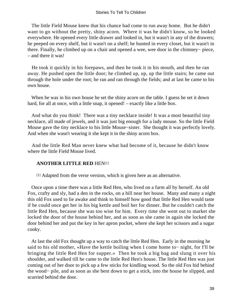The little Field Mouse knew that his chance had come to run away home. But he didn't want to go without the pretty, shiny acorn. Where it was he didn't know, so he looked everywhere. He opened every little drawer and looked in, but it wasn't in any of the drawers; he peeped on every shelf, but it wasn't on a shelf; he hunted in every closet, but it wasn't in there. Finally, he climbed up on a chair and opened a wee, wee door in the chimney− piece, – and there it was!

 He took it quickly in his forepaws, and then he took it in his mouth, and then he ran away. He pushed open the little door; he climbed up, up, up the little stairs; he came out through the hole under the root; he ran and ran through the fields; and at last he came to his own house.

When he was in his own house he set the shiny acorn on the table. I guess he set it down hard, for all at once, with a little snap, it opened! – exactly like a little box.

 And what do you think! There was a tiny necklace inside! It was a most beautiful tiny necklace, all made of jewels, and it was just big enough for a lady mouse. So the little Field Mouse gave the tiny necklace to his little Mouse−sister. She thought it was perfectly lovely. And when she wasn't wearing it she kept it in the shiny acorn box.

 And the little Red Man never knew what had become of it, because he didn't know where the little Field Mouse lived.

# **ANOTHER LITTLE RED** HEN[1]

[1] Adapted from the verse version, which is given here as an alternative.

 Once upon a time there was a little Red Hen, who lived on a farm all by herself. An old Fox, crafty and sly, had a den in the rocks, on a hill near her house. Many and many a night this old Fox used to lie awake and think to himself how good that little Red Hen would taste if he could once get her in his big kettle and boil her for dinner. But he couldn't catch the little Red Hen, because she was too wise for him. Every time she went out to market she locked the door of the house behind her, and as soon as she came in again she locked the door behind her and put the key in her apron pocket, where she kept her scissors and a sugar cooky.

 At last the old Fox thought up a way to catch the little Red Hen. Early in the morning he said to his old mother, «Have the kettle boiling when I come home to− night, for I'll be bringing the little Red Hen for supper.» Then he took a big bag and slung it over his shoulder, and walked till he came to the little Red Hen's house. The little Red Hen was just coming out of her door to pick up a few sticks for kindling wood. So the old Fox hid behind the wood− pile, and as soon as she bent down to get a stick, into the house he slipped, and scurried behind the door.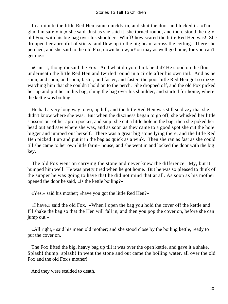In a minute the little Red Hen came quickly in, and shut the door and locked it. «I'm glad I'm safely in,» she said. Just as she said it, she turned round, and there stood the ugly old Fox, with his big bag over his shoulder. Whiff! how scared the little Red Hen was! She dropped her apronful of sticks, and flew up to the big beam across the ceiling. There she perched, and she said to the old Fox, down below, «You may as well go home, for you can't get me.»

 «Can't I, though!» said the Fox. And what do you think he did? He stood on the floor underneath the little Red Hen and twirled round in a circle after his own tail. And as he spun, and spun, and spun, faster, and faster, and faster, the poor little Red Hen got so dizzy watching him that she couldn't hold on to the perch. She dropped off, and the old Fox picked her up and put her in his bag, slung the bag over his shoulder, and started for home, where the kettle was boiling.

 He had a very long way to go, up hill, and the little Red Hen was still so dizzy that she didn't know where she was. But when the dizziness began to go off, she whisked her little scissors out of her apron pocket, and snip! she cut a little hole in the bag; then she poked her head out and saw where she was, and as soon as they came to a good spot she cut the hole bigger and jumped out herself. There was a great big stone lying there, and the little Red Hen picked it up and put it in the bag as quick as a wink. Then she ran as fast as she could till she came to her own little farm− house, and she went in and locked the door with the big key.

 The old Fox went on carrying the stone and never knew the difference. My, but it bumped him well! He was pretty tired when he got home. But he was so pleased to think of the supper he was going to have that he did not mind that at all. As soon as his mother opened the door he said, «Is the kettle boiling?»

«Yes,» said his mother; «have you got the little Red Hen?»

 «I have,» said the old Fox. «When I open the bag you hold the cover off the kettle and I'll shake the bag so that the Hen will fall in, and then you pop the cover on, before she can jump out.»

 «All right,» said his mean old mother; and she stood close by the boiling kettle, ready to put the cover on.

 The Fox lifted the big, heavy bag up till it was over the open kettle, and gave it a shake. Splash! thump! splash! In went the stone and out came the boiling water, all over the old Fox and the old Fox's mother!

And they were scalded to death.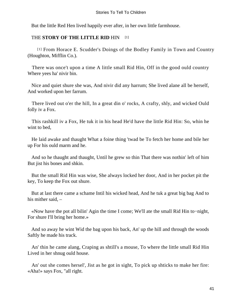But the little Red Hen lived happily ever after, in her own little farmhouse.

## THE **STORY OF THE LITTLE RID** HIN [1]

[1] From Horace E. Scudder's Doings of the Bodley Family in Town and Country (Houghton, Mifflin Co.).

 There was once't upon a time A little small Rid Hin, Off in the good ould country Where yees ha' nivir bin.

 Nice and quiet shure she was, And nivir did any harrum; She lived alane all be herself, And worked upon her farrum.

 There lived out o'er the hill, In a great din o' rocks, A crafty, shly, and wicked Ould folly iv a Fox.

 This rashkill iv a Fox, He tuk it in his head He'd have the little Rid Hin: So, whin he wint to bed,

 He laid awake and thaught What a foine thing 'twad be To fetch her home and bile her up For his ould marm and he.

 And so he thaught and thaught, Until he grew so thin That there was nothin' left of him But jist his bones and shkin.

 But the small Rid Hin was wise, She always locked her door, And in her pocket pit the key, To keep the Fox out shure.

 But at last there came a schame Intil his wicked head, And he tuk a great big bag And to his mither said,  $-$ 

 «Now have the pot all bilin' Agin the time I come; We'll ate the small Rid Hin to−night, For shure I'll bring her home.»

 And so away he wint Wid the bag upon his back, An' up the hill and through the woods Saftly he made his track.

 An' thin he came alang, Craping as shtill's a mouse, To where the little small Rid Hin Lived in her shnug ould house.

 An' out she comes hersel', Jist as he got in sight, To pick up shticks to make her fire: «Aha!» says Fox, "all right.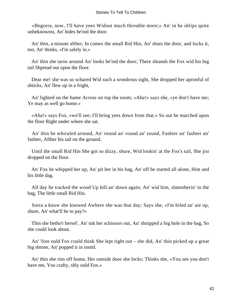«Begorra, now, I'll have yees Widout much throuble more;» An' in he shlips quite unbeknownst, An' hides be'ind the door.

 An' thin, a minute afther, In comes the small Rid Hin, An' shuts the door, and locks it, too, An' thinks, «I'm safely in.»

 An' thin she tarns around An' looks be'ind the door; There shtands the Fox wid his big tail Shpread out upon the floor.

 Dear me! she was so schared Wid such a wondrous sight, She dropped her apronful of shticks, An' flew up in a fright,

 An' lighted on the bame Across on top the room; «Aha!» says she, «ye don't have me; Ye may as well go home.»

 «Aha!» says Fox, «we'll see; I'll bring yees down from that.» So out he marched upon the floor Right under where she sat.

 An' thin he whiruled around, An' round an' round an' round, Fashter an' fashter an' fashter, Afther his tail on the ground.

 Until the small Rid Hin She got so dizzy, shure, Wid lookin' at the Fox's tail, She jist dropped on the floor.

 An' Fox he whipped her up, An' pit her in his bag, An' off he started all alone, Him and his little dag.

 All day he tracked the wood Up hill an' down again; An' wid him, shmotherin' in the bag, The little small Rid Hin.

 Sorra a know she knowed Awhere she was that day; Says she, «I'm biled an' ate up, shure, An' what'll be to pay?»

 Thin she betho't hersel', An' tuk her schissors out, An' shnipped a big hole in the bag, So she could look about.

 An' 'fore ould Fox could think She lept right out – she did, An' thin picked up a great big shtone, An' popped it in instid.

 An' thin she rins off home, Her outside door she locks; Thinks she, «You see you don't have me, You crafty, shly ould Fox.»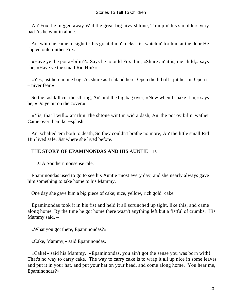An' Fox, he tugged away Wid the great big hivy shtone, Thimpin' his shoulders very bad As he wint in alone.

 An' whin he came in sight O' his great din o' rocks, Jist watchin' for him at the door He shpied ould mither Fox.

 «Have ye the pot a−bilin'?» Says he to ould Fox thin; «Shure an' it is, me child,» says she; «Have ye the small Rid Hin?»

 «Yes, jist here in me bag, As shure as I shtand here; Open the lid till I pit her in: Open it – niver fear.»

 So the rashkill cut the sthring, An' hild the big bag over; «Now when I shake it in,» says he, «Do ye pit on the cover.»

 «Yis, that I will;» an' thin The shtone wint in wid a dash, An' the pot oy bilin' wather Came over them ker−splash.

 An' schalted 'em both to death, So they couldn't brathe no more; An' the little small Rid Hin lived safe, Jist where she lived before.

# THE **STORY OF EPAMINONDAS AND HIS** AUNTIE [1]

[1] A Southern nonsense tale.

 Epaminondas used to go to see his Auntie 'most every day, and she nearly always gave him something to take home to his Mammy.

One day she gave him a big piece of cake; nice, yellow, rich gold−cake.

 Epaminondas took it in his fist and held it all scrunched up tight, like this, and came along home. By the time he got home there wasn't anything left but a fistful of crumbs. His Mammy said, –

«What you got there, Epaminondas?»

«Cake, Mammy,» said Epaminondas.

 «Cake!» said his Mammy. «Epaminondas, you ain't got the sense you was born with! That's no way to carry cake. The way to carry cake is to wrap it all up nice in some leaves and put it in your hat, and put your hat on your head, and come along home. You hear me, Epaminondas?»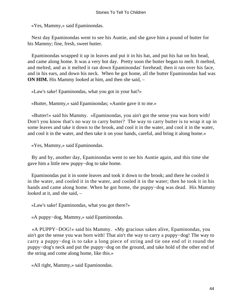«Yes, Mammy,» said Epaminondas.

 Next day Epaminondas went to see his Auntie, and she gave him a pound of butter for his Mammy; fine, fresh, sweet butter.

 Epaminondas wrapped it up in leaves and put it in his hat, and put his hat on his head, and came along home. It was a very hot day. Pretty soon the butter began to melt. It melted, and melted, and as it melted it ran down Epaminondas' forehead; then it ran over his face, and in his ears, and down his neck. When he got home, all the butter Epaminondas had was **ON HIM.** His Mammy looked at him, and then she said, –

«Law's sake! Epaminondas, what you got in your hat?»

«Butter, Mammy,» said Epaminondas; «Auntie gave it to me.»

 «Butter!» said his Mammy. «Epaminondas, you ain't got the sense you was born with! Don't you know that's no way to carry butter? The way to carry butter is to wrap it up in some leaves and take it down to the brook, and cool it in the water, and cool it in the water, and cool it in the water, and then take it on your hands, careful, and bring it along home.»

«Yes, Mammy,» said Epaminondas.

 By and by, another day, Epaminondas went to see his Auntie again, and this time she gave him a little new puppy−dog to take home.

 Epaminondas put it in some leaves and took it down to the brook; and there he cooled it in the water, and cooled it in the water, and cooled it in the water; then he took it in his hands and came along home. When he got home, the puppy−dog was dead. His Mammy looked at it, and she said, –

«Law's sake! Epaminondas, what you got there?»

«A puppy−dog, Mammy,» said Epaminondas.

 «A PUPPY−DOG!» said his Mammy. «My gracious sakes alive, Epaminondas, you ain't got the sense you was born with! That ain't the way to carry a puppy−dog! The way to carry a puppy−dog is to take a long piece of string and tie one end of it round the puppy−dog's neck and put the puppy−dog on the ground, and take hold of the other end of the string and come along home, like this.»

«All right, Mammy,» said Epaminondas.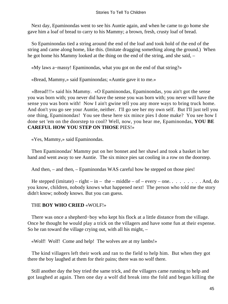Next day, Epaminondas went to see his Auntie again, and when he came to go home she gave him a loaf of bread to carry to his Mammy; a brown, fresh, crusty loaf of bread.

 So Epaminondas tied a string around the end of the loaf and took hold of the end of the string and came along home, like this. (Imitate dragging something along the ground.) When he got home his Mammy looked at the thing on the end of the string, and she said, –

«My laws a−massy! Epaminondas, what you got on the end of that string?»

«Bread, Mammy,» said Epaminondas; «Auntie gave it to me.»

 «Bread!!!» said his Mammy. «O Epaminondas, Epaminondas, you ain't got the sense you was born with; you never did have the sense you was born with; you never will have the sense you was born with! Now I ain't gwine tell you any more ways to bring truck home. And don't you go see your Auntie, neither. I'll go see her my own self. But I'll just tell you one thing, Epaminondas! You see these here six mince pies I done make? You see how I done set 'em on the doorstep to cool? Well, now, you hear me, Epaminondas, **YOU BE CAREFUL HOW YOU STEP ON THOSE** PIES!»

«Yes, Mammy,» said Epaminondas.

 Then Epaminondas' Mammy put on her bonnet and her shawl and took a basket in her hand and went away to see Auntie. The six mince pies sat cooling in a row on the doorstep.

And then, – and then, – Epaminondas WAS careful how he stepped on those pies!

He stepped (imitate) – right – in – the – middle – of – every – one......... And, do you know, children, nobody knows what happened next! The person who told me the story didn't know; nobody knows. But you can guess.

### THE **BOY WHO CRIED** «WOLF!»

There was once a shepherd–boy who kept his flock at a little distance from the village. Once he thought he would play a trick on the villagers and have some fun at their expense. So he ran toward the village crying out, with all his might, –

«Wolf! Wolf! Come and help! The wolves are at my lambs!»

 The kind villagers left their work and ran to the field to help him. But when they got there the boy laughed at them for their pains; there was no wolf there.

 Still another day the boy tried the same trick, and the villagers came running to help and got laughed at again. Then one day a wolf did break into the fold and began killing the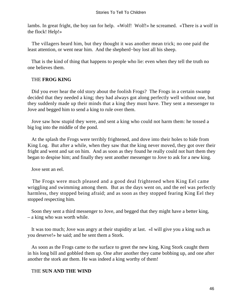lambs. In great fright, the boy ran for help. «Wolf! Wolf!» he screamed. «There is a wolf in the flock! Help!»

 The villagers heard him, but they thought it was another mean trick; no one paid the least attention, or went near him. And the shepherd−boy lost all his sheep.

 That is the kind of thing that happens to people who lie: even when they tell the truth no one believes them.

# THE **FROG KING**

Did you ever hear the old story about the foolish Frogs? The Frogs in a certain swamp decided that they needed a king; they had always got along perfectly well without one, but they suddenly made up their minds that a king they must have. They sent a messenger to Jove and begged him to send a king to rule over them.

 Jove saw how stupid they were, and sent a king who could not harm them: he tossed a big log into the middle of the pond.

 At the splash the Frogs were terribly frightened, and dove into their holes to hide from King Log. But after a while, when they saw that the king never moved, they got over their fright and went and sat on him. And as soon as they found he really could not hurt them they began to despise him; and finally they sent another messenger to Jove to ask for a new king.

Jove sent an eel.

 The Frogs were much pleased and a good deal frightened when King Eel came wriggling and swimming among them. But as the days went on, and the eel was perfectly harmless, they stopped being afraid; and as soon as they stopped fearing King Eel they stopped respecting him.

 Soon they sent a third messenger to Jove, and begged that they might have a better king, – a king who was worth while.

 It was too much; Jove was angry at their stupidity at last. «I will give you a king such as you deserve!» he said; and he sent them a Stork.

 As soon as the Frogs came to the surface to greet the new king, King Stork caught them in his long bill and gobbled them up. One after another they came bobbing up, and one after another the stork ate them. He was indeed a king worthy of them!

# THE **SUN AND THE WIND**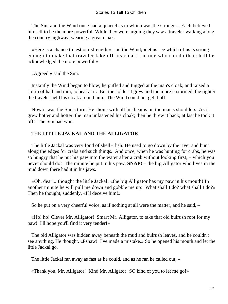The Sun and the Wind once had a quarrel as to which was the stronger. Each believed himself to be the more powerful. While they were arguing they saw a traveler walking along the country highway, wearing a great cloak.

 «Here is a chance to test our strength,» said the Wind; «let us see which of us is strong enough to make that traveler take off his cloak; the one who can do that shall be acknowledged the more powerful.»

«Agreed,» said the Sun.

 Instantly the Wind began to blow; he puffed and tugged at the man's cloak, and raised a storm of hail and rain, to beat at it. But the colder it grew and the more it stormed, the tighter the traveler held his cloak around him. The Wind could not get it off.

 Now it was the Sun's turn. He shone with all his beams on the man's shoulders. As it grew hotter and hotter, the man unfastened his cloak; then he threw it back; at last he took it off! The Sun had won.

## THE **LITTLE JACKAL AND THE ALLIGATOR**

 The little Jackal was very fond of shell− fish. He used to go down by the river and hunt along the edges for crabs and such things. And once, when he was hunting for crabs, he was so hungry that he put his paw into the water after a crab without looking first, – which you never should do! The minute he put in his paw, **SNAP!** – the big Alligator who lives in the mud down there had it in his jaws.

 «Oh, dear!» thought the little Jackal; «the big Alligator has my paw in his mouth! In another minute he will pull me down and gobble me up! What shall I do? what shall I do?» Then he thought, suddenly, «I'll deceive him!»

So he put on a very cheerful voice, as if nothing at all were the matter, and he said, –

 «Ho! ho! Clever Mr. Alligator! Smart Mr. Alligator, to take that old bulrush root for my paw! I'll hope you'll find it very tender!»

 The old Alligator was hidden away beneath the mud and bulrush leaves, and he couldn't see anything. He thought, «Pshaw! I've made a mistake.» So he opened his mouth and let the little Jackal go.

The little Jackal ran away as fast as he could, and as he ran he called out, –

«Thank you, Mr. Alligator! Kind Mr. Alligator! SO kind of you to let me go!»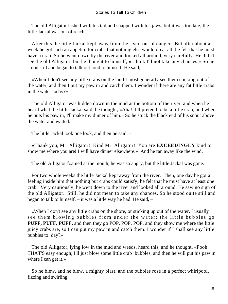The old Alligator lashed with his tail and snapped with his jaws, but it was too late; the little Jackal was out of reach.

 After this the little Jackal kept away from the river, out of danger. But after about a week he got such an appetite for crabs that nothing else would do at all; he felt that he must have a crab. So he went down by the river and looked all around, very carefully. He didn't see the old Alligator, but he thought to himself, «I think I'll not take any chances.» So he stood still and began to talk out loud to himself. He said, –

 «When I don't see any little crabs on the land I most generally see them sticking out of the water, and then I put my paw in and catch them. I wonder if there are any fat little crabs in the water today?»

 The old Alligator was hidden down in the mud at the bottom of the river, and when he heard what the little Jackal said, he thought, «Aha! I'll pretend to be a little crab, and when he puts his paw in, I'll make my dinner of him.» So he stuck the black end of his snout above the water and waited.

The little Jackal took one look, and then he said, –

 «Thank you, Mr. Alligator! Kind Mr. Alligator! You are **EXCEEDINGLY** kind to show me where you are! I will have dinner elsewhere.» And he ran away like the wind.

The old Alligator foamed at the mouth, he was so angry, but the little Jackal was gone.

 For two whole weeks the little Jackal kept away from the river. Then, one day he got a feeling inside him that nothing but crabs could satisfy; he felt that he must have at least one crab. Very cautiously, he went down to the river and looked all around. He saw no sign of the old Alligator. Still, he did not mean to take any chances. So he stood quite still and began to talk to himself, – it was a little way he had. He said, –

 «When I don't see any little crabs on the shore, or sticking up out of the water, I usually see them blowing bubbles from under the water; the little bubbles go **PUFF, PUFF, PUFF,** and then they go POP, POP, POP, and they show me where the little juicy crabs are, so I can put my paw in and catch them. I wonder if I shall see any little bubbles to−day?»

 The old Alligator, lying low in the mud and weeds, heard this, and he thought, «Pooh! THAT'S easy enough; I'll just blow some little crab−bubbles, and then he will put his paw in where I can get it.»

 So he blew, and he blew, a mighty blast, and the bubbles rose in a perfect whirlpool, fizzing and swirling.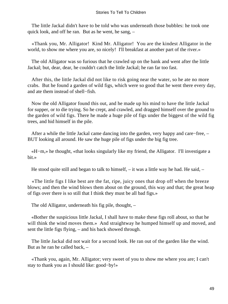The little Jackal didn't have to be told who was underneath those bubbles: he took one quick look, and off he ran. But as he went, he sang, –

 «Thank you, Mr. Alligator! Kind Mr. Alligator! You are the kindest Alligator in the world, to show me where you are, so nicely! I'll breakfast at another part of the river.»

 The old Alligator was so furious that he crawled up on the bank and went after the little Jackal; but, dear, dear, he couldn't catch the little Jackal; he ran far too fast.

 After this, the little Jackal did not like to risk going near the water, so he ate no more crabs. But he found a garden of wild figs, which were so good that he went there every day, and ate them instead of shell−fish.

 Now the old Alligator found this out, and he made up his mind to have the little Jackal for supper, or to die trying. So he crept, and crawled, and dragged himself over the ground to the garden of wild figs. There he made a huge pile of figs under the biggest of the wild fig trees, and hid himself in the pile.

 After a while the little Jackal came dancing into the garden, very happy and care−free, – BUT looking all around. He saw the huge pile of figs under the big fig tree.

 «H−m,» he thought, «that looks singularly like my friend, the Alligator. I'll investigate a bit.»

He stood quite still and began to talk to himself, – it was a little way he had. He said, –

 «The little figs I like best are the fat, ripe, juicy ones that drop off when the breeze blows; and then the wind blows them about on the ground, this way and that; the great heap of figs over there is so still that I think they must be all bad figs.»

The old Alligator, underneath his fig pile, thought, –

 «Bother the suspicious little Jackal, I shall have to make these figs roll about, so that he will think the wind moves them.» And straightway he humped himself up and moved, and sent the little figs flying, – and his back showed through.

 The little Jackal did not wait for a second look. He ran out of the garden like the wind. But as he ran he called back, –

 «Thank you, again, Mr. Alligator; very sweet of you to show me where you are; I can't stay to thank you as I should like: good−by!»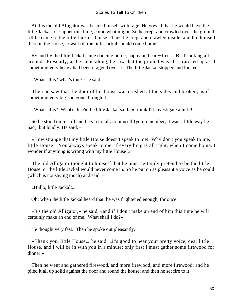#### Stories To Tell To Children

 At this the old Alligator was beside himself with rage. He vowed that he would have the little Jackal for supper this time, come what might. So he crept and crawled over the ground till he came to the little Jackal's house. Then he crept and crawled inside, and hid himself there in the house, to wait till the little Jackal should come home.

 By and by the little Jackal came dancing home, happy and care−free, – BUT looking all around. Presently, as he came along, he saw that the ground was all scratched up as if something very heavy had been dragged over it. The little Jackal stopped and looked.

«What's this? what's this?» he said.

 Then he saw that the door of his house was crushed at the sides and broken, as if something very big had gone through it.

«What's this? What's this?» the little Jackal said. «I think I'll investigate a little!»

 So he stood quite still and began to talk to himself (you remember, it was a little way he had), but loudly. He said,  $-$ 

 «How strange that my little House doesn't speak to me! Why don't you speak to me, little House? You always speak to me, if everything is all right, when I come home. I wonder if anything is wrong with my little House?»

 The old Alligator thought to himself that he must certainly pretend to be the little House, or the little Jackal would never come in. So he put on as pleasant a voice as he could (which is not saying much) and said, –

«Hullo, little Jackal!»

Oh! when the little Jackal heard that, he was frightened enough, for once.

 «It's the old Alligator,» he said, «and if I don't make an end of him this time he will certainly make an end of me. What shall I do?»

He thought very fast. Then he spoke out pleasantly.

 «Thank you, little House,» he said, «it's good to hear your pretty voice, dear little House, and I will be in with you in a minute; only first I must gather some firewood for dinner.»

 Then he went and gathered firewood, and more firewood, and more firewood; and he piled it all up solid against the door and round the house; and then he set fire to it!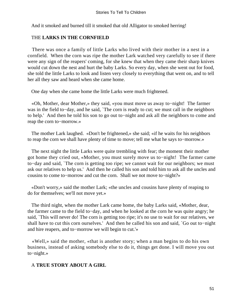And it smoked and burned till it smoked that old Alligator to smoked herring!

# THE **LARKS IN THE CORNFIELD**

 There was once a family of little Larks who lived with their mother in a nest in a cornfield. When the corn was ripe the mother Lark watched very carefully to see if there were any sign of the reapers' coming, for she knew that when they came their sharp knives would cut down the nest and hurt the baby Larks. So every day, when she went out for food, she told the little Larks to look and listen very closely to everything that went on, and to tell her all they saw and heard when she came home.

One day when she came home the little Larks were much frightened.

 «Oh, Mother, dear Mother,» they said, «you must move us away to−night! The farmer was in the field to−day, and he said, `The corn is ready to cut; we must call in the neighbors to help.' And then he told his son to go out to−night and ask all the neighbors to come and reap the corn to−morrow.»

 The mother Lark laughed. «Don't be frightened,» she said; «if he waits for his neighbors to reap the corn we shall have plenty of time to move; tell me what he says to−morrow.»

 The next night the little Larks were quite trembling with fear; the moment their mother got home they cried out, «Mother, you must surely move us to−night! The farmer came to−day and said, `The corn is getting too ripe; we cannot wait for our neighbors; we must ask our relatives to help us.' And then he called his son and told him to ask all the uncles and cousins to come to−morrow and cut the corn. Shall we not move to−night?»

 «Don't worry,» said the mother Lark; «the uncles and cousins have plenty of reaping to do for themselves; we'll not move yet.»

 The third night, when the mother Lark came home, the baby Larks said, «Mother, dear, the farmer came to the field to−day, and when he looked at the corn he was quite angry; he said, `This will never do! The corn is getting too ripe; it's no use to wait for our relatives, we shall have to cut this corn ourselves.' And then he called his son and said, `Go out to−night and hire reapers, and to−morrow we will begin to cut.'»

 «Well,» said the mother, «that is another story; when a man begins to do his own business, instead of asking somebody else to do it, things get done. I will move you out to−night.»

### A **TRUE STORY ABOUT A GIRL**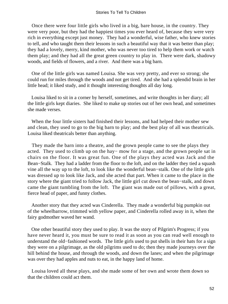Once there were four little girls who lived in a big, bare house, in the country. They were very poor, but they had the happiest times you ever heard of, because they were very rich in everything except just money. They had a wonderful, wise father, who knew stories to tell, and who taught them their lessons in such a beautiful way that it was better than play; they had a lovely, merry, kind mother, who was never too tired to help them work or watch them play; and they had all the great green country to play in. There were dark, shadowy woods, and fields of flowers, and a river. And there was a big barn.

 One of the little girls was named Louisa. She was very pretty, and ever so strong; she could run for miles through the woods and not get tired. And she had a splendid brain in her little head; it liked study, and it thought interesting thoughts all day long.

 Louisa liked to sit in a corner by herself, sometimes, and write thoughts in her diary; all the little girls kept diaries. She liked to make up stories out of her own head, and sometimes she made verses.

 When the four little sisters had finished their lessons, and had helped their mother sew and clean, they used to go to the big barn to play; and the best play of all was theatricals. Louisa liked theatricals better than anything.

 They made the barn into a theatre, and the grown people came to see the plays they acted. They used to climb up on the hay− mow for a stage, and the grown people sat in chairs on the floor. It was great fun. One of the plays they acted was Jack and the Bean−Stalk. They had a ladder from the floor to the loft, and on the ladder they tied a squash vine all the way up to the loft, to look like the wonderful bean−stalk. One of the little girls was dressed up to look like Jack, and she acted that part. When it came to the place in the story where the giant tried to follow Jack, the little girl cut down the bean−stalk, and down came the giant tumbling from the loft. The giant was made out of pillows, with a great, fierce head of paper, and funny clothes.

 Another story that they acted was Cinderella. They made a wonderful big pumpkin out of the wheelbarrow, trimmed with yellow paper, and Cinderella rolled away in it, when the fairy godmother waved her wand.

 One other beautiful story they used to play. It was the story of Pilgrim's Progress; if you have never heard it, you must be sure to read it as soon as you can read well enough to understand the old−fashioned words. The little girls used to put shells in their hats for a sign they were on a pilgrimage, as the old pilgrims used to do; then they made journeys over the hill behind the house, and through the woods, and down the lanes; and when the pilgrimage was over they had apples and nuts to eat, in the happy land of home.

 Louisa loved all these plays, and she made some of her own and wrote them down so that the children could act them.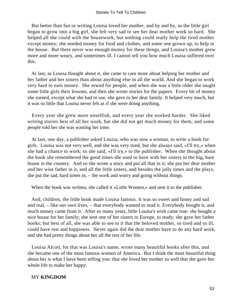But better than fun or writing Louisa loved her mother, and by and by, as the little girl began to grow into a big girl, she felt very sad to see her dear mother work so hard. She helped all she could with the housework, but nothing could really help the tired mother except money; she needed money for food and clothes, and some one grown up, to help in the house. But there never was enough money for these things, and Louisa's mother grew more and more weary, and sometimes ill. I cannot tell you how much Louisa suffered over this.

 At last, as Louisa thought about it, she came to care more about helping her mother and her father and her sisters than about anything else in all the world. And she began to work very hard to earn money. She sewed for people, and when she was a little older she taught some little girls their lessons, and then she wrote stories for the papers. Every bit of money she earned, except what she had to use, she gave to her dear family. It helped very much, but it was so little that Louisa never felt as if she were doing anything.

 Every year she grew more unselfish, and every year she worked harder. She liked writing stories best of all her work, but she did not get much money for them, and some people told her she was wasting her time.

 At last, one day, a publisher asked Louisa, who was now a woman, to write a book for girls. Louisa was not very well, and she was very tired, but she always said, «I'll try,» when she had a chance to work; so she said, «I'll try,» to the publisher. When she thought about the book she remembered the good times she used to have with her sisters in the big, bare house in the country. And so she wrote a story and put all that in it; she put her dear mother and her wise father in it, and all the little sisters, and besides the jolly times and the plays, she put the sad, hard times in, – the work and worry and going without things.

When the book was written, she called it «Little Women,» and sent it to the publisher.

 And, children, the little book made Louisa famous. It was so sweet and funny and sad and real, – like our own lives, – that everybody wanted to read it. Everybody bought it, and much money came from it. After so many years, little Louisa's wish came true: she bought a nice house for her family; she sent one of her sisters to Europe, to study; she gave her father books; but best of all, she was able to see to it that the beloved mother, so tired and so ill, could have rest and happiness. Never again did the dear mother have to do any hard work, and she had pretty things about her all the rest of her life.

 Louisa Alcott, for that was Louisa's name, wrote many beautiful books after this, and she became one of the most famous women of America. But I think the most beautiful thing about her is what I have been telling you: that she loved her mother so well that she gave her whole life to make her happy.

### MY **KINGDOM**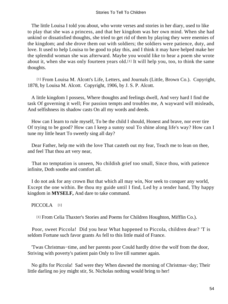The little Louisa I told you about, who wrote verses and stories in her diary, used to like to play that she was a princess, and that her kingdom was her own mind. When she had unkind or dissatisfied thoughts, she tried to get rid of them by playing they were enemies of the kingdom; and she drove them out with soldiers; the soldiers were patience, duty, and love. It used to help Louisa to be good to play this, and I think it may have helped make her the splendid woman she was afterward. Maybe you would like to hear a poem she wrote about it, when she was only fourteen years old.[1] It will help you, too, to think the same thoughts.

[1] From Louisa M. Alcott's Life, Letters, and Journals (Little, Brown Co.). Copyright, 1878, by Louisa M. Alcott. Copyright, 1906, by J. S. P. Alcott.

 A little kingdom I possess, Where thoughts and feelings dwell, And very hard I find the task Of governing it well; For passion tempts and troubles me, A wayward will misleads, And selfishness its shadow casts On all my words and deeds.

 How can I learn to rule myself, To be the child I should, Honest and brave, nor ever tire Of trying to be good? How can I keep a sunny soul To shine along life's way? How can I tune my little heart To sweetly sing all day?

 Dear Father, help me with the love That casteth out my fear, Teach me to lean on thee, and feel That thou art very near,

 That no temptation is unseen, No childish grief too small, Since thou, with patience infinite, Doth soothe and comfort all.

 I do not ask for any crown But that which all may win, Nor seek to conquer any world, Except the one within. Be thou my guide until I find, Led by a tender hand, Thy happy kingdom in **MYSELF,** And dare to take command.

PICCOLA [1]

[1] From Celia Thaxter's Stories and Poems for Children Houghton, Mifflin Co.).

 Poor, sweet Piccola! Did you hear What happened to Piccola, children dear? 'T is seldom Fortune such favor grants As fell to this little maid of France.

 'Twas Christmas−time, and her parents poor Could hardly drive the wolf from the door, Striving with poverty's patient pain Only to live till summer again.

 No gifts for Piccola! Sad were they When dawned the morning of Christmas−day; Their little darling no joy might stir, St. Nicholas nothing would bring to her!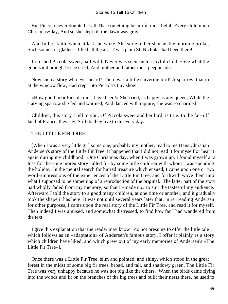But Piccola never doubted at all That something beautiful must befall Every child upon Christmas−day, And so she slept till the dawn was gray.

 And full of faith, when at last she woke, She stole to her shoe as the morning broke; Such sounds of gladness filled all the air, 'T was plain St. Nicholas had been there!

 In rushed Piccola sweet, half wild: Never was seen such a joyful child. «See what the good saint brought!» she cried, And mother and father must peep inside.

 Now such a story who ever heard? There was a little shivering bird! A sparrow, that in at the window flew, Had crept into Piccola's tiny shoe!

 «How good poor Piccola must have been!» She cried, as happy as any queen, While the starving sparrow she fed and warmed, And danced with rapture, she was so charmed.

 Children, this story I tell to you, Of Piccola sweet and her bird, is true. In the far−off land of France, they say, Still do they live to this very day.

## THE **LITTLE FIR TREE**

 [When I was a very little girl some one, probably my mother, read to me Hans Christian Andersen's story of the Little Fir Tree. It happened that I did not read it for myself or hear it again during my childhood. One Christmas day, when I was grown up, I found myself at a loss for the «one more» story called for by some little children with whom I was spending the holiday. In the mental search for buried treasure which ensued, I came upon one or two word−impressions of the experiences of the Little Fir Tree, and forthwith wove them into what I supposed to be something of a reproduction of the original. The latter part of the story had wholly faded from my memory, so that I «made up» to suit the tastes of my audience. Afterward I told the story to a good many children, at one time or another, and it gradually took the shape it has here. It was not until several years later that, in re−reading Andersen for other purposes, I came upon the real story of the Little Fir Tree, and read it for myself. Then indeed I was amused, and somewhat distressed, to find how far I had wandered from the text.

 I give this explanation that the reader may know I do not presume to offer the little tale which follows as an «adaptation» of Andersen's famous story. I offer it plainly as a story which children have liked, and which grew out of my early memories of Andersen's «The Little Fir Tree»].

 Once there was a Little Fir Tree, slim and pointed, and shiny, which stood in the great forest in the midst of some big fir trees, broad, and tall, and shadowy green. The Little Fir Tree was very unhappy because he was not big like the others. When the birds came flying into the woods and lit on the branches of the big trees and built their nests there, he used to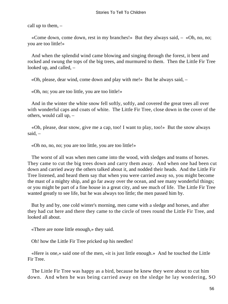call up to them, –

 «Come down, come down, rest in my branches!» But they always said, – «Oh, no, no; you are too little!»

 And when the splendid wind came blowing and singing through the forest, it bent and rocked and swung the tops of the big trees, and murmured to them. Then the Little Fir Tree looked up, and called, –

«Oh, please, dear wind, come down and play with me!» But he always said, –

«Oh, no; you are too little, you are too little!»

 And in the winter the white snow fell softly, softly, and covered the great trees all over with wonderful caps and coats of white. The Little Fir Tree, close down in the cover of the others, would call up, –

 «Oh, please, dear snow, give me a cap, too! I want to play, too!» But the snow always said, –

«Oh no, no, no; you are too little, you are too little!»

 The worst of all was when men came into the wood, with sledges and teams of horses. They came to cut the big trees down and carry them away. And when one had been cut down and carried away the others talked about it, and nodded their heads. And the Little Fir Tree listened, and heard them say that when you were carried away so, you might become the mast of a mighty ship, and go far away over the ocean, and see many wonderful things; or you might be part of a fine house in a great city, and see much of life. The Little Fir Tree wanted greatly to see life, but he was always too little; the men passed him by.

 But by and by, one cold winter's morning, men came with a sledge and horses, and after they had cut here and there they came to the circle of trees round the Little Fir Tree, and looked all about.

«There are none little enough,» they said.

Oh! how the Little Fir Tree pricked up his needles!

 «Here is one,» said one of the men, «it is just little enough.» And he touched the Little Fir Tree.

 The Little Fir Tree was happy as a bird, because he knew they were about to cut him down. And when he was being carried away on the sledge he lay wondering, SO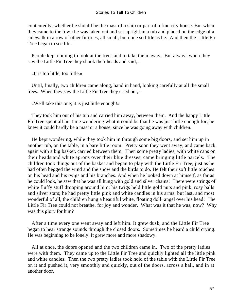contentedly, whether he should be the mast of a ship or part of a fine city house. But when they came to the town he was taken out and set upright in a tub and placed on the edge of a sidewalk in a row of other fir trees, all small, but none so little as he. And then the Little Fir Tree began to see life.

 People kept coming to look at the trees and to take them away. But always when they saw the Little Fir Tree they shook their heads and said, –

«It is too little, too little.»

 Until, finally, two children came along, hand in hand, looking carefully at all the small trees. When they saw the Little Fir Tree they cried out, –

«We'll take this one; it is just little enough!»

 They took him out of his tub and carried him away, between them. And the happy Little Fir Tree spent all his time wondering what it could be that he was just little enough for; he knew it could hardly be a mast or a house, since he was going away with children.

 He kept wondering, while they took him in through some big doors, and set him up in another tub, on the table, in a bare little room. Pretty soon they went away, and came back again with a big basket, carried between them. Then some pretty ladies, with white caps on their heads and white aprons over their blue dresses, came bringing little parcels. The children took things out of the basket and began to play with the Little Fir Tree, just as he had often begged the wind and the snow and the birds to do. He felt their soft little touches on his head and his twigs and his branches. And when he looked down at himself, as far as he could look, he saw that he was all hung with gold and silver chains! There were strings of white fluffy stuff drooping around him; his twigs held little gold nuts and pink, rosy balls and silver stars; he had pretty little pink and white candles in his arms; but last, and most wonderful of all, the children hung a beautiful white, floating doll−angel over his head! The Little Fir Tree could not breathe, for joy and wonder. What was it that he was, now? Why was this glory for him?

 After a time every one went away and left him. It grew dusk, and the Little Fir Tree began to hear strange sounds through the closed doors. Sometimes he heard a child crying. He was beginning to be lonely. It grew more and more shadowy.

 All at once, the doors opened and the two children came in. Two of the pretty ladies were with them. They came up to the Little Fir Tree and quickly lighted all the little pink and white candles. Then the two pretty ladies took hold of the table with the Little Fir Tree on it and pushed it, very smoothly and quickly, out of the doors, across a hall, and in at another door.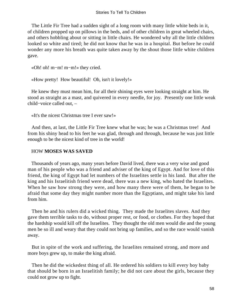The Little Fir Tree had a sudden sight of a long room with many little white beds in it, of children propped up on pillows in the beds, and of other children in great wheeled chairs, and others hobbling about or sitting in little chairs. He wondered why all the little children looked so white and tired; he did not know that he was in a hospital. But before he could wonder any more his breath was quite taken away by the shout those little white children gave.

«Oh! oh! m−m! m−m!» they cried.

«How pretty! How beautiful! Oh, isn't it lovely!»

 He knew they must mean him, for all their shining eyes were looking straight at him. He stood as straight as a mast, and quivered in every needle, for joy. Presently one little weak child−voice called out, –

«It's the nicest Christmas tree I ever saw!»

 And then, at last, the Little Fir Tree knew what he was; he was a Christmas tree! And from his shiny head to his feet he was glad, through and through, because he was just little enough to be the nicest kind of tree in the world!

#### HOW **MOSES WAS SAVED**

 Thousands of years ago, many years before David lived, there was a very wise and good man of his people who was a friend and adviser of the king of Egypt. And for love of this friend, the king of Egypt had let numbers of the Israelites settle in his land. But after the king and his Israelitish friend were dead, there was a new king, who hated the Israelites. When he saw how strong they were, and how many there were of them, he began to be afraid that some day they might number more than the Egyptians, and might take his land from him.

 Then he and his rulers did a wicked thing. They made the Israelites slaves. And they gave them terrible tasks to do, without proper rest, or food, or clothes. For they hoped that the hardship would kill off the Israelites. They thought the old men would die and the young men be so ill and weary that they could not bring up families, and so the race would vanish away.

 But in spite of the work and suffering, the Israelites remained strong, and more and more boys grew up, to make the king afraid.

 Then he did the wickedest thing of all. He ordered his soldiers to kill every boy baby that should be born in an Israelitish family; he did not care about the girls, because they could not grow up to fight.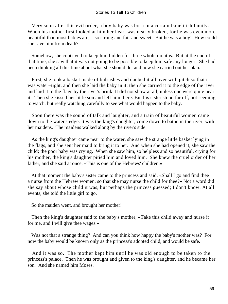Very soon after this evil order, a boy baby was born in a certain Israelitish family. When his mother first looked at him her heart was nearly broken, for he was even more beautiful than most babies are, – so strong and fair and sweet. But he was a boy! How could she save him from death?

 Somehow, she contrived to keep him hidden for three whole months. But at the end of that time, she saw that it was not going to be possible to keep him safe any longer. She had been thinking all this time about what she should do, and now she carried out her plan.

 First, she took a basket made of bulrushes and daubed it all over with pitch so that it was water−tight, and then she laid the baby in it; then she carried it to the edge of the river and laid it in the flags by the river's brink. It did not show at all, unless one were quite near it. Then she kissed her little son and left him there. But his sister stood far off, not seeming to watch, but really watching carefully to see what would happen to the baby.

 Soon there was the sound of talk and laughter, and a train of beautiful women came down to the water's edge. It was the king's daughter, come down to bathe in the river, with her maidens. The maidens walked along by the river's side.

 As the king's daughter came near to the water, she saw the strange little basket lying in the flags, and she sent her maid to bring it to her. And when she had opened it, she saw the child; the poor baby was crying. When she saw him, so helpless and so beautiful, crying for his mother, the king's daughter pitied him and loved him. She knew the cruel order of her father, and she said at once, «This is one of the Hebrews' children.»

 At that moment the baby's sister came to the princess and said, «Shall I go and find thee a nurse from the Hebrew women, so that she may nurse the child for thee?» Not a word did she say about whose child it was, but perhaps the princess guessed; I don't know. At all events, she told the little girl to go.

So the maiden went, and brought her mother!

 Then the king's daughter said to the baby's mother, «Take this child away and nurse it for me, and I will give thee wages.»

 Was not that a strange thing? And can you think how happy the baby's mother was? For now the baby would be known only as the princess's adopted child, and would be safe.

 And it was so. The mother kept him until he was old enough to be taken to the princess's palace. Then he was brought and given to the king's daughter, and he became her son. And she named him Moses.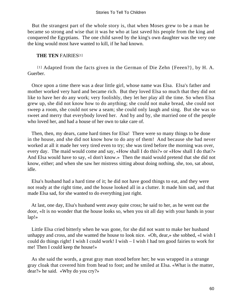But the strangest part of the whole story is, that when Moses grew to be a man he became so strong and wise that it was he who at last saved his people from the king and conquered the Egyptians. The one child saved by the king's own daughter was the very one the king would most have wanted to kill, if he had known.

#### **THE TEN** FAIRIES[1]

[1] Adapted from the facts given in the German of Die Zehn {Feeen?}, by H. A. Guerber.

 Once upon a time there was a dear little girl, whose name was Elsa. Elsa's father and mother worked very hard and became rich. But they loved Elsa so much that they did not like to have her do any work; very foolishly, they let her play all the time. So when Elsa grew up, she did not know how to do anything; she could not make bread, she could not sweep a room, she could not sew a seam; she could only laugh and sing. But she was so sweet and merry that everybody loved her. And by and by, she married one of the people who loved her, and had a house of her own to take care of.

 Then, then, my dears, came hard times for Elsa! There were so many things to be done in the house, and she did not know how to do any of them! And because she had never worked at all it made her very tired even to try; she was tired before the morning was over, every day. The maid would come and say, «How shall I do this?» or «How shall I do that?» And Elsa would have to say, «I don't know.» Then the maid would pretend that she did not know, either; and when she saw her mistress sitting about doing nothing, she, too, sat about, idle.

 Elsa's husband had a hard time of it; he did not have good things to eat, and they were not ready at the right time, and the house looked all in a clutter. It made him sad, and that made Elsa sad, for she wanted to do everything just right.

 At last, one day, Elsa's husband went away quite cross; he said to her, as he went out the door, «It is no wonder that the house looks so, when you sit all day with your hands in your lap!»

 Little Elsa cried bitterly when he was gone, for she did not want to make her husband unhappy and cross, and she wanted the house to look nice. «Oh, dear,» she sobbed, «I wish I could do things right! I wish I could work! I wish – I wish I had ten good fairies to work for me! Then I could keep the house!»

 As she said the words, a great gray man stood before her; he was wrapped in a strange gray cloak that covered him from head to foot; and he smiled at Elsa. «What is the matter, dear?» he said. «Why do you cry?»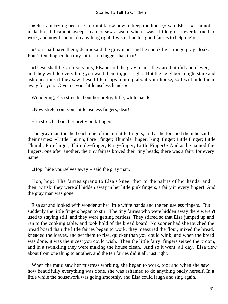«Oh, I am crying because I do not know how to keep the house,» said Elsa. «I cannot make bread, I cannot sweep, I cannot sew a seam; when I was a little girl I never learned to work, and now I cannot do anything right. I wish I had ten good fairies to help me!»

 «You shall have them, dear,» said the gray man, and he shook his strange gray cloak. Pouf! Out hopped ten tiny fairies, no bigger than that!

 «These shall be your servants, Elsa,» said the gray man; «they are faithful and clever, and they will do everything you want them to, just right. But the neighbors might stare and ask questions if they saw these little chaps running about your house, so I will hide them away for you. Give me your little useless hands.»

Wondering, Elsa stretched out her pretty, little, white hands.

«Now stretch out your little useless fingers, dear!»

Elsa stretched out her pretty pink fingers.

 The gray man touched each one of the ten little fingers, and as he touched them he said their names: «Little Thumb; Fore− finger; Thimble−finger; Ring−finger; Little Finger; Little Thumb; Forefinger; Thimble−finger; Ring−finger; Little Finger!» And as he named the fingers, one after another, the tiny fairies bowed their tiny heads; there was a fairy for every name.

«Hop! hide yourselves away!» said the gray man.

 Hop, hop! The fairies sprang to Elsa's knee, then to the palms of her hands, and then−whisk! they were all hidden away in her little pink fingers, a fairy in every finger! And the gray man was gone.

 Elsa sat and looked with wonder at her little white hands and the ten useless fingers. But suddenly the little fingers began to stir. The tiny fairies who were hidden away there weren't used to staying still, and they were getting restless. They stirred so that Elsa jumped up and ran to the cooking table, and took hold of the bread board. No sooner had she touched the bread board than the little fairies began to work: they measured the flour, mixed the bread, kneaded the loaves, and set them to rise, quicker than you could wink; and when the bread was done, it was the nicest you could wish. Then the little fairy−fingers seized the broom, and in a twinkling they were making the house clean. And so it went, all day. Elsa flew about from one thing to another, and the ten fairies did it all, just right.

When the maid saw her mistress working, she began to work, too; and when she saw how beautifully everything was done, she was ashamed to do anything badly herself. In a little while the housework was going smoothly, and Elsa could laugh and sing again.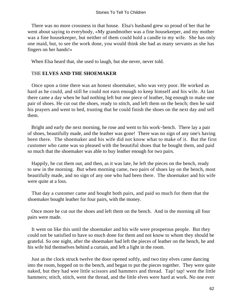There was no more crossness in that house. Elsa's husband grew so proud of her that he went about saying to everybody, «My grandmother was a fine housekeeper, and my mother was a fine housekeeper, but neither of them could hold a candle to my wife. She has only one maid, but, to see the work done, you would think she had as many servants as she has fingers on her hands!»

When Elsa heard that, she used to laugh, but she never, never told.

### THE **ELVES AND THE SHOEMAKER**

 Once upon a time there was an honest shoemaker, who was very poor. He worked as hard as he could, and still he could not earn enough to keep himself and his wife. At last there came a day when he had nothing left but one piece of leather, big enough to make one pair of shoes. He cut out the shoes, ready to stitch, and left them on the bench; then he said his prayers and went to bed, trusting that he could finish the shoes on the next day and sell them.

 Bright and early the next morning, he rose and went to his work−bench. There lay a pair of shoes, beautifully made, and the leather was gone! There was no sign of any one's having been there. The shoemaker and his wife did not know what to make of it. But the first customer who came was so pleased with the beautiful shoes that he bought them, and paid so much that the shoemaker was able to buy leather enough for two pairs.

 Happily, he cut them out, and then, as it was late, he left the pieces on the bench, ready to sew in the morning. But when morning came, two pairs of shoes lay on the bench, most beautifully made, and no sign of any one who had been there. The shoemaker and his wife were quite at a loss.

 That day a customer came and bought both pairs, and paid so much for them that the shoemaker bought leather for four pairs, with the money.

 Once more he cut out the shoes and left them on the bench. And in the morning all four pairs were made.

 It went on like this until the shoemaker and his wife were prosperous people. But they could not be satisfied to have so much done for them and not know to whom they should be grateful. So one night, after the shoemaker had left the pieces of leather on the bench, he and his wife hid themselves behind a curtain, and left a light in the room.

 Just as the clock struck twelve the door opened softly, and two tiny elves came dancing into the room, hopped on to the bench, and began to put the pieces together. They were quite naked, but they had wee little scissors and hammers and thread. Tap! tap! went the little hammers; stitch, stitch, went the thread, and the little elves were hard at work. No one ever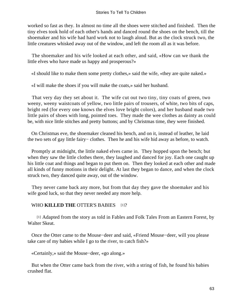worked so fast as they. In almost no time all the shoes were stitched and finished. Then the tiny elves took hold of each other's hands and danced round the shoes on the bench, till the shoemaker and his wife had hard work not to laugh aloud. But as the clock struck two, the little creatures whisked away out of the window, and left the room all as it was before.

 The shoemaker and his wife looked at each other, and said, «How can we thank the little elves who have made us happy and prosperous?»

«I should like to make them some pretty clothes,» said the wife, «they are quite naked.»

«I will make the shoes if you will make the coats,» said her husband.

 That very day they set about it. The wife cut out two tiny, tiny coats of green, two weeny, weeny waistcoats of yellow, two little pairs of trousers, of white, two bits of caps, bright red (for every one knows the elves love bright colors), and her husband made two little pairs of shoes with long, pointed toes. They made the wee clothes as dainty as could be, with nice little stitches and pretty buttons; and by Christmas time, they were finished.

 On Christmas eve, the shoemaker cleaned his bench, and on it, instead of leather, he laid the two sets of gay little fairy− clothes. Then he and his wife hid away as before, to watch.

 Promptly at midnight, the little naked elves came in. They hopped upon the bench; but when they saw the little clothes there, they laughed and danced for joy. Each one caught up his little coat and things and began to put them on. Then they looked at each other and made all kinds of funny motions in their delight. At last they began to dance, and when the clock struck two, they danced quite away, out of the window.

 They never came back any more, but from that day they gave the shoemaker and his wife good luck, so that they never needed any more help.

## WHO **KILLED THE** OTTER'S BABIES [1]?

[1] Adapted from the story as told in Fables and Folk Tales From an Eastern Forest, by Walter Skeat.

 Once the Otter came to the Mouse−deer and said, «Friend Mouse−deer, will you please take care of my babies while I go to the river, to catch fish?»

«Certainly,» said the Mouse−deer, «go along.»

 But when the Otter came back from the river, with a string of fish, he found his babies crushed flat.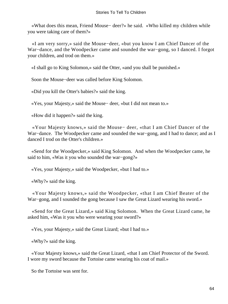#### Stories To Tell To Children

 «What does this mean, Friend Mouse− deer?» he said. «Who killed my children while you were taking care of them?»

 «I am very sorry,» said the Mouse−deer, «but you know I am Chief Dancer of the War−dance, and the Woodpecker came and sounded the war−gong, so I danced. I forgot your children, and trod on them.»

«I shall go to King Solomon,» said the Otter, «and you shall be punished.»

Soon the Mouse−deer was called before King Solomon.

«Did you kill the Otter's babies?» said the king.

«Yes, your Majesty,» said the Mouse− deer, «but I did not mean to.»

«How did it happen?» said the king.

 «Your Majesty knows,» said the Mouse− deer, «that I am Chief Dancer of the War−dance. The Woodpecker came and sounded the war−gong, and I had to dance; and as I danced I trod on the Otter's children.»

 «Send for the Woodpecker,» said King Solomon. And when the Woodpecker came, he said to him, «Was it you who sounded the war−gong?»

«Yes, your Majesty,» said the Woodpecker, «but I had to.»

«Why?» said the king.

 «Your Majesty knows,» said the Woodpecker, «that I am Chief Beater of the War−gong, and I sounded the gong because I saw the Great Lizard wearing his sword.»

 «Send for the Great Lizard,» said King Solomon. When the Great Lizard came, he asked him, «Was it you who were wearing your sword?»

«Yes, your Majesty,» said the Great Lizard; «but I had to.»

«Why?» said the king.

 «Your Majesty knows,» said the Great Lizard, «that I am Chief Protector of the Sword. I wore my sword because the Tortoise came wearing his coat of mail.»

So the Tortoise was sent for.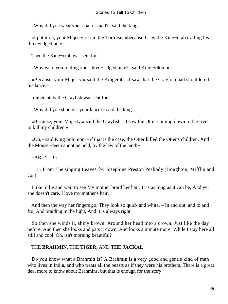«Why did you wear your coat of mail?» said the king.

 «I put it on, your Majesty,» said the Tortoise, «because I saw the King−crab trailing his three−edged pike.»

Then the King−crab was sent for.

«Why were you trailing your three− edged pike?» said King Solomon.

 «Because, your Majesty,» said the Kingerab, «I saw that the Crayfish had shouldered his lance.»

Immediately the Crayfish was sent for.

«Why did you shoulder your lance?» said the king.

 «Because, your Majesty,» said the Crayfish, «I saw the Otter coming down to the river to kill my children.»

 «Oh,» said King Solomon, «if that is the case, the Otter killed the Otter's children. And the Mouse−deer cannot be held, by the law of the land!»

EARLY [1]

[1] From The singing Leaves, by Josephine Preston Peabody (Houghton, Mifflin and Co.).

 I like to lie and wait to see My mother braid her hair. It is as long as it can be, And yet she doesn't care. I love my mother's hair.

 And then the way her fingers go; They look so quick and white, – In and out, and to and fro, And braiding in the light, And it is always right.

 So then she winds it, shiny brown, Around her head into a crown, Just like the day before. And then she looks and pats it down, And looks a minute more; While I stay here all still and cool. Oh, isn't morning beautiful?

### THE **BRAHMIN,** THE **TIGER,** AND **THE JACKAL**

 Do you know what a Brahmin is? A Brahmin is a very good and gentle kind of man who lives in India, and who treats all the beasts as if they were his brothers. There is a great deal more to know about Brahmins, but that is enough for the story.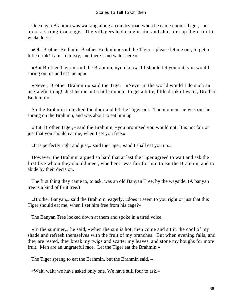#### Stories To Tell To Children

 One day a Brahmin was walking along a country road when he came upon a Tiger, shut up in a strong iron cage. The villagers had caught him and shut him up there for his wickedness.

 «Oh, Brother Brahmin, Brother Brahmin,» said the Tiger, «please let me out, to get a little drink! I am so thirsty, and there is no water here.»

 «But Brother Tiger,» said the Brahmin, «you know if I should let you out, you would spring on me and eat me up.»

 «Never, Brother Brahmin!» said the Tiger. «Never in the world would I do such an ungrateful thing! Just let me out a little minute, to get a little, little drink of water, Brother Brahmin!»

 So the Brahmin unlocked the door and let the Tiger out. The moment he was out he sprang on the Brahmin, and was about to eat him up.

 «But, Brother Tiger,» said the Brahmin, «you promised you would not. It is not fair or just that you should eat me, when I set you free.»

«It is perfectly right and just,» said the Tiger, «and I shall eat you up.»

 However, the Brahmin argued so hard that at last the Tiger agreed to wait and ask the first five whom they should meet, whether it was fair for him to eat the Brahmin, and to abide by their decision.

 The first thing they came to, to ask, was an old Banyan Tree, by the wayside. (A banyan tree is a kind of fruit tree.)

 «Brother Banyan,» said the Brahmin, eagerly, «does it seem to you right or just that this Tiger should eat me, when I set him free from his cage?»

The Banyan Tree looked down at them and spoke in a tired voice.

 «In the summer,» he said, «when the sun is hot, men come and sit in the cool of my shade and refresh themselves with the fruit of my branches. But when evening falls, and they are rested, they break my twigs and scatter my leaves, and stone my boughs for more fruit. Men are an ungrateful race. Let the Tiger eat the Brahmin.»

The Tiger sprang to eat the Brahmin, but the Brahmin said, –

«Wait, wait; we have asked only one. We have still four to ask.»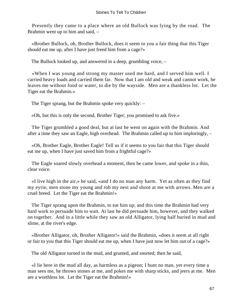Presently they came to a place where an old Bullock was lying by the road. The Brahmin went up to him and said, –

 «Brother Bullock, oh, Brother Bullock, does it seem to you a fair thing that this Tiger should eat me up, after I have just freed him from a cage?»

The Bullock looked up, and answered in a deep, grumbling voice, –

 «When I was young and strong my master used me hard, and I served him well. I carried heavy loads and carried them far. Now that I am old and weak and cannot work, he leaves me without food or water, to die by the wayside. Men are a thankless lot. Let the Tiger eat the Brahmin.»

The Tiger sprang, but the Brahmin spoke very quickly: –

«Oh, but this is only the second, Brother Tiger; you promised to ask five.»

 The Tiger grumbled a good deal, but at last he went on again with the Brahmin. And after a time they saw an Eagle, high overhead. The Brahmin called up to him imploringly, –

 «Oh, Brother Eagle, Brother Eagle! Tell us if it seems to you fair that this Tiger should eat me up, when I have just saved him from a frightful cage?»

 The Eagle soared slowly overhead a moment, then he came lower, and spoke in a thin, clear voice.

 «I live high in the air,» he said, «and I do no man any harm. Yet as often as they find my eyrie, men stone my young and rob my nest and shoot at me with arrows. Men are a cruel breed. Let the Tiger eat the Brahmin!»

 The Tiger sprang upon the Brahmin, to eat him up; and this time the Brahmin had very hard work to persuade him to wait. At last he did persuade him, however, and they walked on together. And in a little while they saw an old Alligator, lying half buried in mud and slime, at the river's edge.

 «Brother Alligator, oh, Brother Alligator!» said the Brahmin, «does it seem at all right or fair to you that this Tiger should eat me up, when I have just now let him out of a cage?»

The old Alligator turned in the mud, and grunted, and snorted; then he said,

 «I lie here in the mud all day, as harmless as a pigeon; I hunt no man, yet every time a man sees me, he throws stones at me, and pokes me with sharp sticks, and jeers at me. Men are a worthless lot. Let the Tiger eat the Brahmin!»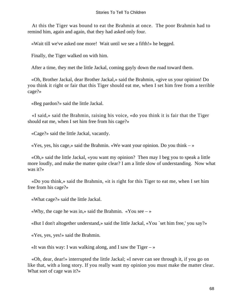At this the Tiger was bound to eat the Brahmin at once. The poor Brahmin had to remind him, again and again, that they had asked only four.

«Wait till we've asked one more! Wait until we see a fifth!» he begged.

Finally, the Tiger walked on with him.

After a time, they met the little Jackal, coming gayly down the road toward them.

 «Oh, Brother Jackal, dear Brother Jackal,» said the Brahmin, «give us your opinion! Do you think it right or fair that this Tiger should eat me, when I set him free from a terrible cage?»

«Beg pardon?» said the little Jackal.

 «I said,» said the Brahmin, raising his voice, «do you think it is fair that the Tiger should eat me, when I set him free from his cage?»

«Cage?» said the little Jackal, vacantly.

 $\langle$  Yes, yes, his cage,  $\rangle$  said the Brahmin.  $\langle$  We want your opinion. Do you think –  $\rangle$ 

 «Oh,» said the little Jackal, «you want my opinion? Then may I beg you to speak a little more loudly, and make the matter quite clear? I am a little slow of understanding. Now what was it?»

 «Do you think,» said the Brahmin, «it is right for this Tiger to eat me, when I set him free from his cage?»

«What cage?» said the little Jackal.

«Why, the cage he was in,» said the Brahmin. «You see – »

«But I don't altogether understand,» said the little Jackal, «You `set him free,' you say?»

«Yes, yes, yes!» said the Brahmin.

«It was this way: I was walking along, and I saw the Tiger  $\rightarrow \infty$ 

 «Oh, dear, dear!» interrupted the little Jackal; «I never can see through it, if you go on like that, with a long story. If you really want my opinion you must make the matter clear. What sort of cage was it?»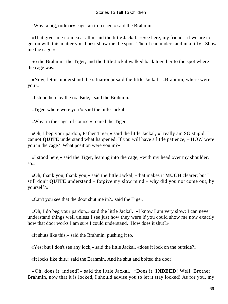«Why, a big, ordinary cage, an iron cage,» said the Brahmin.

 «That gives me no idea at all,» said the little Jackal. «See here, my friends, if we are to get on with this matter you'd best show me the spot. Then I can understand in a jiffy. Show me the cage.»

 So the Brahmin, the Tiger, and the little Jackal walked back together to the spot where the cage was.

 «Now, let us understand the situation,» said the little Jackal. «Brahmin, where were you?»

«I stood here by the roadside,» said the Brahmin.

«Tiger, where were you?» said the little Jackal.

«Why, in the cage, of course,» roared the Tiger.

 «Oh, I beg your pardon, Father Tiger,» said the little Jackal, «I really am SO stupid; I cannot **QUITE** understand what happened. If you will have a little patience, – HOW were you in the cage? What position were you in?»

 «I stood here,» said the Tiger, leaping into the cage, «with my head over my shoulder, so.»

 «Oh, thank you, thank you,» said the little Jackal, «that makes it **MUCH** clearer; but I still don't **QUITE** understand – forgive my slow mind – why did you not come out, by yourself?»

«Can't you see that the door shut me in?» said the Tiger.

 «Oh, I do beg your pardon,» said the little Jackal. «I know I am very slow; I can never understand things well unless I see just how they were if you could show me now exactly how that door works I am sure I could understand. How does it shut?»

«It shuts like this,» said the Brahmin, pushing it to.

«Yes; but I don't see any lock,» said the little Jackal, «does it lock on the outside?»

«It locks like this,» said the Brahmin. And he shut and bolted the door!

 «Oh, does it, indeed?» said the little Jackal. «Does it, **INDEED!** Well, Brother Brahmin, now that it is locked. I should advise you to let it stay locked! As for you, my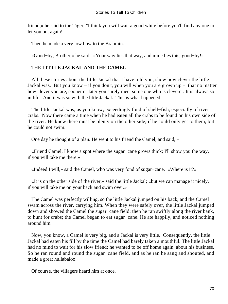friend,» he said to the Tiger, "I think you will wait a good while before you'll find any one to let you out again!

Then he made a very low bow to the Brahmin.

«Good−by, Brother,» he said. «Your way lies that way, and mine lies this; good−by!»

#### THE **LITTLE JACKAL AND THE CAMEL**

 All these stories about the little Jackal that I have told you, show how clever the little Jackal was. But you know – if you don't, you will when you are grown up – that no matter how clever you are, sooner or later you surely meet some one who is cleverer. It is always so in life. And it was so with the little Jackal. This is what happened.

 The little Jackal was, as you know, exceedingly fond of shell−fish, especially of river crabs. Now there came a time when he had eaten all the crabs to be found on his own side of the river. He knew there must be plenty on the other side, if he could only get to them, but he could not swim.

One day he thought of a plan. He went to his friend the Camel, and said, –

 «Friend Camel, I know a spot where the sugar−cane grows thick; I'll show you the way, if you will take me there.»

«Indeed I will,» said the Camel, who was very fond of sugar−cane. «Where is it?»

 «It is on the other side of the river,» said the little Jackal; «but we can manage it nicely, if you will take me on your back and swim over.»

 The Camel was perfectly willing, so the little Jackal jumped on his back, and the Camel swam across the river, carrying him. When they were safely over, the little Jackal jumped down and showed the Camel the sugar−cane field; then he ran swiftly along the river bank, to hunt for crabs; the Camel began to eat sugar−cane. He ate happily, and noticed nothing around him.

 Now, you know, a Camel is very big, and a Jackal is very little. Consequently, the little Jackal had eaten his fill by the time the Camel had barely taken a mouthful. The little Jackal had no mind to wait for his slow friend; he wanted to be off home again, about his business. So he ran round and round the sugar−cane field, and as he ran he sang and shouted, and made a great hullabaloo.

Of course, the villagers heard him at once.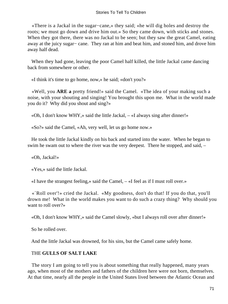«There is a Jackal in the sugar−cane,» they said; «he will dig holes and destroy the roots; we must go down and drive him out.» So they came down, with sticks and stones. When they got there, there was no Jackal to be seen; but they saw the great Camel, eating away at the juicy sugar− cane. They ran at him and beat him, and stoned him, and drove him away half dead.

 When they had gone, leaving the poor Camel half killed, the little Jackal came dancing back from somewhere or other.

«I think it's time to go home, now,» he said; «don't you?»

 «Well, you **ARE a** pretty friend!» said the Camel. «The idea of your making such a noise, with your shouting and singing! You brought this upon me. What in the world made you do it? Why did you shout and sing?»

«Oh, I don't know WHY,» said the little Jackal, – «I always sing after dinner!»

«So?» said the Camel, «Ah, very well, let us go home now.»

 He took the little Jackal kindly on his back and started into the water. When he began to swim he swam out to where the river was the very deepest. There he stopped, and said, –

«Oh, Jackal!»

«Yes,» said the little Jackal.

«I have the strangest feeling,» said the Camel, – «I feel as if I must roll over.»

 «`Roll over'!» cried the Jackal. «My goodness, don't do that! If you do that, you'll drown me! What in the world makes you want to do such a crazy thing? Why should you want to roll over?»

«Oh, I don't know WHY,» said the Camel slowly, «but I always roll over after dinner!»

So he rolled over.

And the little Jackal was drowned, for his sins, but the Camel came safely home.

### THE **GULLS OF SALT LAKE**

 The story I am going to tell you is about something that really happened, many years ago, when most of the mothers and fathers of the children here were not born, themselves. At that time, nearly all the people in the United States lived between the Atlantic Ocean and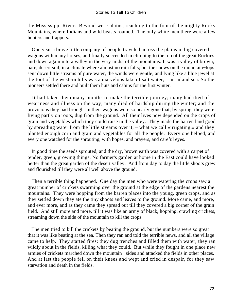the Mississippi River. Beyond were plains, reaching to the foot of the mighty Rocky Mountains, where Indians and wild beasts roamed. The only white men there were a few hunters and trappers.

 One year a brave little company of people traveled across the plains in big covered wagons with many horses, and finally succeeded in climbing to the top of the great Rockies and down again into a valley in the very midst of the mountains. It was a valley of brown, bare, desert soil, in a climate where almost no rain falls; but the snows on the mountain−tops sent down little streams of pure water, the winds were gentle, and lying like a blue jewel at the foot of the western hills was a marvelous lake of salt water, – an inland sea. So the pioneers settled there and built them huts and cabins for the first winter.

 It had taken them many months to make the terrible journey; many had died of weariness and illness on the way; many died of hardship during the winter; and the provisions they had brought in their wagons were so nearly gone that, by spring, they were living partly on roots, dug from the ground. All their lives now depended on the crops of grain and vegetables which they could raise in the valley. They made the barren land good by spreading water from the little streams over it, – what we call «irrigating;» and they planted enough corn and grain and vegetables for all the people. Every one helped, and every one watched for the sprouting, with hopes, and prayers, and careful eyes.

 In good time the seeds sprouted, and the dry, brown earth was covered with a carpet of tender, green, growing things. No farmer's garden at home in the East could have looked better than the great garden of the desert valley. And from day to day the little shoots grew and flourished till they were all well above the ground.

 Then a terrible thing happened. One day the men who were watering the crops saw a great number of crickets swarming over the ground at the edge of the gardens nearest the mountains. They were hopping from the barren places into the young, green crops, and as they settled down they ate the tiny shoots and leaves to the ground. More came, and more, and ever more, and as they came they spread out till they covered a big corner of the grain field. And still more and more, till it was like an army of black, hopping, crawling crickets, streaming down the side of the mountain to kill the crops.

 The men tried to kill the crickets by beating the ground, but the numbers were so great that it was like beating at the sea. Then they ran and told the terrible news, and all the village came to help. They started fires; they dug trenches and filled them with water; they ran wildly about in the fields, killing what they could. But while they fought in one place new armies of crickets marched down the mountain− sides and attacked the fields in other places. And at last the people fell on their knees and wept and cried in despair, for they saw starvation and death in the fields.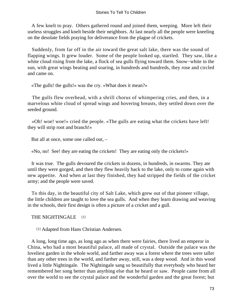A few knelt to pray. Others gathered round and joined them, weeping. More left their useless struggles and knelt beside their neighbors. At last nearly all the people were kneeling on the desolate fields praying for deliverance from the plague of crickets.

 Suddenly, from far off in the air toward the great salt lake, there was the sound of flapping wings. It grew louder. Some of the people looked up, startled. They saw, like a white cloud rising from the lake, a flock of sea gulls flying toward them. Snow−white in the sun, with great wings beating and soaring, in hundreds and hundreds, they rose and circled and came on.

«The gulls! the gulls!» was the cry. «What does it mean?»

 The gulls flew overhead, with a shrill chorus of whimpering cries, and then, in a marvelous white cloud of spread wings and hovering breasts, they settled down over the seeded ground.

 «Oh! woe! woe!» cried the people. «The gulls are eating what the crickets have left! they will strip root and branch!»

But all at once, some one called out, –

«No, no! See! they are eating the crickets! They are eating only the crickets!»

 It was true. The gulls devoured the crickets in dozens, in hundreds, in swarms. They ate until they were gorged, and then they flew heavily back to the lake, only to come again with new appetite. And when at last they finished, they had stripped the fields of the cricket army; and the people were saved.

 To this day, in the beautiful city of Salt Lake, which grew out of that pioneer village, the little children are taught to love the sea gulls. And when they learn drawing and weaving in the schools, their first design is often a picture of a cricket and a gull.

THE NIGHTINGALE [1]

[1] Adapted from Hans Christian Andersen.

 A long, long time ago, as long ago as when there were fairies, there lived an emperor in China, who had a most beautiful palace, all made of crystal. Outside the palace was the loveliest garden in the whole world, and farther away was a forest where the trees were taller than any other trees in the world, and farther away, still, was a deep wood. And in this wood lived a little Nightingale. The Nightingale sang so beautifully that everybody who heard her remembered her song better than anything else that he heard or saw. People came from all over the world to see the crystal palace and the wonderful garden and the great forest; but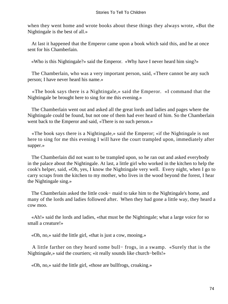when they went home and wrote books about these things they always wrote, «But the Nightingale is the best of all.»

 At last it happened that the Emperor came upon a book which said this, and he at once sent for his Chamberlain.

«Who is this Nightingale?» said the Emperor. «Why have I never heard him sing?»

 The Chamberlain, who was a very important person, said, «There cannot be any such person; I have never heard his name.»

 «The book says there is a Nightingale,» said the Emperor. «I command that the Nightingale be brought here to sing for me this evening.»

 The Chamberlain went out and asked all the great lords and ladies and pages where the Nightingale could be found, but not one of them had ever heard of him. So the Chamberlain went back to the Emperor and said, «There is no such person.»

 «The book says there is a Nightingale,» said the Emperor; «if the Nightingale is not here to sing for me this evening I will have the court trampled upon, immediately after supper.»

 The Chamberlain did not want to be trampled upon, so he ran out and asked everybody in the palace about the Nightingale. At last, a little girl who worked in the kitchen to help the cook's helper, said, «Oh, yes, I know the Nightingale very well. Every night, when I go to carry scraps from the kitchen to my mother, who lives in the wood beyond the forest, I hear the Nightingale sing.»

The Chamberlain asked the little cook– maid to take him to the Nightingale's home, and many of the lords and ladies followed after. When they had gone a little way, they heard a cow moo.

 «Ah!» said the lords and ladies, «that must be the Nightingale; what a large voice for so small a creature!»

«Oh, no,» said the little girl, «that is just a cow, mooing.»

 A little farther on they heard some bull− frogs, in a swamp. «Surely that is the Nightingale,» said the courtiers; «it really sounds like church−bells!»

«Oh, no,» said the little girl, «those are bullfrogs, croaking.»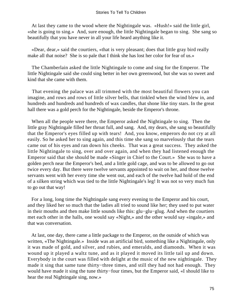At last they came to the wood where the Nightingale was. «Hush!» said the little girl, «she is going to sing.» And, sure enough, the little Nightingale began to sing. She sang so beautifully that you have never in all your life heard anything like it.

 «Dear, dear,» said the courtiers, «that is very pleasant; does that little gray bird really make all that noise? She is so pale that I think she has lost her color for fear of us.»

 The Chamberlain asked the little Nightingale to come and sing for the Emperor. The little Nightingale said she could sing better in her own greenwood, but she was so sweet and kind that she came with them.

 That evening the palace was all trimmed with the most beautiful flowers you can imagine, and rows and rows of little silver bells, that tinkled when the wind blew in, and hundreds and hundreds and hundreds of wax candles, that shone like tiny stars. In the great hall there was a gold perch for the Nightingale, beside the Emperor's throne.

 When all the people were there, the Emperor asked the Nightingale to sing. Then the little gray Nightingale filled her throat full, and sang. And, my dears, she sang so beautifully that the Emperor's eyes filled up with tears! And, you know, emperors do not cry at all easily. So he asked her to sing again, and this time she sang so marvelously that the tears came out of his eyes and ran down his cheeks. That was a great success. They asked the little Nightingale to sing, over and over again, and when they had listened enough the Emperor said that she should be made «Singer in Chief to the Court.» She was to have a golden perch near the Emperor's bed, and a little gold cage, and was to be allowed to go out twice every day. But there were twelve servants appointed to wait on her, and those twelve servants went with her every time she went out, and each of the twelve had hold of the end of a silken string which was tied to the little Nightingale's leg! It was not so very much fun to go out that way!

 For a long, long time the Nightingale sang every evening to the Emperor and his court, and they liked her so much that the ladies all tried to sound like her; they used to put water in their mouths and then make little sounds like this: glu−glu−glug. And when the courtiers met each other in the halls, one would say «Night,» and the other would say «ingale,» and that was conversation.

 At last, one day, there came a little package to the Emperor, on the outside of which was written, «The Nightingale.» Inside was an artificial bird, something like a Nightingale, only it was made of gold, and silver, and rubies, and emeralds, and diamonds. When it was wound up it played a waltz tune, and as it played it moved its little tail up and down. Everybody in the court was filled with delight at the music of the new nightingale. They made it sing that same tune thirty−three times, and still they had not had enough. They would have made it sing the tune thirty−four times, but the Emperor said, «I should like to hear the real Nightingale sing, now.»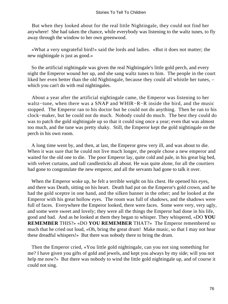But when they looked about for the real little Nightingale, they could not find her anywhere! She had taken the chance, while everybody was listening to the waltz tunes, to fly away through the window to her own greenwood.

 «What a very ungrateful bird!» said the lords and ladies. «But it does not matter; the new nightingale is just as good.»

 So the artificial nightingale was given the real Nightingale's little gold perch, and every night the Emperor wound her up, and she sang waltz tunes to him. The people in the court liked her even better than the old Nightingale, because they could all whistle her tunes, – which you can't do with real nightingales.

 About a year after the artificial nightingale came, the Emperor was listening to her waltz−tune, when there was a SNAP and WHIR−R−R inside the bird, and the music stopped. The Emperor ran to his doctor but he could not do anything. Then he ran to his clock−maker, but he could not do much. Nobody could do much. The best they could do was to patch the gold nightingale up so that it could sing once a year; even that was almost too much, and the tune was pretty shaky. Still, the Emperor kept the gold nightingale on the perch in his own room.

 A long time went by, and then, at last, the Emperor grew very ill, and was about to die. When it was sure that he could not live much longer, the people chose a new emperor and waited for the old one to die. The poor Emperor lay, quite cold and pale, in his great big bed, with velvet curtains, and tall candlesticks all about. He was quite alone, for all the courtiers had gone to congratulate the new emperor, and all the servants had gone to talk it over.

 When the Emperor woke up, he felt a terrible weight on his chest. He opened his eyes, and there was Death, sitting on his heart. Death had put on the Emperor's gold crown, and he had the gold sceptre in one hand, and the silken banner in the other; and he looked at the Emperor with his great hollow eyes. The room was full of shadows, and the shadows were full of faces. Everywhere the Emperor looked, there were faces. Some were very, very ugly, and some were sweet and lovely; they were all the things the Emperor had done in his life, good and bad. And as he looked at them they began to whisper. They whispered, «DO **YOU REMEMBER** THIS?» «DO **YOU REMEMBER** THAT?» The Emperor remembered so much that he cried out loud, «Oh, bring the great drum! Make music, so that I may not hear these dreadful whispers!» But there was nobody there to bring the drum.

 Then the Emperor cried, «You little gold nightingale, can you not sing something for me? I have given you gifts of gold and jewels, and kept you always by my side; will you not help me now?» But there was nobody to wind the little gold nightingale up, and of course it could not sing.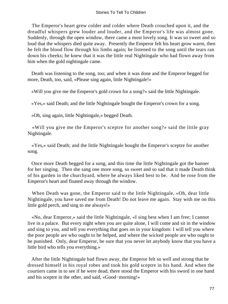The Emperor's heart grew colder and colder where Death crouched upon it, and the dreadful whispers grew louder and louder, and the Emperor's life was almost gone. Suddenly, through the open window, there came a most lovely song. It was so sweet and so loud that the whispers died quite away. Presently the Emperor felt his heart grow warm, then he felt the blood flow through his limbs again; he listened to the song until the tears ran down his cheeks; he knew that it was the little real Nightingale who had flown away from him when the gold nightingale came.

 Death was listening to the song, too; and when it was done and the Emperor begged for more, Death, too, said, «Please sing again, little Nightingale!»

«Will you give me the Emperor's gold crown for a song?» said the little Nightingale.

«Yes,» said Death; and the little Nightingale bought the Emperor's crown for a song.

«Oh, sing again, little Nightingale,» begged Death.

 «Will you give me the Emperor's sceptre for another song?» said the little gray Nightingale.

 «Yes,» said Death; and the little Nightingale bought the Emperor's sceptre for another song.

 Once more Death begged for a song, and this time the little Nightingale got the banner for her singing. Then she sang one more song, so sweet and so sad that it made Death think of his garden in the churchyard, where he always liked best to be. And he rose from the Emperor's heart and floated away through the window.

 When Death was gone, the Emperor said to the little Nightingale, «Oh, dear little Nightingale, you have saved me from Death! Do not leave me again. Stay with me on this little gold perch, and sing to me always!»

 «No, dear Emperor,» said the little Nightingale, «I sing best when I am free; I cannot live in a palace. But every night when you are quite alone, I will come and sit in the window and sing to you, and tell you everything that goes on in your kingdom: I will tell you where the poor people are who ought to be helped, and where the wicked people are who ought to be punished. Only, dear Emperor, be sure that you never let anybody know that you have a little bird who tells you everything.»

 After the little Nightingale had flown away, the Emperor felt so well and strong that he dressed himself in his royal robes and took his gold sceptre in his hand. And when the courtiers came in to see if he were dead, there stood the Emperor with his sword in one hand and his sceptre in the other, and said, «Good−morning!»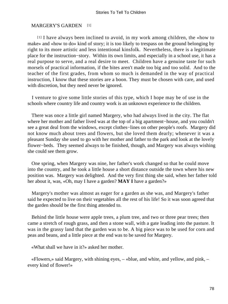### MARGERY'S GARDEN [1]

[1] I have always been inclined to avoid, in my work among children, the «how to make» and «how to do» kind of story; it is too likely to trespass on the ground belonging by right to its more artistic and less intentional kinsfolk. Nevertheless, there is a legitimate place for the instruction−story. Within its own limits, and especially in a school use, it has a real purpose to serve, and a real desire to meet. Children have a genuine taste for such morsels of practical information, if the bites aren't made too big and too solid. And to the teacher of the first grades, from whom so much is demanded in the way of practical instruction, I know that these stories are a boon. They must be chosen with care, and used with discretion, but they need never be ignored.

 I venture to give some little stories of this type, which I hope may be of use in the schools where country life and country work is an unknown experience to the children.

 There was once a little girl named Margery, who had always lived in the city. The flat where her mother and father lived was at the top of a big apartment−house, and you couldn't see a great deal from the windows, except clothes−lines on other people's roofs. Margery did not know much about trees and flowers, but she loved them dearly; whenever it was a pleasant Sunday she used to go with her mother and father to the park and look at the lovely flower−beds. They seemed always to be finished, though, and Margery was always wishing she could see them grow.

 One spring, when Margery was nine, her father's work changed so that he could move into the country, and he took a little house a short distance outside the town where his new position was. Margery was delighted. And the very first thing she said, when her father told her about it, was, «Oh, may I have a garden? **MAY I** have a garden?»

 Margery's mother was almost as eager for a garden as she was, and Margery's father said he expected to live on their vegetables all the rest of his life! So it was soon agreed that the garden should be the first thing attended to.

 Behind the little house were apple trees, a plum tree, and two or three pear trees; then came a stretch of rough grass, and then a stone wall, with a gate leading into the pasture. It was in the grassy land that the garden was to be. A big piece was to be used for corn and peas and beans, and a little piece at the end was to be saved for Margery.

«What shall we have in it?» asked her mother.

 «Flowers,» said Margery, with shining eyes, – «blue, and white, and yellow, and pink, – every kind of flower!»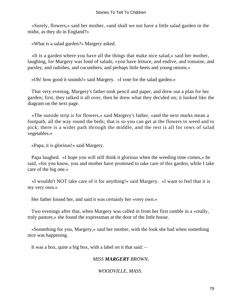«Surely, flowers,» said her mother, «and shall we not have a little salad garden in the midst, as they do in England?»

«What is a salad garden?» Margery asked.

 «It is a garden where you have all the things that make nice salad,» said her mother, laughing, for Margery was fond of salads; «you have lettuce, and endive, and romaine, and parsley, and radishes, and cucumbers, and perhaps little beets and young onions.»

«Oh! how good it sounds!» said Margery. «I vote for the salad garden.»

 That very evening, Margery's father took pencil and paper, and drew out a plan for her garden; first, they talked it all over, then he drew what they decided on; it looked like the diagram on the next page.

 «The outside strip is for flowers,» said Margery's father, «and the next marks mean a footpath, all the way round the beds; that is so you can get at the flowers to weed and to pick; there is a wider path through the middle, and the rest is all for rows of salad vegetables.»

«Papa, it is glorious!» said Margery.

 Papa laughed. «I hope you will still think it glorious when the weeding time comes,» he said, «for you know, you and mother have promised to take care of this garden, while I take care of the big one.»

 «I wouldn't NOT take care of it for anything!» said Margery. «I want to feel that it is my very own.»

Her father kissed her, and said it was certainly her «very own.»

 Two evenings after that, when Margery was called in from her first ramble in a «really, truly pasture,» she found the expressman at the door of the little house.

 «Something for you, Margery,» said her mother, with the look she had when something nice was happening.

It was a box, quite a big box, with a label on it that said: –

# *MISS MARGERY BROWN,*

# *WOODVILLE, MASS.*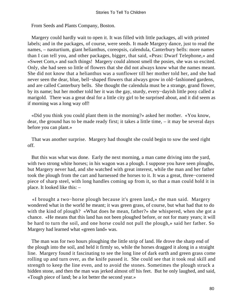From Seeds and Plants Company, Boston.

 Margery could hardly wait to open it. It was filled with little packages, all with printed labels; and in the packages, of course, were seeds. It made Margery dance, just to read the names, – nasturtium, giant helianthus, coreopsis, calendula, Canterbury bells: more names than I can tell you, and other packages, bigger, that said, «Peas: Dwarf Telephone,» and «Sweet Corn,» and such things! Margery could almost smell the posies, she was so excited. Only, she had seen so little of flowers that she did not always know what the names meant. She did not know that a helianthus was a sunflower till her mother told her, and she had never seen the dear, blue, bell−shaped flowers that always grow in old−fashioned gardens, and are called Canterbury bells. She thought the calendula must be a strange, grand flower, by its name; but her mother told her it was the gay, sturdy, every−dayish little posy called a marigold. There was a great deal for a little city girl to be surprised about, and it did seem as if morning was a long way off!

 «Did you think you could plant them in the morning?» asked her mother. «You know, dear, the ground has to be made ready first; it takes a little time, – it may be several days before you can plant.»

 That was another surprise. Margery had thought she could begin to sow the seed right off.

 But this was what was done. Early the next morning, a man came driving into the yard, with two strong white horses; in his wagon was a plough. I suppose you have seen ploughs, but Margery never had, and she watched with great interest, while the man and her father took the plough from the cart and harnessed the horses to it. It was a great, three−cornered piece of sharp steel, with long handles coming up from it, so that a man could hold it in place. It looked like this: –

 «I brought a two−horse plough because it's green land,» the man said. Margery wondered what in the world he meant; it was green grass, of course, but what had that to do with the kind of plough? «What does he mean, father?» she whispered, when she got a chance. «He means that this land has not been ploughed before, or not for many years; it will be hard to turn the soil, and one horse could not pull the plough,» said her father. So Margery had learned what «green land» was.

 The man was for two hours ploughing the little strip of land. He drove the sharp end of the plough into the soil, and held it firmly so, while the horses dragged it along in a straight line. Margery found it fascinating to see the long line of dark earth and green grass come rolling up and turn over, as the knife passed it. She could see that it took real skill and strength to keep the line even, and to avoid the stones. Sometimes the plough struck a hidden stone, and then the man was jerked almost off his feet. But he only laughed, and said, «Tough piece of land; be a lot better the second year.»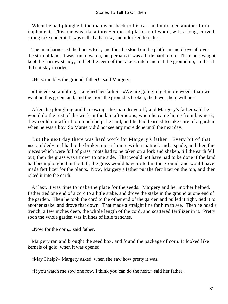When he had ploughed, the man went back to his cart and unloaded another farm implement. This one was like a three−cornered platform of wood, with a long, curved, strong rake under it. It was called a harrow, and it looked like this: –

 The man harnessed the horses to it, and then he stood on the platform and drove all over the strip of land. It was fun to watch, but perhaps it was a little hard to do. The man's weight kept the harrow steady, and let the teeth of the rake scratch and cut the ground up, so that it did not stay in ridges.

«He scrambles the ground, father!» said Margery.

 «It needs scrambling,» laughed her father. «We are going to get more weeds than we want on this green land, and the more the ground is broken, the fewer there will be.»

 After the ploughing and harrowing, the man drove off, and Margery's father said he would do the rest of the work in the late afternoons, when he came home from business; they could not afford too much help, he said, and he had learned to take care of a garden when he was a boy. So Margery did not see any more done until the next day.

 But the next day there was hard work for Margery's father! Every bit of that «scrambled» turf had to be broken up still more with a mattock and a spade, and then the pieces which were full of grass−roots had to be taken on a fork and shaken, till the earth fell out; then the grass was thrown to one side. That would not have had to be done if the land had been ploughed in the fall; the grass would have rotted in the ground, and would have made fertilizer for the plants. Now, Margery's father put the fertilizer on the top, and then raked it into the earth.

 At last, it was time to make the place for the seeds. Margery and her mother helped. Father tied one end of a cord to a little stake, and drove the stake in the ground at one end of the garden. Then he took the cord to the other end of the garden and pulled it tight, tied it to another stake, and drove that down. That made a straight line for him to see. Then he hoed a trench, a few inches deep, the whole length of the cord, and scattered fertilizer in it. Pretty soon the whole garden was in lines of little trenches.

«Now for the corn,» said father.

 Margery ran and brought the seed box, and found the package of corn. It looked like kernels of gold, when it was opened.

«May I help?» Margery asked, when she saw how pretty it was.

«If you watch me sow one row, I think you can do the next,» said her father.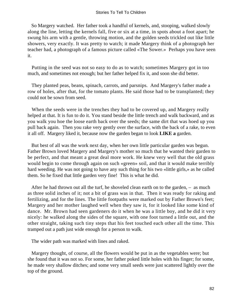So Margery watched. Her father took a handful of kernels, and, stooping, walked slowly along the line, letting the kernels fall, five or six at a time, in spots about a foot apart; he swung his arm with a gentle, throwing motion, and the golden seeds trickled out like little showers, very exactly. It was pretty to watch; it made Margery think of a photograph her teacher had, a photograph of a famous picture called «The Sower.» Perhaps you have seen it.

 Putting in the seed was not so easy to do as to watch; sometimes Margery got in too much, and sometimes not enough; but her father helped fix it, and soon she did better.

 They planted peas, beans, spinach, carrots, and parsnips. And Margery's father made a row of holes, after that, for the tomato plants. He said those had to be transplanted; they could not be sown from seed.

 When the seeds were in the trenches they had to be covered up, and Margery really helped at that. It is fun to do it. You stand beside the little trench and walk backward, and as you walk you hoe the loose earth back over the seeds; the same dirt that was hoed up you pull back again. Then you rake very gently over the surface, with the back of a rake, to even it all off. Margery liked it, because now the garden began to look **LIKE a** garden.

 But best of all was the work next day, when her own little particular garden was begun. Father Brown loved Margery and Margery's mother so much that he wanted their garden to be perfect, and that meant a great deal more work. He knew very well that the old grass would begin to come through again on such «green» soil, and that it would make terribly hard weeding. He was not going to have any such thing for his two «little girls,» as he called them. So he fixed that little garden very fine! This is what he did.

 After he had thrown out all the turf, he shoveled clean earth on to the garden, – as much as three solid inches of it; not a bit of grass was in that. Then it was ready for raking and fertilizing, and for the lines. The little footpaths were marked out by Father Brown's feet; Margery and her mother laughed well when they saw it, for it looked like some kind of dance. Mr. Brown had seen gardeners do it when he was a little boy, and he did it very nicely: he walked along the sides of the square, with one foot turned a little out, and the other straight, taking such tiny steps that his feet touched each other all the time. This tramped out a path just wide enough for a person to walk.

The wider path was marked with lines and raked.

 Margery thought, of course, all the flowers would be put in as the vegetables were; but she found that it was not so. For some, her father poked little holes with his finger; for some, he made very shallow ditches; and some very small seeds were just scattered lightly over the top of the ground.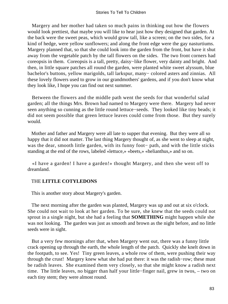Margery and her mother had taken so much pains in thinking out how the flowers would look prettiest, that maybe you will like to hear just how they designed that garden. At the back were the sweet peas, which would grow tall, like a screen; on the two sides, for a kind of hedge, were yellow sunflowers; and along the front edge were the gay nasturtiums. Margery planned that, so that she could look into the garden from the front, but have it shut away from the vegetable patch by the tall flowers on the sides. The two front corners had coreopsis in them. Coreopsis is a tall, pretty, daisy−like flower, very dainty and bright. And then, in little square patches all round the garden, were planted white sweet alyssum, blue bachelor's buttons, yellow marigolds, tall larkspur, many− colored asters and zinnias. All these lovely flowers used to grow in our grandmothers' gardens, and if you don't know what they look like, I hope you can find out next summer.

 Between the flowers and the middle path went the seeds for that wonderful salad garden; all the things Mrs. Brown had named to Margery were there. Margery had never seen anything so cunning as the little round lettuce−seeds. They looked like tiny beads; it did not seem possible that green lettuce leaves could come from those. But they surely would.

 Mother and father and Margery were all late to supper that evening. But they were all so happy that it did not matter. The last thing Margery thought of, as she went to sleep at night, was the dear, smooth little garden, with its funny foot− path, and with the little sticks standing at the end of the rows, labeled «lettuce,» «beets,» «helianthus,» and so on.

 «I have a garden! I have a garden!» thought Margery, and then she went off to dreamland.

# THE **LITTLE COTYLEDONS**

This is another story about Margery's garden.

 The next morning after the garden was planted, Margery was up and out at six o'clock. She could not wait to look at her garden. To be sure, she knew that the seeds could not sprout in a single night, but she had a feeling that **SOMETHING** might happen while she was not looking. The garden was just as smooth and brown as the night before, and no little seeds were in sight.

 But a very few mornings after that, when Margery went out, there was a funny little crack opening up through the earth, the whole length of the patch. Quickly she knelt down in the footpath, to see. Yes! Tiny green leaves, a whole row of them, were pushing their way through the crust! Margery knew what she had put there: it was the radish−row; these must be radish leaves. She examined them very closely, so that she might know a radish next time. The little leaves, no bigger than half your little−finger nail, grew in twos, – two on each tiny stem; they were almost round.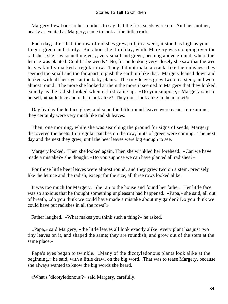Margery flew back to her mother, to say that the first seeds were up. And her mother, nearly as excited as Margery, came to look at the little crack.

 Each day, after that, the row of radishes grew, till, in a week, it stood as high as your finger, green and sturdy. But about the third day, while Margery was stooping over the radishes, she saw something very, very small and green, peeping above ground, where the lettuce was planted. Could it be weeds? No, for on looking very closely she saw that the wee leaves faintly marked a regular row. They did not make a crack, like the radishes; they seemed too small and too far apart to push the earth up like that. Margery leaned down and looked with all her eyes at the baby plants. The tiny leaves grew two on a stem, and were almost round. The more she looked at them the more it seemed to Margery that they looked exactly as the radish looked when it first came up. «Do you suppose,» Margery said to herself, «that lettuce and radish look alike? They don't look alike in the market!»

 Day by day the lettuce grew, and soon the little round leaves were easier to examine; they certainly were very much like radish leaves.

 Then, one morning, while she was searching the ground for signs of seeds, Margery discovered the beets. In irregular patches on the row, hints of green were coming. The next day and the next they grew, until the beet leaves were big enough to see.

 Margery looked. Then she looked again. Then she wrinkled her forehead. «Can we have made a mistake?» she thought. «Do you suppose we can have planted all radishes?»

 For those little beet leaves were almost round, and they grew two on a stem, precisely like the lettuce and the radish; except for the size, all three rows looked alike.

 It was too much for Margery. She ran to the house and found her father. Her little face was so anxious that he thought something unpleasant had happened. «Papa,» she said, all out of breath, «do you think we could have made a mistake about my garden? Do you think we could have put radishes in all the rows?»

Father laughed. «What makes you think such a thing?» he asked.

 «Papa,» said Margery, «the little leaves all look exactly alike! every plant has just two tiny leaves on it, and shaped the same; they are roundish, and grow out of the stem at the same place.»

 Papa's eyes began to twinkle. «Many of the dicotyledonous plants look alike at the beginning,» he said, with a little drawl on the big word. That was to tease Margery, because she always wanted to know the big words she heard.

«What's `dicotyledonous'?» said Margery, carefully.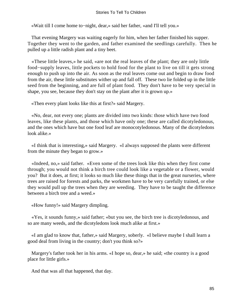«Wait till I come home to−night, dear,» said her father, «and I'll tell you.»

 That evening Margery was waiting eagerly for him, when her father finished his supper. Together they went to the garden, and father examined the seedlings carefully. Then he pulled up a little radish plant and a tiny beet.

 «These little leaves,» he said, «are not the real leaves of the plant; they are only little food−supply leaves, little pockets to hold food for the plant to live on till it gets strong enough to push up into the air. As soon as the real leaves come out and begin to draw food from the air, these little substitutes wither up and fall off. These two lie folded up in the little seed from the beginning, and are full of plant food. They don't have to be very special in shape, you see, because they don't stay on the plant after it is grown up.»

«Then every plant looks like this at first?» said Margery.

 «No, dear, not every one; plants are divided into two kinds: those which have two food leaves, like these plants, and those which have only one; these are called dicotyledonous, and the ones which have but one food leaf are monocotyledonous. Many of the dicotyledons look alike.»

 «I think that is interesting,» said Margery. «I always supposed the plants were different from the minute they began to grow.»

 «Indeed, no,» said father. «Even some of the trees look like this when they first come through; you would not think a birch tree could look like a vegetable or a flower, would you? But it does, at first; it looks so much like these things that in the great nurseries, where trees are raised for forests and parks, the workmen have to be very carefully trained, or else they would pull up the trees when they are weeding. They have to be taught the difference between a birch tree and a weed.»

«How funny!» said Margery dimpling.

 «Yes, it sounds funny,» said father; «but you see, the birch tree is dicotyledonous, and so are many weeds, and the dicotyledons look much alike at first.»

 «I am glad to know that, father,» said Margery, soberly. «I believe maybe I shall learn a good deal from living in the country; don't you think so?»

 Margery's father took her in his arms. «I hope so, dear,» he said; «the country is a good place for little girls.»

And that was all that happened, that day.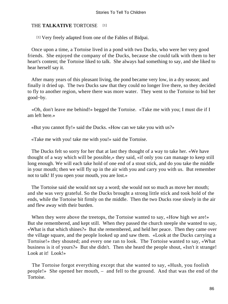## THE **TALKATIVE** TORTOISE [1]

[1] Very freely adapted from one of the Fables of Bidpai.

 Once upon a time, a Tortoise lived in a pond with two Ducks, who were her very good friends. She enjoyed the company of the Ducks, because she could talk with them to her heart's content; the Tortoise liked to talk. She always had something to say, and she liked to hear herself say it.

 After many years of this pleasant living, the pond became very low, in a dry season; and finally it dried up. The two Ducks saw that they could no longer live there, so they decided to fly to another region, where there was more water. They went to the Tortoise to bid her good−by.

 «Oh, don't leave me behind!» begged the Tortoise. «Take me with you; I must die if I am left here.»

«But you cannot fly!» said the Ducks. «How can we take you with us?»

«Take me with you! take me with you!» said the Tortoise.

 The Ducks felt so sorry for her that at last they thought of a way to take her. «We have thought of a way which will be possible,» they said, «if only you can manage to keep still long enough. We will each take hold of one end of a stout stick, and do you take the middle in your mouth; then we will fly up in the air with you and carry you with us. But remember not to talk! If you open your mouth, you are lost.»

 The Tortoise said she would not say a word; she would not so much as move her mouth; and she was very grateful. So the Ducks brought a strong little stick and took hold of the ends, while the Tortoise bit firmly on the middle. Then the two Ducks rose slowly in the air and flew away with their burden.

When they were above the treetops, the Tortoise wanted to say, «How high we are!» But she remembered, and kept still. When they passed the church steeple she wanted to say, «What is that which shines?» But she remembered, and held her peace. Then they came over the village square, and the people looked up and saw them. «Look at the Ducks carrying a Tortoise!» they shouted; and every one ran to look. The Tortoise wanted to say, «What business is it of yours?» But she didn't. Then she heard the people shout, «Isn't it strange! Look at it! Look!»

 The Tortoise forgot everything except that she wanted to say, «Hush, you foolish people!» She opened her mouth, – and fell to the ground. And that was the end of the Tortoise.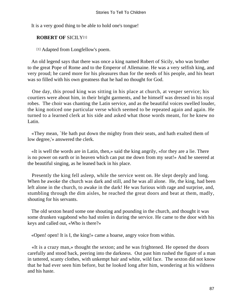It is a very good thing to be able to hold one's tongue!

### **ROBERT OF** SICILY[1]

[1] Adapted from Longfellow's poem.

 An old legend says that there was once a king named Robert of Sicily, who was brother to the great Pope of Rome and to the Emperor of Allemaine. He was a very selfish king, and very proud; he cared more for his pleasures than for the needs of his people, and his heart was so filled with his own greatness that he had no thought for God.

 One day, this proud king was sitting in his place at church, at vesper service; his courtiers were about him, in their bright garments, and he himself was dressed in his royal robes. The choir was chanting the Latin service, and as the beautiful voices swelled louder, the king noticed one particular verse which seemed to be repeated again and again. He turned to a learned clerk at his side and asked what those words meant, for he knew no Latin.

 «They mean, `He hath put down the mighty from their seats, and hath exalted them of low degree,'» answered the clerk.

 «It is well the words are in Latin, then,» said the king angrily, «for they are a lie. There is no power on earth or in heaven which can put me down from my seat!» And he sneered at the beautiful singing, as he leaned back in his place.

 Presently the king fell asleep, while the service went on. He slept deeply and long. When he awoke the church was dark and still, and he was all alone. He, the king, had been left alone in the church, to awake in the dark! He was furious with rage and surprise, and, stumbling through the dim aisles, he reached the great doors and beat at them, madly, shouting for his servants.

 The old sexton heard some one shouting and pounding in the church, and thought it was some drunken vagabond who had stolen in during the service. He came to the door with his keys and called out, «Who is there?»

«Open! open! It is I, the king!» came a hoarse, angry voice from within.

 «It is a crazy man,» thought the sexton; and he was frightened. He opened the doors carefully and stood back, peering into the darkness. Out past him rushed the figure of a man in tattered, scanty clothes, with unkempt hair and white, wild face. The sexton did not know that he had ever seen him before, but he looked long after him, wondering at his wildness and his haste.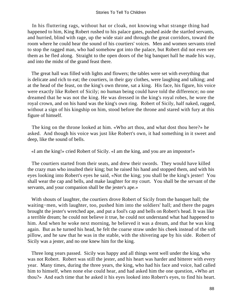In his fluttering rags, without hat or cloak, not knowing what strange thing had happened to him, King Robert rushed to his palace gates, pushed aside the startled servants, and hurried, blind with rage, up the wide stair and through the great corridors, toward the room where he could hear the sound of his courtiers' voices. Men and women servants tried to stop the ragged man, who had somehow got into the palace, but Robert did not even see them as he fled along. Straight to the open doors of the big banquet hall he made his way, and into the midst of the grand feast there.

 The great hall was filled with lights and flowers; the tables were set with everything that is delicate and rich to eat; the courtiers, in their gay clothes, were laughing and talking; and at the head of the feast, on the king's own throne, sat a king. His face, his figure, his voice were exactly like Robert of Sicily; no human being could have told the difference; no one dreamed that he was not the king. He was dressed in the king's royal robes, he wore the royal crown, and on his hand was the king's own ring. Robert of Sicily, half naked, ragged, without a sign of his kingship on him, stood before the throne and stared with fury at this figure of himself.

 The king on the throne looked at him. «Who art thou, and what dost thou here?» he asked. And though his voice was just like Robert's own, it had something in it sweet and deep, like the sound of bells.

«I am the king!» cried Robert of Sicily. «I am the king, and you are an impostor!»

 The courtiers started from their seats, and drew their swords. They would have killed the crazy man who insulted their king; but he raised his hand and stopped them, and with his eyes looking into Robert's eyes he said, «Not the king; you shall be the king's jester! You shall wear the cap and bells, and make laughter for my court. You shall be the servant of the servants, and your companion shall be the jester's ape.»

 With shouts of laughter, the courtiers drove Robert of Sicily from the banquet hall; the waiting−men, with laughter, too, pushed him into the soldiers' hall; and there the pages brought the jester's wretched ape, and put a fool's cap and bells on Robert's head. It was like a terrible dream; he could not believe it true, he could not understand what had happened to him. And when he woke next morning, he believed it was a dream, and that he was king again. But as he turned his head, he felt the coarse straw under his cheek instead of the soft pillow, and he saw that he was in the stable, with the shivering ape by his side. Robert of Sicily was a jester, and no one knew him for the king.

 Three long years passed. Sicily was happy and all things went well under the king, who was not Robert. Robert was still the jester, and his heart was harder and bitterer with every year. Many times, during the three years, the king, who had his face and voice, had called him to himself, when none else could hear, and had asked him the one question, «Who art thou?» And each time that he asked it his eyes looked into Robert's eyes, to find his heart.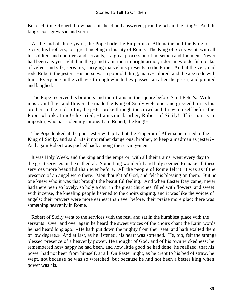But each time Robert threw back his head and answered, proudly, «I am the king!» And the king's eyes grew sad and stern.

 At the end of three years, the Pope bade the Emperor of Allemaine and the King of Sicily, his brothers, to a great meeting in his city of Rome. The King of Sicily went, with all his soldiers and courtiers and servants, – a great procession of horsemen and footmen. Never had been a gayer sight than the grand train, men in bright armor, riders in wonderful cloaks of velvet and silk, servants, carrying marvelous presents to the Pope. And at the very end rode Robert, the jester. His horse was a poor old thing, many−colored, and the ape rode with him. Every one in the villages through which they passed ran after the jester, and pointed and laughed.

 The Pope received his brothers and their trains in the square before Saint Peter's. With music and flags and flowers he made the King of Sicily welcome, and greeted him as his brother. In the midst of it, the jester broke through the crowd and threw himself before the Pope. «Look at me!» he cried; «I am your brother, Robert of Sicily! This man is an impostor, who has stolen my throne. I am Robert, the king!»

 The Pope looked at the poor jester with pity, but the Emperor of Allemaine turned to the King of Sicily, and said, «Is it not rather dangerous, brother, to keep a madman as jester?» And again Robert was pushed back among the serving−men.

 It was Holy Week, and the king and the emperor, with all their trains, went every day to the great services in the cathedral. Something wonderful and holy seemed to make all these services more beautiful than ever before. All the people of Rome felt it: it was as if the presence of an angel were there. Men thought of God, and felt his blessing on them. But no one knew who it was that brought the beautiful feeling. And when Easter Day came, never had there been so lovely, so holy a day: in the great churches, filled with flowers, and sweet with incense, the kneeling people listened to the choirs singing, and it was like the voices of angels; their prayers were more earnest than ever before, their praise more glad; there was something heavenly in Rome.

 Robert of Sicily went to the services with the rest, and sat in the humblest place with the servants. Over and over again he heard the sweet voices of the choirs chant the Latin words he had heard long ago: «He hath put down the mighty from their seat, and hath exalted them of low degree.» And at last, as he listened, his heart was softened. He, too, felt the strange blessed presence of a heavenly power. He thought of God, and of his own wickedness; he remembered how happy he had been, and how little good he had done; he realized, that his power had not been from himself, at all. On Easter night, as he crept to his bed of straw, he wept, not because he was so wretched, but because he had not been a better king when power was his.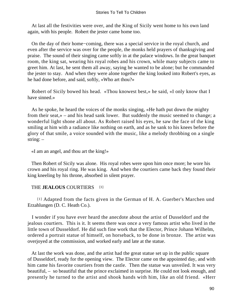#### Stories To Tell To Children

 At last all the festivities were over, and the King of Sicily went home to his own land again, with his people. Robert the jester came home too.

 On the day of their home−coming, there was a special service in the royal church, and even after the service was over for the people, the monks held prayers of thanksgiving and praise. The sound of their singing came softly in at the palace windows. In the great banquet room, the king sat, wearing his royal robes and his crown, while many subjects came to greet him. At last, he sent them all away, saying he wanted to be alone; but he commanded the jester to stay. And when they were alone together the king looked into Robert's eyes, as he had done before, and said, softly, «Who art thou?»

 Robert of Sicily bowed his head. «Thou knowest best,» he said, «I only know that I have sinned.»

 As he spoke, he heard the voices of the monks singing, «He hath put down the mighty from their seat,» – and his head sank lower. But suddenly the music seemed to change; a wonderful light shone all about. As Robert raised his eyes, he saw the face of the king smiling at him with a radiance like nothing on earth, and as he sank to his knees before the glory of that smile, a voice sounded with the music, like a melody throbbing on a single string: –

«I am an angel, and thou art the king!»

 Then Robert of Sicily was alone. His royal robes were upon him once more; he wore his crown and his royal ring. He was king. And when the courtiers came back they found their king kneeling by his throne, absorbed in silent prayer.

### THE **JEALOUS** COURTIERS [1]

[1] Adapted from the facts given in the German of H. A. Guerber's Marchen und Erzahlungen (D. C. Heath Co.).

 I wonder if you have ever heard the anecdote about the artist of Dusseldorf and the jealous courtiers. This is it. It seems there was once a very famous artist who lived in the little town of Dusseldorf. He did such fine work that the Elector, Prince Johann Wilhelm, ordered a portrait statue of himself, on horseback, to be done in bronze. The artist was overjoyed at the commission, and worked early and late at the statue.

 At last the work was done, and the artist had the great statue set up in the public square of Dusseldorf, ready for the opening view. The Elector came on the appointed day, and with him came his favorite courtiers from the castle. Then the statue was unveiled. It was very beautiful, – so beautiful that the prince exclaimed in surprise. He could not look enough, and presently he turned to the artist and shook hands with him, like an old friend. «Herr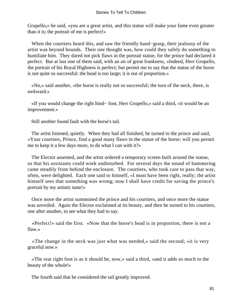Grupello,» he said, «you are a great artist, and this statue will make your fame even greater than it is; the portrait of me is perfect!»

 When the courtiers heard this, and saw the friendly hand−grasp, their jealousy of the artist was beyond bounds. Their one thought was, how could they safely do something to humiliate him. They dared not pick flaws in the portrait statue, for the prince had declared it perfect. But at last one of them said, with an air of great frankness, «Indeed, Herr Grupello, the portrait of his Royal Highness is perfect; but permit me to say that the statue of the horse is not quite so successful: the head is too large; it is out of proportion.»

 «No,» said another, «the horse is really not so successful; the turn of the neck, there, is awkward.»

 «If you would change the right hind− foot, Herr Grupello,» said a third, «it would be an improvement.»

Still another found fault with the horse's tail.

 The artist listened, quietly. When they had all finished, he turned to the prince and said, «Your courtiers, Prince, find a good many flaws in the statue of the horse; will you permit me to keep it a few days more, to do what I can with it?»

 The Elector assented, and the artist ordered a temporary screen built around the statue, so that his assistants could work undisturbed. For several days the sound of hammering came steadily from behind the enclosure. The courtiers, who took care to pass that way, often, were delighted. Each one said to himself, «I must have been right, really; the artist himself sees that something was wrong; now I shall have credit for saving the prince's portrait by my artistic taste!»

 Once more the artist summoned the prince and his courtiers, and once more the statue was unveiled. Again the Elector exclaimed at its beauty, and then he turned to his courtiers, one after another, to see what they had to say.

 «Perfect!» said the first. «Now that the horse's head is in proportion, there is not a flaw.»

 «The change in the neck was just what was needed,» said the second; «it is very graceful now.»

 «The rear right foot is as it should be, now,» said a third, «and it adds so much to the beauty of the whole!»

The fourth said that he considered the tail greatly improved.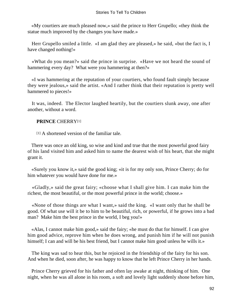«My courtiers are much pleased now,» said the prince to Herr Grupello; «they think the statue much improved by the changes you have made.»

 Herr Grupello smiled a little. «I am glad they are pleased,» he said, «but the fact is, I have changed nothing!»

 «What do you mean?» said the prince in surprise. «Have we not heard the sound of hammering every day? What were you hammering at then?»

 «I was hammering at the reputation of your courtiers, who found fault simply because they were jealous,» said the artist. «And I rather think that their reputation is pretty well hammered to pieces!»

 It was, indeed. The Elector laughed heartily, but the courtiers slunk away, one after another, without a word.

# **PRINCE CHERRY[1]**

[1] A shortened version of the familiar tale.

 There was once an old king, so wise and kind and true that the most powerful good fairy of his land visited him and asked him to name the dearest wish of his heart, that she might grant it.

 «Surely you know it,» said the good king; «it is for my only son, Prince Cherry; do for him whatever you would have done for me.»

 «Gladly,» said the great fairy; «choose what I shall give him. I can make him the richest, the most beautiful, or the most powerful prince in the world; choose.»

 «None of those things are what I want,» said the king. «I want only that he shall be good. Of what use will it be to him to be beautiful, rich, or powerful, if he grows into a bad man? Make him the best prince in the world, I beg you!»

 «Alas, I cannot make him good,» said the fairy; «he must do that for himself. I can give him good advice, reprove him when he does wrong, and punish him if he will not punish himself; I can and will be his best friend, but I cannot make him good unless he wills it.»

 The king was sad to hear this, but he rejoiced in the friendship of the fairy for his son. And when he died, soon after, he was happy to know that he left Prince Cherry in her hands.

 Prince Cherry grieved for his father and often lay awake at night, thinking of him. One night, when he was all alone in his room, a soft and lovely light suddenly shone before him,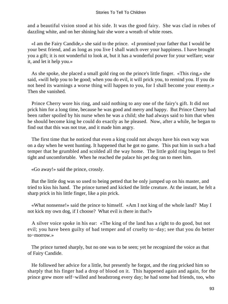and a beautiful vision stood at his side. It was the good fairy. She was clad in robes of dazzling white, and on her shining hair she wore a wreath of white roses.

 «I am the Fairy Candide,» she said to the prince. «I promised your father that I would be your best friend, and as long as you live I shall watch over your happiness. I have brought you a gift; it is not wonderful to look at, but it has a wonderful power for your welfare; wear it, and let it help you.»

 As she spoke, she placed a small gold ring on the prince's little finger. «This ring,» she said, «will help you to be good; when you do evil, it will prick you, to remind you. If you do not heed its warnings a worse thing will happen to you, for I shall become your enemy.» Then she vanished.

 Prince Cherry wore his ring, and said nothing to any one of the fairy's gift. It did not prick him for a long time, because he was good and merry and happy. But Prince Cherry had been rather spoiled by his nurse when he was a child; she had always said to him that when he should become king he could do exactly as he pleased. Now, after a while, he began to find out that this was not true, and it made him angry.

 The first time that he noticed that even a king could not always have his own way was on a day when he went hunting. It happened that he got no game. This put him in such a bad temper that he grumbled and scolded all the way home. The little gold ring began to feel tight and uncomfortable. When he reached the palace his pet dog ran to meet him.

«Go away!» said the prince, crossly.

 But the little dog was so used to being petted that he only jumped up on his master, and tried to kiss his hand. The prince turned and kicked the little creature. At the instant, he felt a sharp prick in his little finger, like a pin prick.

 «What nonsense!» said the prince to himself. «Am I not king of the whole land? May I not kick my own dog, if I choose? What evil is there in that?»

 A silver voice spoke in his ear: «The king of the land has a right to do good, but not evil; you have been guilty of bad temper and of cruelty to−day; see that you do better to−morrow.»

 The prince turned sharply, but no one was to be seen; yet he recognized the voice as that of Fairy Candide.

 He followed her advice for a little, but presently he forgot, and the ring pricked him so sharply that his finger had a drop of blood on it. This happened again and again, for the prince grew more self−willed and headstrong every day; he had some bad friends, too, who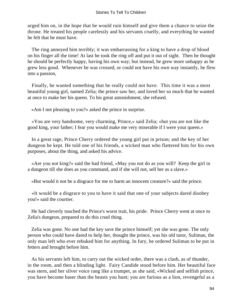urged him on, in the hope that he would ruin himself and give them a chance to seize the throne. He treated his people carelessly and his servants cruelly, and everything he wanted he felt that he must have.

 The ring annoyed him terribly; it was embarrassing for a king to have a drop of blood on his finger all the time! At last he took the ring off and put it out of sight. Then he thought he should be perfectly happy, having his own way; but instead, he grew more unhappy as he grew less good. Whenever he was crossed, or could not have his own way instantly, he flew into a passion,

 Finally, he wanted something that he really could not have. This time it was a most beautiful young girl, named Zelia; the prince saw her, and loved her so much that he wanted at once to make her his queen. To his great astonishment, she refused.

«Am I not pleasing to you?» asked the prince in surprise.

 «You are very handsome, very charming, Prince,» said Zelia; «but you are not like the good king, your father; I fear you would make me very miserable if I were your queen.»

 In a great rage, Prince Cherry ordered the young girl put in prison; and the key of her dungeon he kept. He told one of his friends, a wicked man who flattered him for his own purposes, about the thing, and asked his advice.

 «Are you not king?» said the bad friend, «May you not do as you will? Keep the girl in a dungeon till she does as you command, and if she will not, sell her as a slave.»

«But would it not be a disgrace for me to harm an innocent creature?» said the prince.

 «It would be a disgrace to you to have it said that one of your subjects dared disobey you!» said the courtier.

 He had cleverly touched the Prince's worst trait, his pride. Prince Cherry went at once to Zelia's dungeon, prepared to do this cruel thing.

 Zelia was gone. No one had the key save the prince himself; yet she was gone. The only person who could have dared to help her, thought the prince, was his old tutor, Suliman, the only man left who ever rebuked him for anything. In fury, he ordered Suliman to be put in fetters and brought before him.

 As his servants left him, to carry out the wicked order, there was a clash, as of thunder, in the room, and then a blinding light. Fairy Candide stood before him. Her beautiful face was stern, and her silver voice rang like a trumpet, as she said, «Wicked and selfish prince, you have become baser than the beasts you hunt; you are furious as a lion, revengeful as a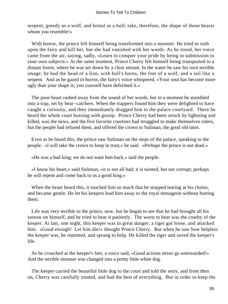serpent, greedy as a wolf, and brutal as a bull; take, therefore, the shape of those beasts whom you resemble!»

 With horror, the prince felt himself being transformed into a monster. He tried to rush upon the fairy and kill her, but she had vanished with her words. As he stood, her voice came from the air, saying, sadly, «Learn to conquer your pride by being in submission to your own subjects.» At the same moment, Prince Cherry felt himself being transported to a distant forest, where he was set down by a clear stream. In the water he saw his own terrible image; he had the head of a lion, with bull's horns, the feet of a wolf, and a tail like a serpent. And as he gazed in horror, the fairy's voice whispered, «Your soul has become more ugly than your shape is; you yourself have deformed it.»

 The poor beast rushed away from the sound of her words, but in a moment he stumbled into a trap, set by bear−catchers. When the trappers found him they were delighted to have caught a curiosity, and they immediately dragged him to the palace courtyard. There he heard the whole court buzzing with gossip. Prince Cherry had been struck by lightning and killed, was the news, and the five favorite courtiers had struggled to make themselves rulers, but the people had refused them, and offered the crown to Suliman, the good old tutor.

 Even as he heard this, the prince saw Suliman on the steps of the palace, speaking to the people. «I will take the crown to keep in trust,» he said. «Perhaps the prince is not dead.»

«He was a bad king; we do not want him back,» said the people.

 «I know his heart,» said Suliman, «it is not all bad; it is tainted, but not corrupt; perhaps he will repent and come back to us a good king.»

When the beast heard this, it touched him so much that he stopped tearing at his chains, and became gentle. He let his keepers lead him away to the royal menagerie without hurting them.

 Life was very terrible to the prince, now, but he began to see that he had brought all his sorrow on himself, and he tried to bear it patiently. The worst to bear was the cruelty of the keeper. At last, one night, this keeper was in great danger; a tiger got loose, and attacked him. «Good enough! Let him die!» thought Prince Cherry. But when he saw how helpless the keeper was, he repented, and sprang to help. He killed the tiger and saved the keeper's life.

 As he crouched at the keeper's feet, a voice said, «Good actions never go unrewarded!» And the terrible monster was changed into a pretty little white dog.

 The keeper carried the beautiful little dog to the court and told the story, and from then on, Cherry was carefully treated, and had the best of everything. But in order to keep the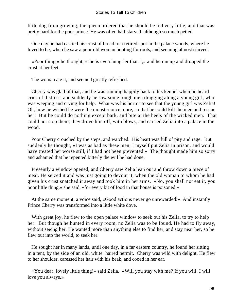little dog from growing, the queen ordered that he should be fed very little, and that was pretty hard for the poor prince. He was often half starved, although so much petted.

 One day he had carried his crust of bread to a retired spot in the palace woods, where he loved to be, when he saw a poor old woman hunting for roots, and seeming almost starved.

 «Poor thing,» he thought, «she is even hungrier than I;» and he ran up and dropped the crust at her feet.

The woman ate it, and seemed greatly refreshed.

 Cherry was glad of that, and he was running happily back to his kennel when he heard cries of distress, and suddenly he saw some rough men dragging along a young girl, who was weeping and crying for help. What was his horror to see that the young girl was Zelia! Oh, how he wished he were the monster once more, so that he could kill the men and rescue her! But he could do nothing except bark, and bite at the heels of the wicked men. That could not stop them; they drove him off, with blows, and carried Zelia into a palace in the wood.

 Poor Cherry crouched by the steps, and watched. His heart was full of pity and rage. But suddenly he thought, «I was as bad as these men; I myself put Zelia in prison, and would have treated her worse still, if I had not been prevented.» The thought made him so sorry and ashamed that he repented bitterly the evil he had done.

 Presently a window opened, and Cherry saw Zelia lean out and throw down a piece of meat. He seized it and was just going to devour it, when the old woman to whom he had given his crust snatched it away and took him in her arms. «No, you shall not eat it, you poor little thing,» she said, «for every bit of food in that house is poisoned.»

 At the same moment, a voice said, «Good actions never go unrewarded!» And instantly Prince Cherry was transformed into a little white dove.

With great joy, he flew to the open palace window to seek out his Zelia, to try to help her. But though he hunted in every room, no Zelia was to be found. He had to fly away, without seeing her. He wanted more than anything else to find her, and stay near her, so he flew out into the world, to seek her.

 He sought her in many lands, until one day, in a far eastern country, he found her sitting in a tent, by the side of an old, white−haired hermit. Cherry was wild with delight. He flew to her shoulder, caressed her hair with his beak, and cooed in her ear.

 «You dear, lovely little thing!» said Zelia. «Will you stay with me? If you will, I will love you always.»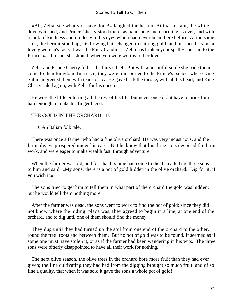«Ah, Zelia, see what you have done!» laughed the hermit. At that instant, the white dove vanished, and Prince Cherry stood there, as handsome and charming as ever, and with a look of kindness and modesty in his eyes which had never been there before. At the same time, the hermit stood up, his flowing hair changed to shining gold, and his face became a lovely woman's face; it was the Fairy Candide. «Zelia has broken your spell,» she said to the Prince, «as I meant she should, when you were worthy of her love.»

 Zelia and Prince Cherry fell at the fairy's feet. But with a beautiful smile she bade them come to their kingdom. In a trice, they were transported to the Prince's palace, where King Suliman greeted them with tears of joy. He gave back the throne, with all his heart, and King Cherry ruled again, with Zelia for his queen.

 He wore the little gold ring all the rest of his life, but never once did it have to prick him hard enough to make his finger bleed.

# THE **GOLD IN THE** ORCHARD [1]

[1] An Italian folk tale.

 There was once a farmer who had a fine olive orchard. He was very industrious, and the farm always prospered under his care. But he knew that his three sons despised the farm work, and were eager to make wealth fast, through adventure.

 When the farmer was old, and felt that his time had come to die, he called the three sons to him and said, «My sons, there is a pot of gold hidden in the olive orchard. Dig for it, if you wish it.»

 The sons tried to get him to tell them in what part of the orchard the gold was hidden; but he would tell them nothing more.

 After the farmer was dead, the sons went to work to find the pot of gold; since they did not know where the hiding−place was, they agreed to begin in a line, at one end of the orchard, and to dig until one of them should find the money.

 They dug until they had turned up the soil from one end of the orchard to the other, round the tree−roots and between them. But no pot of gold was to be found. It seemed as if some one must have stolen it, or as if the farmer had been wandering in his wits. The three sons were bitterly disappointed to have all their work for nothing.

 The next olive season, the olive trees in the orchard bore more fruit than they had ever given; the fine cultivating they had had from the digging brought so much fruit, and of so fine a quality, that when it was sold it gave the sons a whole pot of gold!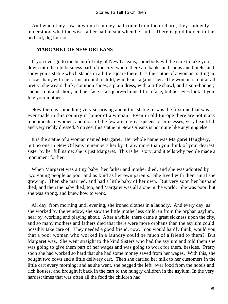And when they saw how much money had come from the orchard, they suddenly understood what the wise father had meant when he said, «There is gold hidden in the orchard; dig for it.»

### **MARGARET OF NEW ORLEANS**

 If you ever go to the beautiful city of New Orleans, somebody will be sure to take you down into the old business part of the city, where there are banks and shops and hotels, and show you a statue which stands in a little square there. It is the statue of a woman, sitting in a low chair, with her arms around a child, who leans against her. The woman is not at all pretty: she wears thick, common shoes, a plain dress, with a little shawl, and a sun−bonnet; she is stout and short, and her face is a square−chinned Irish face; but her eyes look at you like your mother's.

 Now there is something very surprising about this statue: it was the first one that was ever made in this country in honor of a woman. Even in old Europe there are not many monuments to women, and most of the few are to great queens or princesses, very beautiful and very richly dressed. You see, this statue in New Orleans is not quite like anything else.

 It is the statue of a woman named Margaret. Her whole name was Margaret Haughery, but no one in New Orleans remembers her by it, any more than you think of your dearest sister by her full name; she is just Margaret. This is her story, and it tells why people made a monument for her.

 When Margaret was a tiny baby, her father and mother died, and she was adopted by two young people as poor and as kind as her own parents. She lived with them until she grew up. Then she married, and had a little baby of her own. But very soon her husband died, and then the baby died, too, and Margaret was all alone in the world. She was poor, but she was strong, and knew how to work.

 All day, from morning until evening, she ironed clothes in a laundry. And every day, as she worked by the window, she saw the little motherless children from the orphan asylum, near by, working and playing about. After a while, there came a great sickness upon the city, and so many mothers and fathers died that there were more orphans than the asylum could possibly take care of. They needed a good friend, now. You would hardly think, would you, that a poor woman who worked in a laundry could be much of a friend to them? But Margaret was. She went straight to the kind Sisters who had the asylum and told them she was going to give them part of her wages and was going to work for them, besides. Pretty soon she had worked so hard that she had some money saved from her wages. With this, she bought two cows and a little delivery cart. Then she carried her milk to her customers in the little cart every morning; and as she went, she begged the left−over food from the hotels and rich houses, and brought it back in the cart to the hungry children in the asylum. In the very hardest times that was often all the food the children had.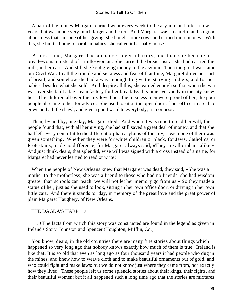A part of the money Margaret earned went every week to the asylum, and after a few years that was made very much larger and better. And Margaret was so careful and so good at business that, in spite of her giving, she bought more cows and earned more money. With this, she built a home for orphan babies; she called it her baby house.

 After a time, Margaret had a chance to get a bakery, and then she became a bread−woman instead of a milk−woman. She carried the bread just as she had carried the milk, in her cart. And still she kept giving money to the asylum. Then the great war came, our Civil War. In all the trouble and sickness and fear of that time, Margaret drove her cart of bread; and somehow she had always enough to give the starving soldiers, and for her babies, besides what she sold. And despite all this, she earned enough so that when the war was over she built a big steam factory for her bread. By this time everybody in the city knew her. The children all over the city loved her; the business men were proud of her; the poor people all came to her for advice. She used to sit at the open door of her office, in a calico gown and a little shawl, and give a good word to everybody, rich or poor.

 Then, by and by, one day, Margaret died. And when it was time to read her will, the people found that, with all her giving, she had still saved a great deal of money, and that she had left every cent of it to the different orphan asylums of the city, – each one of them was given something. Whether they were for white children or black, for Jews, Catholics, or Protestants, made no difference; for Margaret always said, «They are all orphans alike.» And just think, dears, that splendid, wise will was signed with a cross instead of a name, for Margaret had never learned to read or write!

 When the people of New Orleans knew that Margaret was dead, they said, «She was a mother to the motherless; she was a friend to those who had no friends; she had wisdom greater than schools can teach; we will not let her memory go from us.» So they made a statue of her, just as she used to look, sitting in her own office door, or driving in her own little cart. And there it stands to−day, in memory of the great love and the great power of plain Margaret Haughery, of New Orleans.

### THE DAGDA'S HARP [1]

[1] The facts from which this story was constructed are found in the legend as given in Ireland's Story, Johnston and Spencer (Houghton, Mifflin, Co.).

 You know, dears, in the old countries there are many fine stories about things which happened so very long ago that nobody knows exactly how much of them is true. Ireland is like that. It is so old that even as long ago as four thousand years it had people who dug in the mines, and knew how to weave cloth and to make beautiful ornaments out of gold, and who could fight and make laws; but we do not know just where they came from, nor exactly how they lived. These people left us some splendid stories about their kings, their fights, and their beautiful women; but it all happened such a long time ago that the stories are mixtures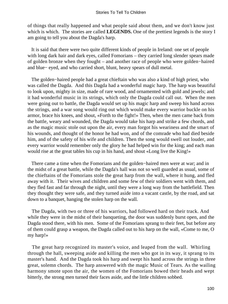of things that really happened and what people said about them, and we don't know just which is which. The stories are called **LEGENDS**. One of the prettiest legends is the story I am going to tell you about the Dagda's harp.

 It is said that there were two quite different kinds of people in Ireland: one set of people with long dark hair and dark eyes, called Fomorians – they carried long slender spears made of golden bronze when they fought – and another race of people who were golden−haired and blue− eyed, and who carried short, blunt, heavy spears of dull metal.

 The golden−haired people had a great chieftain who was also a kind of high priest, who was called the Dagda. And this Dagda had a wonderful magic harp. The harp was beautiful to look upon, mighty in size, made of rare wood, and ornamented with gold and jewels; and it had wonderful music in its strings, which only the Dagda could call out. When the men were going out to battle, the Dagda would set up his magic harp and sweep his hand across the strings, and a war song would ring out which would make every warrior buckle on his armor, brace his knees, and shout, «Forth to the fight!» Then, when the men came back from the battle, weary and wounded, the Dagda would take his harp and strike a few chords, and as the magic music stole out upon the air, every man forgot his weariness and the smart of his wounds, and thought of the honor he had won, and of the comrade who had died beside him, and of the safety of his wife and children. Then the song would swell out louder, and every warrior would remember only the glory he had helped win for the king; and each man would rise at the great tables his cup in his hand, and shout «Long live the King!»

 There came a time when the Fomorians and the golden−haired men were at war; and in the midst of a great battle, while the Dagda's hall was not so well guarded as usual, some of the chieftains of the Fomorians stole the great harp from the wall, where it hung, and fled away with it. Their wives and children and some few of their soldiers went with them, and they fled fast and far through the night, until they were a long way from the battlefield. Then they thought they were safe, and they turned aside into a vacant castle, by the road, and sat down to a banquet, hanging the stolen harp on the wall.

 The Dagda, with two or three of his warriors, had followed hard on their track. And while they were in the midst of their banqueting, the door was suddenly burst open, and the Dagda stood there, with his men. Some of the Fomorians sprang to their feet, but before any of them could grasp a weapon, the Dagda called out to his harp on the wall, «Come to me, O my harp!»

 The great harp recognized its master's voice, and leaped from the wall. Whirling through the hall, sweeping aside and killing the men who got in its way, it sprang to its master's hand. And the Dagda took his harp and swept his hand across the strings in three great, solemn chords. The harp answered with the magic Music of Tears. As the wailing harmony smote upon the air, the women of the Fomorians bowed their heads and wept bitterly, the strong men turned their faces aside, and the little children sobbed.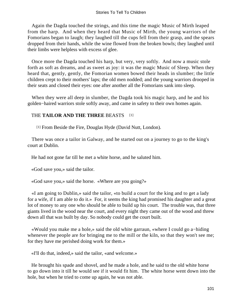Again the Dagda touched the strings, and this time the magic Music of Mirth leaped from the harp. And when they heard that Music of Mirth, the young warriors of the Fomorians began to laugh; they laughed till the cups fell from their grasp, and the spears dropped from their hands, while the wine flowed from the broken bowls; they laughed until their limbs were helpless with excess of glee.

 Once more the Dagda touched his harp, but very, very softly. And now a music stole forth as soft as dreams, and as sweet as joy: it was the magic Music of Sleep. When they heard that, gently, gently, the Fomorian women bowed their heads in slumber; the little children crept to their mothers' laps; the old men nodded; and the young warriors drooped in their seats and closed their eyes: one after another all the Fomorians sank into sleep.

When they were all deep in slumber, the Dagda took his magic harp, and he and his golden−haired warriors stole softly away, and came in safety to their own homes again.

# THE **TAILOR AND THE THREE** BEASTS [1]

[1] From Beside the Fire, Douglas Hyde (David Nutt, London).

 There was once a tailor in Galway, and he started out on a journey to go to the king's court at Dublin.

He had not gone far till he met a white horse, and he saluted him.

«God save you,» said the tailor.

«God save you,» said the horse. «Where are you going?»

 «I am going to Dublin,» said the tailor, «to build a court for the king and to get a lady for a wife, if I am able to do it.» For, it seems the king had promised his daughter and a great lot of money to any one who should be able to build up his court. The trouble was, that three giants lived in the wood near the court, and every night they came out of the wood and threw down all that was built by day. So nobody could get the court built.

 «Would you make me a hole,» said the old white garraun, «where I could go a−hiding whenever the people are for bringing me to the mill or the kiln, so that they won't see me; for they have me perished doing work for them.»

«I'll do that, indeed,» said the tailor, «and welcome.»

 He brought his spade and shovel, and he made a hole, and he said to the old white horse to go down into it till he would see if it would fit him. The white horse went down into the hole, but when he tried to come up again, he was not able.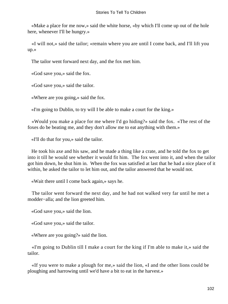«Make a place for me now,» said the white horse, «by which I'll come up out of the hole here, whenever I'll be hungry.»

 «I will not,» said the tailor; «remain where you are until I come back, and I'll lift you up.»

The tailor went forward next day, and the fox met him.

«God save you,» said the fox.

«God save you,» said the tailor.

«Where are you going,» said the fox.

«I'm going to Dublin, to try will I be able to make a court for the king.»

 «Would you make a place for me where I'd go hiding?» said the fox. «The rest of the foxes do be beating me, and they don't allow me to eat anything with them.»

«I'll do that for you,» said the tailor.

 He took his axe and his saw, and he made a thing like a crate, and he told the fox to get into it till he would see whether it would fit him. The fox went into it, and when the tailor got him down, he shut him in. When the fox was satisfied at last that he had a nice place of it within, he asked the tailor to let him out, and the tailor answered that he would not.

«Wait there until I come back again,» says he.

 The tailor went forward the next day, and he had not walked very far until he met a modder−alla; and the lion greeted him.

«God save you,» said the lion.

«God save you,» said the tailor.

«Where are you going?» said the lion.

 «I'm going to Dublin till I make a court for the king if I'm able to make it,» said the tailor.

 «If you were to make a plough for me,» said the lion, «I and the other lions could be ploughing and harrowing until we'd have a bit to eat in the harvest.»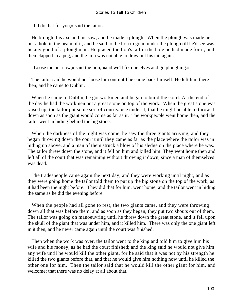«I'll do that for you,» said the tailor.

 He brought his axe and his saw, and he made a plough. When the plough was made he put a hole in the beam of it, and he said to the lion to go in under the plough till he'd see was he any good of a ploughman. He placed the lion's tail in the hole he had made for it, and then clapped in a peg, and the lion was not able to draw out his tail again.

«Loose me out now,» said the lion, «and we'll fix ourselves and go ploughing.»

 The tailor said he would not loose him out until he came back himself. He left him there then, and he came to Dublin.

 When he came to Dublin, he got workmen and began to build the court. At the end of the day he had the workmen put a great stone on top of the work. When the great stone was raised up, the tailor put some sort of contrivance under it, that he might be able to throw it down as soon as the giant would come as far as it. The workpeople went home then, and the tailor went in hiding behind the big stone.

 When the darkness of the night was come, he saw the three giants arriving, and they began throwing down the court until they came as far as the place where the tailor was in hiding up above, and a man of them struck a blow of his sledge on the place where he was. The tailor threw down the stone, and it fell on him and killed him. They went home then and left all of the court that was remaining without throwing it down, since a man of themselves was dead.

 The tradespeople came again the next day, and they were working until night, and as they were going home the tailor told them to put up the big stone on the top of the work, as it had been the night before. They did that for him, went home, and the tailor went in hiding the same as he did the evening before.

 When the people had all gone to rest, the two giants came, and they were throwing down all that was before them, and as soon as they began, they put two shouts out of them. The tailor was going on manoeuvring until he threw down the great stone, and it fell upon the skull of the giant that was under him, and it killed him. There was only the one giant left in it then, and he never came again until the court was finished.

 Then when the work was over, the tailor went to the king and told him to give him his wife and his money, as he had the court finished; and the king said he would not give him any wife until he would kill the other giant, for he said that it was not by his strength he killed the two giants before that, and that he would give him nothing now until he killed the other one for him. Then the tailor said that he would kill the other giant for him, and welcome; that there was no delay at all about that.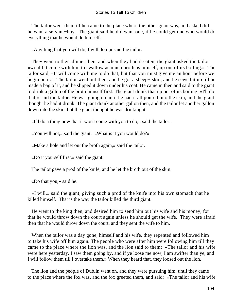The tailor went then till he came to the place where the other giant was, and asked did he want a servant−boy. The giant said he did want one, if he could get one who would do everything that he would do himself.

«Anything that you will do, I will do it,» said the tailor.

 They went to their dinner then, and when they had it eaten, the giant asked the tailor «would it come with him to swallow as much broth as himself, up out of its boiling.» The tailor said, «It will come with me to do that, but that you must give me an hour before we begin on it.» The tailor went out then, and he got a sheep− skin, and he sewed it up till he made a bag of it, and he slipped it down under his coat. He came in then and said to the giant to drink a gallon of the broth himself first. The giant drank that up out of its boiling. «I'll do that,» said the tailor. He was going on until he had it all poured into the skin, and the giant thought he had it drunk. The giant drank another gallon then, and the tailor let another gallon down into the skin, but the giant thought he was drinking it.

«I'll do a thing now that it won't come with you to do,» said the tailor.

«You will not,» said the giant. «What is it you would do?»

«Make a hole and let out the broth again,» said the tailor.

«Do it yourself first,» said the giant.

The tailor gave a prod of the knife, and he let the broth out of the skin.

«Do that you,» said he.

 «I will,» said the giant, giving such a prod of the knife into his own stomach that he killed himself. That is the way the tailor killed the third giant.

 He went to the king then, and desired him to send him out his wife and his money, for that he would throw down the court again unless he should get the wife. They were afraid then that he would throw down the court, and they sent the wife to him.

 When the tailor was a day gone, himself and his wife, they repented and followed him to take his wife off him again. The people who were after him were following him till they came to the place where the lion was, and the lion said to them: «The tailor and his wife were here yesterday. I saw them going by, and if ye loose me now, I am swifter than ye, and I will follow them till I overtake them.» When they heard that, they loosed out the lion.

 The lion and the people of Dublin went on, and they were pursuing him, until they came to the place where the fox was, and the fox greeted them, and said: «The tailor and his wife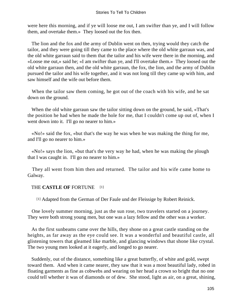#### Stories To Tell To Children

were here this morning, and if ye will loose me out, I am swifter than ye, and I will follow them, and overtake them.» They loosed out the fox then.

 The lion and the fox and the army of Dublin went on then, trying would they catch the tailor, and they were going till they came to the place where the old white garraun was, and the old white garraun said to them that the tailor and his wife were there in the morning, and «Loose me out,» said he; «I am swifter than ye, and I'll overtake them.» They loosed out the old white garraun then, and the old white garraun, the fox, the lion, and the army of Dublin pursued the tailor and his wife together, and it was not long till they came up with him, and saw himself and the wife out before them.

When the tailor saw them coming, he got out of the coach with his wife, and he sat down on the ground.

 When the old white garraun saw the tailor sitting down on the ground, he said, «That's the position he had when he made the hole for me, that I couldn't come up out of, when I went down into it. I'll go no nearer to him.»

 «No!» said the fox, «but that's the way he was when he was making the thing for me, and I'll go no nearer to him.»

 «No!» says the lion, «but that's the very way he had, when he was making the plough that I was caught in. I'll go no nearer to him.»

 They all went from him then and returned. The tailor and his wife came home to Galway.

# THE **CASTLE OF** FORTUNE [1]

[1] Adapted from the German of Der Faule und der Fleissige by Robert Reinick.

 One lovely summer morning, just as the sun rose, two travelers started on a journey. They were both strong young men, but one was a lazy fellow and the other was a worker.

 As the first sunbeams came over the hills, they shone on a great castle standing on the heights, as far away as the eye could see. It was a wonderful and beautiful castle, all glistening towers that gleamed like marble, and glancing windows that shone like crystal. The two young men looked at it eagerly, and longed to go nearer.

 Suddenly, out of the distance, something like a great butterfly, of white and gold, swept toward them. And when it came nearer, they saw that it was a most beautiful lady, robed in floating garments as fine as cobwebs and wearing on her head a crown so bright that no one could tell whether it was of diamonds or of dew. She stood, light as air, on a great, shining,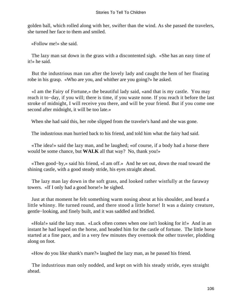golden ball, which rolled along with her, swifter than the wind. As she passed the travelers, she turned her face to them and smiled.

«Follow me!» she said.

 The lazy man sat down in the grass with a discontented sigh. «She has an easy time of it!» he said.

 But the industrious man ran after the lovely lady and caught the hem of her floating robe in his grasp. «Who are you, and whither are you going?» he asked.

 «I am the Fairy of Fortune,» the beautiful lady said, «and that is my castle. You may reach it to−day, if you will; there is time, if you waste none. If you reach it before the last stroke of midnight, I will receive you there, and will be your friend. But if you come one second after midnight, it will be too late.»

When she had said this, her robe slipped from the traveler's hand and she was gone.

The industrious man hurried back to his friend, and told him what the fairy had said.

 «The idea!» said the lazy man, and he laughed; «of course, if a body had a horse there would be some chance, but **WALK** all that way? No, thank you!»

 «Then good−by,» said his friend, «I am off.» And he set out, down the road toward the shining castle, with a good steady stride, his eyes straight ahead.

 The lazy man lay down in the soft grass, and looked rather wistfully at the faraway towers. «If I only had a good horse!» he sighed.

 Just at that moment he felt something warm nosing about at his shoulder, and heard a little whinny. He turned round, and there stood a little horse! It was a dainty creature, gentle−looking, and finely built, and it was saddled and bridled.

 «Hola!» said the lazy man. «Luck often comes when one isn't looking for it!» And in an instant he had leaped on the horse, and headed him for the castle of fortune. The little horse started at a fine pace, and in a very few minutes they overtook the other traveler, plodding along on foot.

«How do you like shank's mare?» laughed the lazy man, as he passed his friend.

 The industrious man only nodded, and kept on with his steady stride, eyes straight ahead.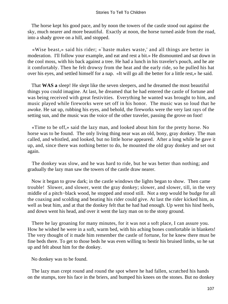The horse kept his good pace, and by noon the towers of the castle stood out against the sky, much nearer and more beautiful. Exactly at noon, the horse turned aside from the road, into a shady grove on a hill, and stopped.

 «Wise beast,» said his rider; «`haste makes waste,' and all things are better in moderation. I'll follow your example, and eat and rest a bit.» He dismounted and sat down in the cool moss, with his back against a tree. He had a lunch in his traveler's pouch, and he ate it comfortably. Then he felt drowsy from the heat and the early ride, so he pulled his hat over his eyes, and settled himself for a nap. «It will go all the better for a little rest,» he said.

 That **WAS a** sleep! He slept like the seven sleepers, and he dreamed the most beautiful things you could imagine. At last, he dreamed that he had entered the castle of fortune and was being received with great festivities. Everything he wanted was brought to him, and music played while fireworks were set off in his honor. The music was so loud that he awoke. He sat up, rubbing his eyes, and behold, the fireworks were the very last rays of the setting sun, and the music was the voice of the other traveler, passing the grove on foot!

 «Time to be off,» said the lazy man, and looked about him for the pretty horse. No horse was to be found. The only living thing near was an old, bony, gray donkey. The man called, and whistled, and looked, but no little horse appeared. After a long while he gave it up, and, since there was nothing better to do, he mounted the old gray donkey and set out again.

 The donkey was slow, and he was hard to ride, but he was better than nothing; and gradually the lazy man saw the towers of the castle draw nearer.

 Now it began to grow dark; in the castle windows the lights began to show. Then came trouble! Slower, and slower, went the gray donkey; slower, and slower, till, in the very middle of a pitch−black wood, he stopped and stood still. Not a step would he budge for all the coaxing and scolding and beating his rider could give. At last the rider kicked him, as well as beat him, and at that the donkey felt that he had had enough. Up went his hind heels, and down went his head, and over it went the lazy man on to the stony ground.

 There he lay groaning for many minutes, for it was not a soft place, I can assure you. How he wished he were in a soft, warm bed, with his aching bones comfortable in blankets! The very thought of it made him remember the castle of fortune, for he knew there must be fine beds there. To get to those beds he was even willing to bestir his bruised limbs, so he sat up and felt about him for the donkey.

No donkey was to be found.

 The lazy man crept round and round the spot where he had fallen, scratched his hands on the stumps, tore his face in the briers, and bumped his knees on the stones. But no donkey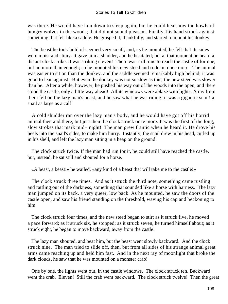was there. He would have lain down to sleep again, but he could hear now the howls of hungry wolves in the woods; that did not sound pleasant. Finally, his hand struck against something that felt like a saddle. He grasped it, thankfully, and started to mount his donkey.

 The beast he took hold of seemed very small, and, as he mounted, he felt that its sides were moist and slimy. It gave him a shudder, and he hesitated; but at that moment he heard a distant clock strike. It was striking eleven! There was still time to reach the castle of fortune, but no more than enough; so he mounted his new steed and rode on once more. The animal was easier to sit on than the donkey, and the saddle seemed remarkably high behind; it was good to lean against. But even the donkey was not so slow as this; the new steed was slower than he. After a while, however, he pushed his way out of the woods into the open, and there stood the castle, only a little way ahead! All its windows were ablaze with lights. A ray from them fell on the lazy man's beast, and he saw what he was riding: it was a gigantic snail! a snail as large as a calf!

 A cold shudder ran over the lazy man's body, and he would have got off his horrid animal then and there, but just then the clock struck once more. It was the first of the long, slow strokes that mark mid− night! The man grew frantic when he heard it. He drove his heels into the snail's sides, to make him hurry. Instantly, the snail drew in his head, curled up in his shell, and left the lazy man sitting in a heap on the ground!

 The clock struck twice. If the man had run for it, he could still have reached the castle, but, instead, he sat still and shouted for a horse.

«A beast, a beast!» he wailed, «any kind of a beast that will take me to the castle!»

 The clock struck three times. And as it struck the third note, something came rustling and rattling out of the darkness, something that sounded like a horse with harness. The lazy man jumped on its back, a very queer, low back. As he mounted, he saw the doors of the castle open, and saw his friend standing on the threshold, waving his cap and beckoning to him.

 The clock struck four times, and the new steed began to stir; as it struck five, he moved a pace forward; as it struck six, he stopped; as it struck seven, he turned himself about; as it struck eight, he began to move backward, away from the castle!

 The lazy man shouted, and beat him, but the beast went slowly backward. And the clock struck nine. The man tried to slide off, then, but from all sides of his strange animal great arms came reaching up and held him fast. And in the next ray of moonlight that broke the dark clouds, he saw that he was mounted on a monster crab!

 One by one, the lights went out, in the castle windows. The clock struck ten. Backward went the crab. Eleven! Still the crab went backward. The clock struck twelve! Then the great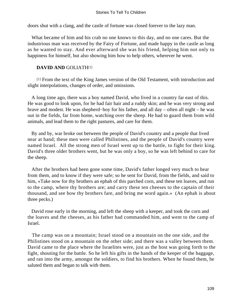doors shut with a clang, and the castle of fortune was closed forever to the lazy man.

 What became of him and his crab no one knows to this day, and no one cares. But the industrious man was received by the Fairy of Fortune, and made happy in the castle as long as he wanted to stay. And ever afterward she was his friend, helping him not only to happiness for himself, but also showing him how to help others, wherever he went.

# **DAVID AND** GOLIATH[1]

[1] From the text of the King James version of the Old Testament, with introduction and slight interpolations, changes of order, and omissions.

 A long time ago, there was a boy named David, who lived in a country far east of this. He was good to look upon, for he had fair hair and a ruddy skin; and he was very strong and brave and modest. He was shepherd−boy for his father, and all day – often all night – he was out in the fields, far from home, watching over the sheep. He had to guard them from wild animals, and lead them to the right pastures, and care for them.

 By and by, war broke out between the people of David's country and a people that lived near at hand; these men were called Philistines, and the people of David's country were named Israel. All the strong men of Israel went up to the battle, to fight for their king. David's three older brothers went, but he was only a boy, so he was left behind to care for the sheep.

 After the brothers had been gone some time, David's father longed very much to hear from them, and to know if they were safe; so he sent for David, from the fields, and said to him, «Take now for thy brothers an ephah of this parched corn, and these ten loaves, and run to the camp, where thy brothers are; and carry these ten cheeses to the captain of their thousand, and see how thy brothers fare, and bring me word again.» (An ephah is about three pecks.)

 David rose early in the morning, and left the sheep with a keeper, and took the corn and the loaves and the cheeses, as his father had commanded him, and went to the camp of Israel.

 The camp was on a mountain; Israel stood on a mountain on the one side, and the Philistines stood on a mountain on the other side; and there was a valley between them. David came to the place where the Israelites were, just as the host was going forth to the fight, shouting for the battle. So he left his gifts in the hands of the keeper of the baggage, and ran into the army, amongst the soldiers, to find his brothers. When he found them, he saluted them and began to talk with them.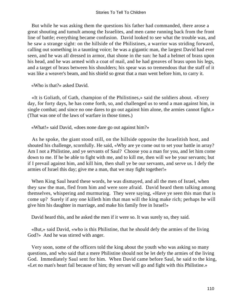But while he was asking them the questions his father had commanded, there arose a great shouting and tumult among the Israelites, and men came running back from the front line of battle; everything became confusion. David looked to see what the trouble was, and he saw a strange sight: on the hillside of the Philistines, a warrior was striding forward, calling out something in a taunting voice; he was a gigantic man, the largest David had ever seen, and he was all dressed in armor, that shone in the sun: he had a helmet of brass upon his head, and he was armed with a coat of mail, and he had greaves of brass upon his legs, and a target of brass between his shoulders; his spear was so tremendous that the staff of it was like a weaver's beam, and his shield so great that a man went before him, to carry it.

«Who is that?» asked David.

 «It is Goliath, of Gath, champion of the Philistines,» said the soldiers about. «Every day, for forty days, he has come forth, so, and challenged us to send a man against him, in single combat; and since no one dares to go out against him alone, the armies cannot fight.» (That was one of the laws of warfare in those times.)

«What!» said David, «does none dare go out against him?»

 As he spoke, the giant stood still, on the hillside opposite the Israelitish host, and shouted his challenge, scornfully. He said, «Why are ye come out to set your battle in array? Am I not a Philistine, and ye servants of Saul? Choose you a man for you, and let him come down to me. If he be able to fight with me, and to kill me, then will we be your servants; but if I prevail against him, and kill him, then shall ye be our servants, and serve us. I defy the armies of Israel this day; give me a man, that we may fight together!»

 When King Saul heard these words, he was dismayed, and all the men of Israel, when they saw the man, fled from him and were sore afraid. David heard them talking among themselves, whispering and murmuring. They were saying, «Have ye seen this man that is come up? Surely if any one killeth him that man will the king make rich; perhaps he will give him his daughter in marriage, and make his family free in Israel!»

David heard this, and he asked the men if it were so. It was surely so, they said.

 «But,» said David, «who is this Philistine, that he should defy the armies of the living God?» And he was stirred with anger.

 Very soon, some of the officers told the king about the youth who was asking so many questions, and who said that a mere Philistine should not be let defy the armies of the living God. Immediately Saul sent for him. When David came before Saul, he said to the king, «Let no man's heart fail because of him; thy servant will go and fight with this Philistine.»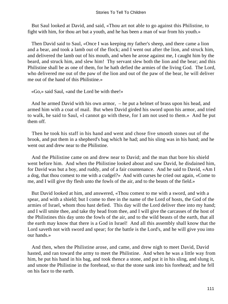#### Stories To Tell To Children

 But Saul looked at David, and said, «Thou art not able to go against this Philistine, to fight with him, for thou art but a youth, and he has been a man of war from his youth.»

 Then David said to Saul, «Once I was keeping my father's sheep, and there came a lion and a bear, and took a lamb out of the flock; and I went out after the lion, and struck him, and delivered the lamb out of his mouth, and when he arose against me, I caught him by the beard, and struck him, and slew him! Thy servant slew both the lion and the bear; and this Philistine shall be as one of them, for he hath defied the armies of the living God. The Lord, who delivered me out of the paw of the lion and out of the paw of the bear, he will deliver me out of the hand of this Philistine.»

«Go,» said Saul, «and the Lord be with thee!»

 And he armed David with his own armor, – he put a helmet of brass upon his head, and armed him with a coat of mail. But when David girded his sword upon his armor, and tried to walk, he said to Saul, «I cannot go with these, for I am not used to them.» And he put them off.

 Then he took his staff in his hand and went and chose five smooth stones out of the brook, and put them in a shepherd's bag which he had; and his sling was in his hand; and he went out and drew near to the Philistine.

 And the Philistine came on and drew near to David; and the man that bore his shield went before him. And when the Philistine looked about and saw David, he disdained him, for David was but a boy, and ruddy, and of a fair countenance. And he said to David, «Am I a dog, that thou comest to me with a cudgel?» And with curses he cried out again, «Come to me, and I will give thy flesh unto the fowls of the air, and to the beasts of the field.»

 But David looked at him, and answered, «Thou comest to me with a sword, and with a spear, and with a shield; but I come to thee in the name of the Lord of hosts, the God of the armies of Israel, whom thou hast defied. This day will the Lord deliver thee into my hand; and I will smite thee, and take thy head from thee, and I will give the carcasses of the host of the Philistines this day unto the fowls of the air, and to the wild beasts of the earth, that all the earth may know that there is a God in Israel! And all this assembly shall know that the Lord saveth not with sword and spear; for the battle is the Lord's, and he will give you into our hands.»

 And then, when the Philistine arose, and came, and drew nigh to meet David, David hasted, and ran toward the army to meet the Philistine. And when he was a little way from him, he put his hand in his bag, and took thence a stone, and put it in his sling, and slung it, and smote the Philistine in the forehead, so that the stone sank into his forehead; and he fell on his face to the earth.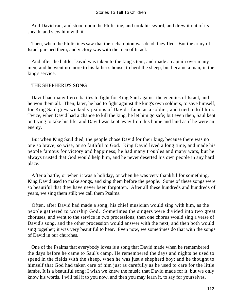And David ran, and stood upon the Philistine, and took his sword, and drew it out of its sheath, and slew him with it.

 Then, when the Philistines saw that their champion was dead, they fled. But the army of Israel pursued them, and victory was with the men of Israel.

 And after the battle, David was taken to the king's tent, and made a captain over many men; and he went no more to his father's house, to herd the sheep, but became a man, in the king's service.

### THE SHEPHERD'S **SONG**

 David had many fierce battles to fight for King Saul against the enemies of Israel, and he won them all. Then, later, he had to fight against the king's own soldiers, to save himself, for King Saul grew wickedly jealous of David's fame as a soldier, and tried to kill him. Twice, when David had a chance to kill the king, he let him go safe; but even then, Saul kept on trying to take his life, and David was kept away from his home and land as if he were an enemy.

 But when King Saul died, the people chose David for their king, because there was no one so brave, so wise, or so faithful to God. King David lived a long time, and made his people famous for victory and happiness; he had many troubles and many wars, but he always trusted that God would help him, and he never deserted his own people in any hard place.

 After a battle, or when it was a holiday, or when he was very thankful for something, King David used to make songs, and sing them before the people. Some of these songs were so beautiful that they have never been forgotten. After all these hundreds and hundreds of years, we sing them still; we call them Psalms.

 Often, after David had made a song, his chief musician would sing with him, as the people gathered to worship God. Sometimes the singers were divided into two great choruses, and went to the service in two processions; then one chorus would sing a verse of David's song, and the other procession would answer with the next, and then both would sing together; it was very beautiful to hear. Even now, we sometimes do that with the songs of David in our churches.

 One of the Psalms that everybody loves is a song that David made when he remembered the days before he came to Saul's camp. He remembered the days and nights he used to spend in the fields with the sheep, when he was just a shepherd boy; and he thought to himself that God had taken care of him just as carefully as he used to care for the little lambs. It is a beautiful song; I wish we knew the music that David made for it, but we only know his words. I will tell it to you now, and then you may learn it, to say for yourselves.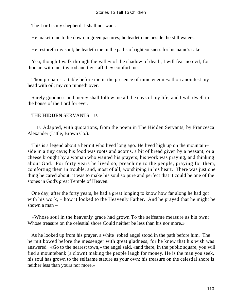The Lord is my shepherd; I shall not want.

He maketh me to lie down in green pastures; he leadeth me beside the still waters.

He restoreth my soul; he leadeth me in the paths of righteousness for his name's sake.

 Yea, though I walk through the valley of the shadow of death, I will fear no evil; for thou art with me; thy rod and thy staff they comfort me.

 Thou preparest a table before me in the presence of mine enemies: thou anointest my head with oil; my cup runneth over.

 Surely goodness and mercy shall follow me all the days of my life; and I will dwell in the house of the Lord for ever.

#### THE **HIDDEN** SERVANTS [1]

[1] Adapted, with quotations, from the poem in The Hidden Servants, by Francesca Alexander (Little, Brown Co.).

 This is a legend about a hermit who lived long ago. He lived high up on the mountain− side in a tiny cave; his food was roots and acorns, a bit of bread given by a peasant, or a cheese brought by a woman who wanted his prayers; his work was praying, and thinking about God. For forty years he lived so, preaching to the people, praying for them, comforting them in trouble, and, most of all, worshiping in his heart. There was just one thing he cared about: it was to make his soul so pure and perfect that it could be one of the stones in God's great Temple of Heaven.

 One day, after the forty years, he had a great longing to know how far along he had got with his work, – how it looked to the Heavenly Father. And he prayed that he might be shown a man –

 «Whose soul in the heavenly grace had grown To the selfsame measure as his own; Whose treasure on the celestial shore Could neither be less than his nor more.»

 As he looked up from his prayer, a white−robed angel stood in the path before him. The hermit bowed before the messenger with great gladness, for he knew that his wish was answered. «Go to the nearest town,» the angel said, «and there, in the public square, you will find a mountebank (a clown) making the people laugh for money. He is the man you seek, his soul has grown to the selfsame stature as your own; his treasure on the celestial shore is neither less than yours nor more.»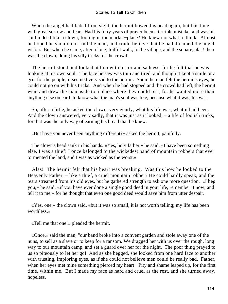When the angel had faded from sight, the hermit bowed his head again, but this time with great sorrow and fear. Had his forty years of prayer been a terrible mistake, and was his soul indeed like a clown, fooling in the market−place? He knew not what to think. Almost he hoped he should not find the man, and could believe that he had dreamed the angel vision. But when he came, after a long, toilful walk, to the village, and the square, alas! there was the clown, doing his silly tricks for the crowd.

 The hermit stood and looked at him with terror and sadness, for he felt that he was looking at his own soul. The face he saw was thin and tired, and though it kept a smile or a grin for the people, it seemed very sad to the hermit. Soon the man felt the hermit's eyes; he could not go on with his tricks. And when he had stopped and the crowd had left, the hermit went and drew the man aside to a place where they could rest; for he wanted more than anything else on earth to know what the man's soul was like, because what it was, his was.

 So, after a little, he asked the clown, very gently, what his life was, what it had been. And the clown answered, very sadly, that it was just as it looked, – a life of foolish tricks, for that was the only way of earning his bread that he knew.

«But have you never been anything different?» asked the hermit, painfully.

 The clown's head sank in his hands. «Yes, holy father,» he said, «I have been something else. I was a thief! I once belonged to the wickedest band of mountain robbers that ever tormented the land, and I was as wicked as the worst.»

 Alas! The hermit felt that his heart was breaking. Was this how he looked to the Heavenly Father, – like a thief, a cruel mountain robber? He could hardly speak, and the tears streamed from his old eyes, but he gathered strength to ask one more question. «I beg you,» he said, «if you have ever done a single good deed in your life, remember it now, and tell it to me;» for he thought that even one good deed would save him from utter despair.

 «Yes, one,» the clown said, «but it was so small, it is not worth telling; my life has been worthless.»

«Tell me that one!» pleaded the hermit.

 «Once,» said the man, "our band broke into a convent garden and stole away one of the nuns, to sell as a slave or to keep for a ransom. We dragged her with us over the rough, long way to our mountain camp, and set a guard over her for the night. The poor thing prayed to us so piteously to let her go! And as she begged, she looked from one hard face to another with trusting, imploring eyes, as if she could not believe men could be really bad. Father, when her eyes met mine something pierced my heart! Pity and shame leaped up, for the first time, within me. But I made my face as hard and cruel as the rest, and she turned away, hopeless.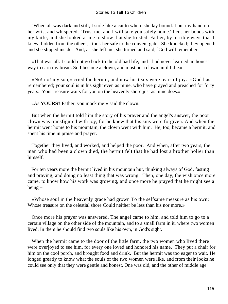"When all was dark and still, I stole like a cat to where she lay bound. I put my hand on her wrist and whispered, `Trust me, and I will take you safely home.' I cut her bonds with my knife, and she looked at me to show that she trusted. Father, by terrible ways that I knew, hidden from the others, I took her safe to the convent gate. She knocked; they opened; and she slipped inside. And, as she left me, she turned and said, `God will remember.'

 «That was all. I could not go back to the old bad life, and I had never learned an honest way to earn my bread. So I became a clown, and must be a clown until I die.»

 «No! no! my son,» cried the hermit, and now his tears were tears of joy. «God has remembered; your soul is in his sight even as mine, who have prayed and preached for forty years. Your treasure waits for you on the heavenly shore just as mine does.»

«As **YOURS?** Father, you mock me!» said the clown.

 But when the hermit told him the story of his prayer and the angel's answer, the poor clown was transfigured with joy, for he knew that his sins were forgiven. And when the hermit went home to his mountain, the clown went with him. He, too, became a hermit, and spent his time in praise and prayer.

 Together they lived, and worked, and helped the poor. And when, after two years, the man who had been a clown died, the hermit felt that he had lost a brother holier than himself.

 For ten years more the hermit lived in his mountain hut, thinking always of God, fasting and praying, and doing no least thing that was wrong. Then, one day, the wish once more came, to know how his work was growing, and once more he prayed that he might see a being –

 «Whose soul in the heavenly grace had grown To the selfsame measure as his own; Whose treasure on the celestial shore Could neither be less than his nor more.»

 Once more his prayer was answered. The angel came to him, and told him to go to a certain village on the other side of the mountain, and to a small farm in it, where two women lived. In them he should find two souls like his own, in God's sight.

 When the hermit came to the door of the little farm, the two women who lived there were overjoyed to see him, for every one loved and honored his name. They put a chair for him on the cool porch, and brought food and drink. But the hermit was too eager to wait. He longed greatly to know what the souls of the two women were like, and from their looks he could see only that they were gentle and honest. One was old, and the other of middle age.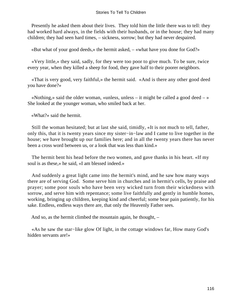Presently he asked them about their lives. They told him the little there was to tell: they had worked hard always, in the fields with their husbands, or in the house; they had many children; they had seen hard times, – sickness, sorrow; but they had never despaired.

«But what of your good deeds,» the hermit asked, – «what have you done for God?»

 «Very little,» they said, sadly, for they were too poor to give much. To be sure, twice every year, when they killed a sheep for food, they gave half to their poorer neighbors.

 «That is very good, very faithful,» the hermit said. «And is there any other good deed you have done?»

«Nothing,» said the older woman, «unless, unless – it might be called a good deed  $-\infty$ She looked at the younger woman, who smiled back at her.

«What?» said the hermit.

 Still the woman hesitated; but at last she said, timidly, «It is not much to tell, father, only this, that it is twenty years since my sister−in−law and I came to live together in the house; we have brought up our families here; and in all the twenty years there has never been a cross word between us, or a look that was less than kind.»

 The hermit bent his head before the two women, and gave thanks in his heart. «If my soul is as these,» he said, «I am blessed indeed.»

 And suddenly a great light came into the hermit's mind, and he saw how many ways there are of serving God. Some serve him in churches and in hermit's cells, by praise and prayer; some poor souls who have been very wicked turn from their wickedness with sorrow, and serve him with repentance; some live faithfully and gently in humble homes, working, bringing up children, keeping kind and cheerful; some bear pain patiently, for his sake. Endless, endless ways there are, that only the Heavenly Father sees.

And so, as the hermit climbed the mountain again, he thought, –

 «As he saw the star−like glow Of light, in the cottage windows far, How many God's hidden servants are!»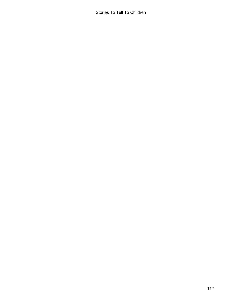Stories To Tell To Children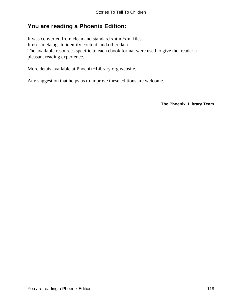# **You are reading a Phoenix Edition:**

It was converted from clean and standard xhtml/xml files. It uses metatags to identify content, and other data. The available resources specific to each ebook format were used to give the reader a pleasant reading experience.

More detais available at Phoenix−Library.org website.

Any suggestion that helps us to improve these editions are welcome.

**The Phoenix−Library Team**